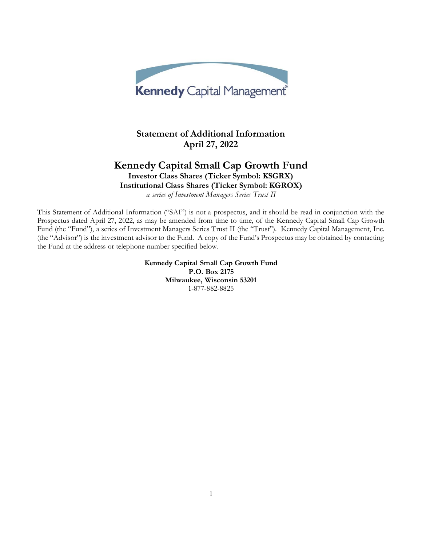

# **Statement of Additional Information April 27, 2022**

# **Kennedy Capital Small Cap Growth Fund**

**Investor Class Shares (Ticker Symbol: KSGRX) Institutional Class Shares (Ticker Symbol: KGROX)**

*a series of Investment Managers Series Trust II*

This Statement of Additional Information ("SAI") is not a prospectus, and it should be read in conjunction with the Prospectus dated April 27, 2022, as may be amended from time to time, of the Kennedy Capital Small Cap Growth Fund (the "Fund"), a series of Investment Managers Series Trust II (the "Trust"). Kennedy Capital Management, Inc. (the "Advisor") is the investment advisor to the Fund. A copy of the Fund's Prospectus may be obtained by contacting the Fund at the address or telephone number specified below.

> **Kennedy Capital Small Cap Growth Fund P.O. Box 2175 Milwaukee, Wisconsin 53201** 1-877-882-8825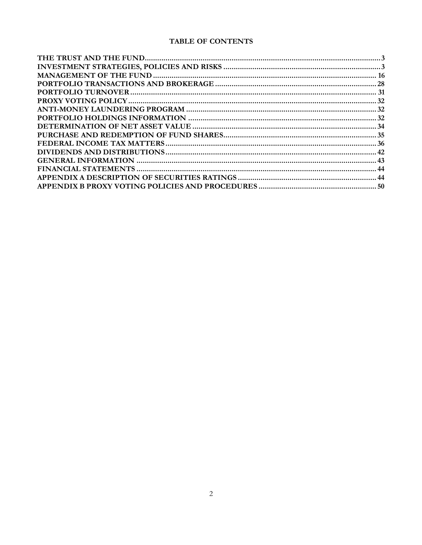# TABLE OF CONTENTS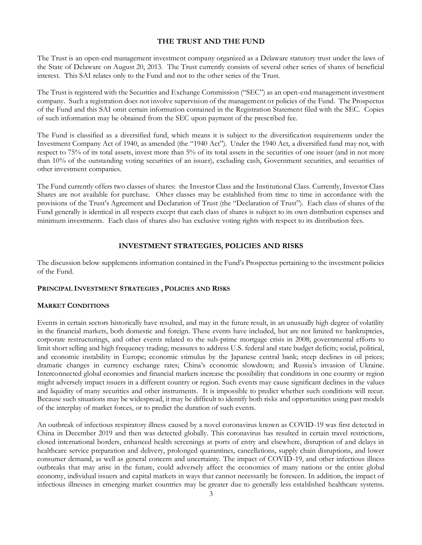# **THE TRUST AND THE FUND**

The Trust is an open-end management investment company organized as a Delaware statutory trust under the laws of the State of Delaware on August 20, 2013. The Trust currently consists of several other series of shares of beneficial interest. This SAI relates only to the Fund and not to the other series of the Trust.

The Trust is registered with the Securities and Exchange Commission ("SEC") as an open-end management investment company. Such a registration does not involve supervision of the management or policies of the Fund. The Prospectus of the Fund and this SAI omit certain information contained in the Registration Statement filed with the SEC. Copies of such information may be obtained from the SEC upon payment of the prescribed fee.

The Fund is classified as a diversified fund, which means it is subject to the diversification requirements under the Investment Company Act of 1940, as amended (the "1940 Act"). Under the 1940 Act, a diversified fund may not, with respect to 75% of its total assets, invest more than 5% of its total assets in the securities of one issuer (and in not more than 10% of the outstanding voting securities of an issuer), excluding cash, Government securities, and securities of other investment companies.

The Fund currently offers two classes of shares: the Investor Class and the Institutional Class. Currently, Investor Class Shares are not available for purchase. Other classes may be established from time to time in accordance with the provisions of the Trust's Agreement and Declaration of Trust (the "Declaration of Trust"). Each class of shares of the Fund generally is identical in all respects except that each class of shares is subject to its own distribution expenses and minimum investments. Each class of shares also has exclusive voting rights with respect to its distribution fees.

# **INVESTMENT STRATEGIES, POLICIES AND RISKS**

The discussion below supplements information contained in the Fund's Prospectus pertaining to the investment policies of the Fund.

# **PRINCIPAL INVESTMENT STRATEGIES , POLICIES AND RISKS**

# **MARKET CONDITIONS**

Events in certain sectors historically have resulted, and may in the future result, in an unusually high degree of volatility in the financial markets, both domestic and foreign. These events have included, but are not limited to: bankruptcies, corporate restructurings, and other events related to the sub-prime mortgage crisis in 2008; governmental efforts to limit short selling and high frequency trading; measures to address U.S. federal and state budget deficits; social, political, and economic instability in Europe; economic stimulus by the Japanese central bank; steep declines in oil prices; dramatic changes in currency exchange rates; China's economic slowdown; and Russia's invasion of Ukraine. Interconnected global economies and financial markets increase the possibility that conditions in one country or region might adversely impact issuers in a different country or region. Such events may cause significant declines in the values and liquidity of many securities and other instruments. It is impossible to predict whether such conditions will recur. Because such situations may be widespread, it may be difficult to identify both risks and opportunities using past models of the interplay of market forces, or to predict the duration of such events.

An outbreak of infectious respiratory illness caused by a novel coronavirus known as COVID-19 was first detected in China in December 2019 and then was detected globally. This coronavirus has resulted in certain travel restrictions, closed international borders, enhanced health screenings at ports of entry and elsewhere, disruption of and delays in healthcare service preparation and delivery, prolonged quarantines, cancellations, supply chain disruptions, and lower consumer demand, as well as general concern and uncertainty. The impact of COVID-19, and other infectious illness outbreaks that may arise in the future, could adversely affect the economies of many nations or the entire global economy, individual issuers and capital markets in ways that cannot necessarily be foreseen. In addition, the impact of infectious illnesses in emerging market countries may be greater due to generally less established healthcare systems.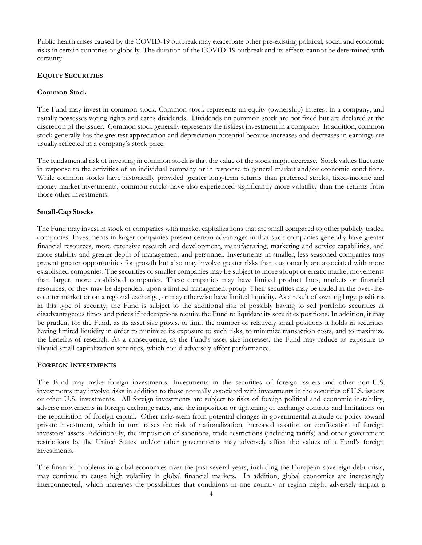Public health crises caused by the COVID-19 outbreak may exacerbate other pre-existing political, social and economic risks in certain countries or globally. The duration of the COVID-19 outbreak and its effects cannot be determined with certainty.

# **EQUITY SECURITIES**

#### **Common Stock**

The Fund may invest in common stock. Common stock represents an equity (ownership) interest in a company, and usually possesses voting rights and earns dividends. Dividends on common stock are not fixed but are declared at the discretion of the issuer. Common stock generally represents the riskiest investment in a company. In addition, common stock generally has the greatest appreciation and depreciation potential because increases and decreases in earnings are usually reflected in a company's stock price.

The fundamental risk of investing in common stock is that the value of the stock might decrease. Stock values fluctuate in response to the activities of an individual company or in response to general market and/or economic conditions. While common stocks have historically provided greater long-term returns than preferred stocks, fixed-income and money market investments, common stocks have also experienced significantly more volatility than the returns from those other investments.

### **Small-Cap Stocks**

The Fund may invest in stock of companies with market capitalizations that are small compared to other publicly traded companies. Investments in larger companies present certain advantages in that such companies generally have greater financial resources, more extensive research and development, manufacturing, marketing and service capabilities, and more stability and greater depth of management and personnel. Investments in smaller, less seasoned companies may present greater opportunities for growth but also may involve greater risks than customarily are associated with more established companies. The securities of smaller companies may be subject to more abrupt or erratic market movements than larger, more established companies. These companies may have limited product lines, markets or financial resources, or they may be dependent upon a limited management group. Their securities may be traded in the over-thecounter market or on a regional exchange, or may otherwise have limited liquidity. As a result of owning large positions in this type of security, the Fund is subject to the additional risk of possibly having to sell portfolio securities at disadvantageous times and prices if redemptions require the Fund to liquidate its securities positions. In addition, it may be prudent for the Fund, as its asset size grows, to limit the number of relatively small positions it holds in securities having limited liquidity in order to minimize its exposure to such risks, to minimize transaction costs, and to maximize the benefits of research. As a consequence, as the Fund's asset size increases, the Fund may reduce its exposure to illiquid small capitalization securities, which could adversely affect performance.

#### **FOREIGN INVESTMENTS**

The Fund may make foreign investments. Investments in the securities of foreign issuers and other non-U.S. investments may involve risks in addition to those normally associated with investments in the securities of U.S. issuers or other U.S. investments. All foreign investments are subject to risks of foreign political and economic instability, adverse movements in foreign exchange rates, and the imposition or tightening of exchange controls and limitations on the repatriation of foreign capital. Other risks stem from potential changes in governmental attitude or policy toward private investment, which in turn raises the risk of nationalization, increased taxation or confiscation of foreign investors' assets. Additionally, the imposition of sanctions, trade restrictions (including tariffs) and other government restrictions by the United States and/or other governments may adversely affect the values of a Fund's foreign investments.

The financial problems in global economies over the past several years, including the European sovereign debt crisis, may continue to cause high volatility in global financial markets. In addition, global economies are increasingly interconnected, which increases the possibilities that conditions in one country or region might adversely impact a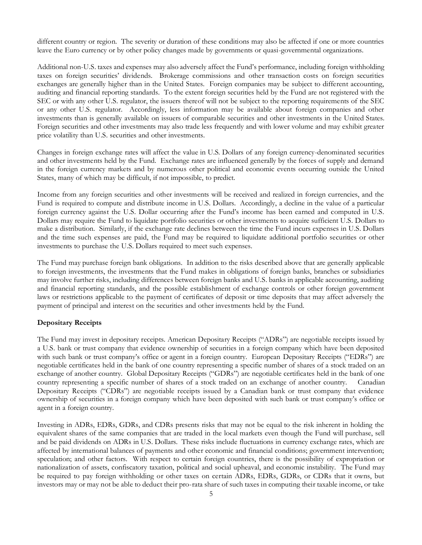different country or region. The severity or duration of these conditions may also be affected if one or more countries leave the Euro currency or by other policy changes made by governments or quasi-governmental organizations.

Additional non-U.S. taxes and expenses may also adversely affect the Fund's performance, including foreign withholding taxes on foreign securities' dividends. Brokerage commissions and other transaction costs on foreign securities exchanges are generally higher than in the United States. Foreign companies may be subject to different accounting, auditing and financial reporting standards. To the extent foreign securities held by the Fund are not registered with the SEC or with any other U.S. regulator, the issuers thereof will not be subject to the reporting requirements of the SEC or any other U.S. regulator. Accordingly, less information may be available about foreign companies and other investments than is generally available on issuers of comparable securities and other investments in the United States. Foreign securities and other investments may also trade less frequently and with lower volume and may exhibit greater price volatility than U.S. securities and other investments.

Changes in foreign exchange rates will affect the value in U.S. Dollars of any foreign currency-denominated securities and other investments held by the Fund. Exchange rates are influenced generally by the forces of supply and demand in the foreign currency markets and by numerous other political and economic events occurring outside the United States, many of which may be difficult, if not impossible, to predict.

Income from any foreign securities and other investments will be received and realized in foreign currencies, and the Fund is required to compute and distribute income in U.S. Dollars. Accordingly, a decline in the value of a particular foreign currency against the U.S. Dollar occurring after the Fund's income has been earned and computed in U.S. Dollars may require the Fund to liquidate portfolio securities or other investments to acquire sufficient U.S. Dollars to make a distribution. Similarly, if the exchange rate declines between the time the Fund incurs expenses in U.S. Dollars and the time such expenses are paid, the Fund may be required to liquidate additional portfolio securities or other investments to purchase the U.S. Dollars required to meet such expenses.

The Fund may purchase foreign bank obligations. In addition to the risks described above that are generally applicable to foreign investments, the investments that the Fund makes in obligations of foreign banks, branches or subsidiaries may involve further risks, including differences between foreign banks and U.S. banks in applicable accounting, auditing and financial reporting standards, and the possible establishment of exchange controls or other foreign government laws or restrictions applicable to the payment of certificates of deposit or time deposits that may affect adversely the payment of principal and interest on the securities and other investments held by the Fund.

#### **Depositary Receipts**

The Fund may invest in depositary receipts. American Depositary Receipts ("ADRs") are negotiable receipts issued by a U.S. bank or trust company that evidence ownership of securities in a foreign company which have been deposited with such bank or trust company's office or agent in a foreign country. European Depositary Receipts ("EDRs") are negotiable certificates held in the bank of one country representing a specific number of shares of a stock traded on an exchange of another country. Global Depositary Receipts ("GDRs") are negotiable certificates held in the bank of one country representing a specific number of shares of a stock traded on an exchange of another country. Canadian Depositary Receipts ("CDRs") are negotiable receipts issued by a Canadian bank or trust company that evidence ownership of securities in a foreign company which have been deposited with such bank or trust company's office or agent in a foreign country.

Investing in ADRs, EDRs, GDRs, and CDRs presents risks that may not be equal to the risk inherent in holding the equivalent shares of the same companies that are traded in the local markets even though the Fund will purchase, sell and be paid dividends on ADRs in U.S. Dollars. These risks include fluctuations in currency exchange rates, which are affected by international balances of payments and other economic and financial conditions; government intervention; speculation; and other factors. With respect to certain foreign countries, there is the possibility of expropriation or nationalization of assets, confiscatory taxation, political and social upheaval, and economic instability. The Fund may be required to pay foreign withholding or other taxes on certain ADRs, EDRs, GDRs, or CDRs that it owns, but investors may or may not be able to deduct their pro-rata share of such taxes in computing their taxable income, or take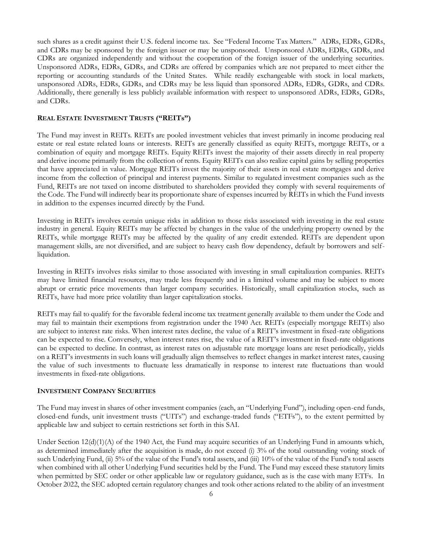such shares as a credit against their U.S. federal income tax. See "Federal Income Tax Matters." ADRs, EDRs, GDRs, and CDRs may be sponsored by the foreign issuer or may be unsponsored. Unsponsored ADRs, EDRs, GDRs, and CDRs are organized independently and without the cooperation of the foreign issuer of the underlying securities. Unsponsored ADRs, EDRs, GDRs, and CDRs are offered by companies which are not prepared to meet either the reporting or accounting standards of the United States. While readily exchangeable with stock in local markets, unsponsored ADRs, EDRs, GDRs, and CDRs may be less liquid than sponsored ADRs, EDRs, GDRs, and CDRs. Additionally, there generally is less publicly available information with respect to unsponsored ADRs, EDRs, GDRs, and CDRs.

### **REAL ESTATE INVESTMENT TRUSTS ("REITs")**

The Fund may invest in REITs. REITs are pooled investment vehicles that invest primarily in income producing real estate or real estate related loans or interests. REITs are generally classified as equity REITs, mortgage REITs, or a combination of equity and mortgage REITs. Equity REITs invest the majority of their assets directly in real property and derive income primarily from the collection of rents. Equity REITs can also realize capital gains by selling properties that have appreciated in value. Mortgage REITs invest the majority of their assets in real estate mortgages and derive income from the collection of principal and interest payments. Similar to regulated investment companies such as the Fund, REITs are not taxed on income distributed to shareholders provided they comply with several requirements of the Code. The Fund will indirectly bear its proportionate share of expenses incurred by REITs in which the Fund invests in addition to the expenses incurred directly by the Fund.

Investing in REITs involves certain unique risks in addition to those risks associated with investing in the real estate industry in general. Equity REITs may be affected by changes in the value of the underlying property owned by the REITs, while mortgage REITs may be affected by the quality of any credit extended. REITs are dependent upon management skills, are not diversified, and are subject to heavy cash flow dependency, default by borrowers and selfliquidation.

Investing in REITs involves risks similar to those associated with investing in small capitalization companies. REITs may have limited financial resources, may trade less frequently and in a limited volume and may be subject to more abrupt or erratic price movements than larger company securities. Historically, small capitalization stocks, such as REITs, have had more price volatility than larger capitalization stocks.

REITs may fail to qualify for the favorable federal income tax treatment generally available to them under the Code and may fail to maintain their exemptions from registration under the 1940 Act. REITs (especially mortgage REITs) also are subject to interest rate risks. When interest rates decline, the value of a REIT's investment in fixed-rate obligations can be expected to rise. Conversely, when interest rates rise, the value of a REIT's investment in fixed-rate obligations can be expected to decline. In contrast, as interest rates on adjustable rate mortgage loans are reset periodically, yields on a REIT's investments in such loans will gradually align themselves to reflect changes in market interest rates, causing the value of such investments to fluctuate less dramatically in response to interest rate fluctuations than would investments in fixed-rate obligations.

#### **INVESTMENT COMPANY SECURITIES**

The Fund may invest in shares of other investment companies (each, an "Underlying Fund"), including open-end funds, closed-end funds, unit investment trusts ("UITs") and exchange-traded funds ("ETFs"), to the extent permitted by applicable law and subject to certain restrictions set forth in this SAI.

Under Section 12(d)(1)(A) of the 1940 Act, the Fund may acquire securities of an Underlying Fund in amounts which, as determined immediately after the acquisition is made, do not exceed (i) 3% of the total outstanding voting stock of such Underlying Fund, (ii) 5% of the value of the Fund's total assets, and (iii) 10% of the value of the Fund's total assets when combined with all other Underlying Fund securities held by the Fund. The Fund may exceed these statutory limits when permitted by SEC order or other applicable law or regulatory guidance, such as is the case with many ETFs. In October 2022, the SEC adopted certain regulatory changes and took other actions related to the ability of an investment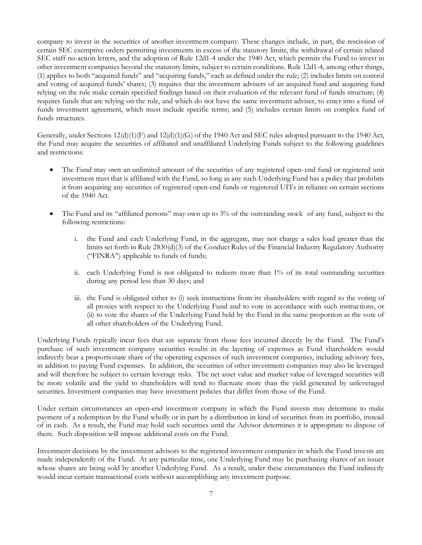company to invest in the securities of another investment company. These changes include, in part, the rescission of certain SEC exemptive orders permitting investments in excess of the statutory limits, the withdrawal of certain related SEC staff no-action letters, and the adoption of Rule 12d1-4 under the 1940 Act, which permits the Fund to invest in other investment companies beyond the statutory limits, subject to certain conditions. Rule 12d1-4, among other things, (1) applies to both "acquired funds" and "acquiring funds," each as defined under the rule; (2) includes limits on control and voting of acquired funds' shares; (3) requires that the investment advisers of an acquired fund and acquiring fund relying on the rule make certain specified findings based on their evaluation of the relevant fund of funds structure; (4) requires funds that are relying on the rule, and which do not have the same investment adviser, to enter into a fund of funds investment agreement, which must include specific terms; and (5) includes certain limits on complex fund of funds structures.

Generally, under Sections 12(d)(1)(F) and 12(d)(1)(G) of the 1940 Act and SEC rules adopted pursuant to the 1940 Act, the Fund may acquire the securities of affiliated and unaffiliated Underlying Funds subject to the following guidelines and restrictions:

- The Fund may own an unlimited amount of the securities of any registered open-end fund or registered unit investment trust that is affiliated with the Fund, so long as any such Underlying Fund has a policy that prohibits it from acquiring any securities of registered open-end funds or registered UITs in reliance on certain sections of the 1940 Act.
- The Fund and its "affiliated persons" may own up to 3% of the outstanding stock of any fund, subject to the following restrictions:
	- i. the Fund and each Underlying Fund, in the aggregate, may not charge a sales load greater than the limits set forth in Rule 2830(d)(3) of the Conduct Rules of the Financial Industry Regulatory Authority ("FINRA") applicable to funds of funds;
	- ii. each Underlying Fund is not obligated to redeem more than 1% of its total outstanding securities during any period less than 30 days; and
	- iii. the Fund is obligated either to (i) seek instructions from its shareholders with regard to the voting of all proxies with respect to the Underlying Fund and to vote in accordance with such instructions, or (ii) to vote the shares of the Underlying Fund held by the Fund in the same proportion as the vote of all other shareholders of the Underlying Fund.

Underlying Funds typically incur fees that are separate from those fees incurred directly by the Fund. The Fund's purchase of such investment company securities results in the layering of expenses as Fund shareholders would indirectly bear a proportionate share of the operating expenses of such investment companies, including advisory fees, in addition to paying Fund expenses. In addition, the securities of other investment companies may also be leveraged and will therefore be subject to certain leverage risks. The net asset value and market value of leveraged securities will be more volatile and the yield to shareholders will tend to fluctuate more than the yield generated by unleveraged securities. Investment companies may have investment policies that differ from those of the Fund.

Under certain circumstances an open-end investment company in which the Fund invests may determine to make payment of a redemption by the Fund wholly or in part by a distribution in kind of securities from its portfolio, instead of in cash. As a result, the Fund may hold such securities until the Advisor determines it is appropriate to dispose of them. Such disposition will impose additional costs on the Fund.

Investment decisions by the investment advisors to the registered investment companies in which the Fund invests are made independently of the Fund. At any particular time, one Underlying Fund may be purchasing shares of an issuer whose shares are being sold by another Underlying Fund. As a result, under these circumstances the Fund indirectly would incur certain transactional costs without accomplishing any investment purpose.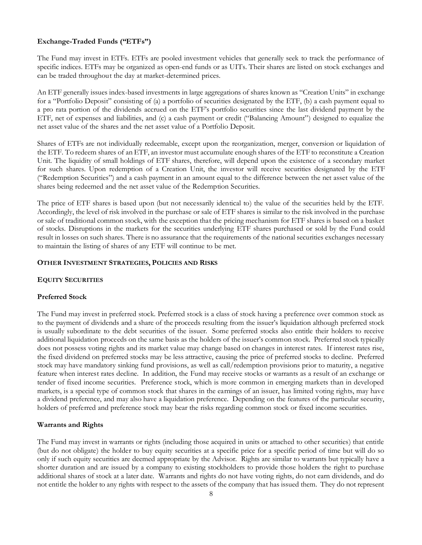## **Exchange-Traded Funds ("ETFs")**

The Fund may invest in ETFs. ETFs are pooled investment vehicles that generally seek to track the performance of specific indices. ETFs may be organized as open-end funds or as UITs. Their shares are listed on stock exchanges and can be traded throughout the day at market-determined prices.

An ETF generally issues index-based investments in large aggregations of shares known as "Creation Units" in exchange for a "Portfolio Deposit" consisting of (a) a portfolio of securities designated by the ETF, (b) a cash payment equal to a pro rata portion of the dividends accrued on the ETF's portfolio securities since the last dividend payment by the ETF, net of expenses and liabilities, and (c) a cash payment or credit ("Balancing Amount") designed to equalize the net asset value of the shares and the net asset value of a Portfolio Deposit.

Shares of ETFs are not individually redeemable, except upon the reorganization, merger, conversion or liquidation of the ETF. To redeem shares of an ETF, an investor must accumulate enough shares of the ETF to reconstitute a Creation Unit. The liquidity of small holdings of ETF shares, therefore, will depend upon the existence of a secondary market for such shares. Upon redemption of a Creation Unit, the investor will receive securities designated by the ETF ("Redemption Securities") and a cash payment in an amount equal to the difference between the net asset value of the shares being redeemed and the net asset value of the Redemption Securities.

The price of ETF shares is based upon (but not necessarily identical to) the value of the securities held by the ETF. Accordingly, the level of risk involved in the purchase or sale of ETF shares is similar to the risk involved in the purchase or sale of traditional common stock, with the exception that the pricing mechanism for ETF shares is based on a basket of stocks. Disruptions in the markets for the securities underlying ETF shares purchased or sold by the Fund could result in losses on such shares. There is no assurance that the requirements of the national securities exchanges necessary to maintain the listing of shares of any ETF will continue to be met.

#### **OTHER INVESTMENT STRATEGIES, POLICIES AND RISKS**

### **EQUITY SECURITIES**

#### **Preferred Stock**

The Fund may invest in preferred stock. Preferred stock is a class of stock having a preference over common stock as to the payment of dividends and a share of the proceeds resulting from the issuer's liquidation although preferred stock is usually subordinate to the debt securities of the issuer. Some preferred stocks also entitle their holders to receive additional liquidation proceeds on the same basis as the holders of the issuer's common stock. Preferred stock typically does not possess voting rights and its market value may change based on changes in interest rates. If interest rates rise, the fixed dividend on preferred stocks may be less attractive, causing the price of preferred stocks to decline. Preferred stock may have mandatory sinking fund provisions, as well as call/redemption provisions prior to maturity, a negative feature when interest rates decline. In addition, the Fund may receive stocks or warrants as a result of an exchange or tender of fixed income securities. Preference stock, which is more common in emerging markets than in developed markets, is a special type of common stock that shares in the earnings of an issuer, has limited voting rights, may have a dividend preference, and may also have a liquidation preference. Depending on the features of the particular security, holders of preferred and preference stock may bear the risks regarding common stock or fixed income securities.

#### **Warrants and Rights**

The Fund may invest in warrants or rights (including those acquired in units or attached to other securities) that entitle (but do not obligate) the holder to buy equity securities at a specific price for a specific period of time but will do so only if such equity securities are deemed appropriate by the Advisor. Rights are similar to warrants but typically have a shorter duration and are issued by a company to existing stockholders to provide those holders the right to purchase additional shares of stock at a later date. Warrants and rights do not have voting rights, do not earn dividends, and do not entitle the holder to any rights with respect to the assets of the company that has issued them. They do not represent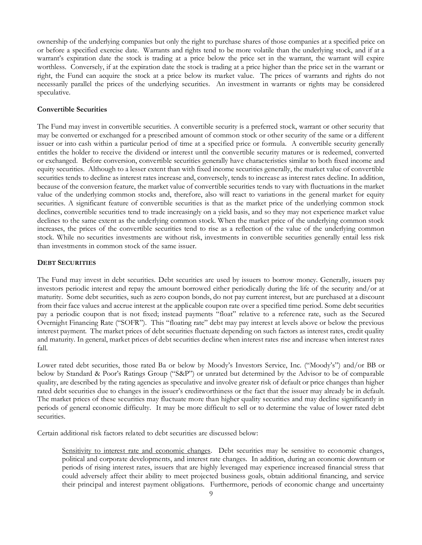ownership of the underlying companies but only the right to purchase shares of those companies at a specified price on or before a specified exercise date. Warrants and rights tend to be more volatile than the underlying stock, and if at a warrant's expiration date the stock is trading at a price below the price set in the warrant, the warrant will expire worthless. Conversely, if at the expiration date the stock is trading at a price higher than the price set in the warrant or right, the Fund can acquire the stock at a price below its market value. The prices of warrants and rights do not necessarily parallel the prices of the underlying securities. An investment in warrants or rights may be considered speculative.

### **Convertible Securities**

The Fund may invest in convertible securities. A convertible security is a preferred stock, warrant or other security that may be converted or exchanged for a prescribed amount of common stock or other security of the same or a different issuer or into cash within a particular period of time at a specified price or formula. A convertible security generally entitles the holder to receive the dividend or interest until the convertible security matures or is redeemed, converted or exchanged. Before conversion, convertible securities generally have characteristics similar to both fixed income and equity securities. Although to a lesser extent than with fixed income securities generally, the market value of convertible securities tends to decline as interest rates increase and, conversely, tends to increase as interest rates decline. In addition, because of the conversion feature, the market value of convertible securities tends to vary with fluctuations in the market value of the underlying common stocks and, therefore, also will react to variations in the general market for equity securities. A significant feature of convertible securities is that as the market price of the underlying common stock declines, convertible securities tend to trade increasingly on a yield basis, and so they may not experience market value declines to the same extent as the underlying common stock. When the market price of the underlying common stock increases, the prices of the convertible securities tend to rise as a reflection of the value of the underlying common stock. While no securities investments are without risk, investments in convertible securities generally entail less risk than investments in common stock of the same issuer.

#### **DEBT SECURITIES**

The Fund may invest in debt securities. Debt securities are used by issuers to borrow money. Generally, issuers pay investors periodic interest and repay the amount borrowed either periodically during the life of the security and/or at maturity. Some debt securities, such as zero coupon bonds, do not pay current interest, but are purchased at a discount from their face values and accrue interest at the applicable coupon rate over a specified time period. Some debt securities pay a periodic coupon that is not fixed; instead payments "float" relative to a reference rate, such as the Secured Overnight Financing Rate ("SOFR"). This "floating rate" debt may pay interest at levels above or below the previous interest payment. The market prices of debt securities fluctuate depending on such factors as interest rates, credit quality and maturity. In general, market prices of debt securities decline when interest rates rise and increase when interest rates fall.

Lower rated debt securities, those rated Ba or below by Moody's Investors Service, Inc. ("Moody's") and/or BB or below by Standard & Poor's Ratings Group ("S&P") or unrated but determined by the Advisor to be of comparable quality, are described by the rating agencies as speculative and involve greater risk of default or price changes than higher rated debt securities due to changes in the issuer's creditworthiness or the fact that the issuer may already be in default. The market prices of these securities may fluctuate more than higher quality securities and may decline significantly in periods of general economic difficulty. It may be more difficult to sell or to determine the value of lower rated debt securities.

Certain additional risk factors related to debt securities are discussed below:

Sensitivity to interest rate and economic changes. Debt securities may be sensitive to economic changes, political and corporate developments, and interest rate changes. In addition, during an economic downturn or periods of rising interest rates, issuers that are highly leveraged may experience increased financial stress that could adversely affect their ability to meet projected business goals, obtain additional financing, and service their principal and interest payment obligations. Furthermore, periods of economic change and uncertainty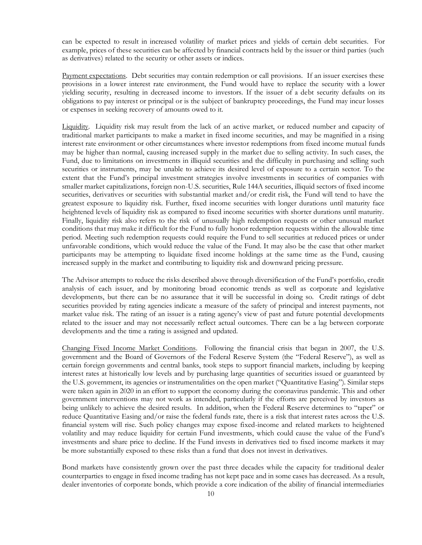can be expected to result in increased volatility of market prices and yields of certain debt securities. For example, prices of these securities can be affected by financial contracts held by the issuer or third parties (such as derivatives) related to the security or other assets or indices.

Payment expectations. Debt securities may contain redemption or call provisions. If an issuer exercises these provisions in a lower interest rate environment, the Fund would have to replace the security with a lower yielding security, resulting in decreased income to investors. If the issuer of a debt security defaults on its obligations to pay interest or principal or is the subject of bankruptcy proceedings, the Fund may incur losses or expenses in seeking recovery of amounts owed to it.

Liquidity. Liquidity risk may result from the lack of an active market, or reduced number and capacity of traditional market participants to make a market in fixed income securities, and may be magnified in a rising interest rate environment or other circumstances where investor redemptions from fixed income mutual funds may be higher than normal, causing increased supply in the market due to selling activity. In such cases, the Fund, due to limitations on investments in illiquid securities and the difficulty in purchasing and selling such securities or instruments, may be unable to achieve its desired level of exposure to a certain sector. To the extent that the Fund's principal investment strategies involve investments in securities of companies with smaller market capitalizations, foreign non-U.S. securities, Rule 144A securities, illiquid sectors of fixed income securities, derivatives or securities with substantial market and/or credit risk, the Fund will tend to have the greatest exposure to liquidity risk. Further, fixed income securities with longer durations until maturity face heightened levels of liquidity risk as compared to fixed income securities with shorter durations until maturity. Finally, liquidity risk also refers to the risk of unusually high redemption requests or other unusual market conditions that may make it difficult for the Fund to fully honor redemption requests within the allowable time period. Meeting such redemption requests could require the Fund to sell securities at reduced prices or under unfavorable conditions, which would reduce the value of the Fund. It may also be the case that other market participants may be attempting to liquidate fixed income holdings at the same time as the Fund, causing increased supply in the market and contributing to liquidity risk and downward pricing pressure.

The Advisor attempts to reduce the risks described above through diversification of the Fund's portfolio, credit analysis of each issuer, and by monitoring broad economic trends as well as corporate and legislative developments, but there can be no assurance that it will be successful in doing so. Credit ratings of debt securities provided by rating agencies indicate a measure of the safety of principal and interest payments, not market value risk. The rating of an issuer is a rating agency's view of past and future potential developments related to the issuer and may not necessarily reflect actual outcomes. There can be a lag between corporate developments and the time a rating is assigned and updated.

Changing Fixed Income Market Conditions. Following the financial crisis that began in 2007, the U.S. government and the Board of Governors of the Federal Reserve System (the "Federal Reserve"), as well as certain foreign governments and central banks, took steps to support financial markets, including by keeping interest rates at historically low levels and by purchasing large quantities of securities issued or guaranteed by the U.S. government, its agencies or instrumentalities on the open market ("Quantitative Easing"). Similar steps were taken again in 2020 in an effort to support the economy during the coronavirus pandemic. This and other government interventions may not work as intended, particularly if the efforts are perceived by investors as being unlikely to achieve the desired results. In addition, when the Federal Reserve determines to "taper" or reduce Quantitative Easing and/or raise the federal funds rate, there is a risk that interest rates across the U.S. financial system will rise. Such policy changes may expose fixed-income and related markets to heightened volatility and may reduce liquidity for certain Fund investments, which could cause the value of the Fund's investments and share price to decline. If the Fund invests in derivatives tied to fixed income markets it may be more substantially exposed to these risks than a fund that does not invest in derivatives.

Bond markets have consistently grown over the past three decades while the capacity for traditional dealer counterparties to engage in fixed income trading has not kept pace and in some cases has decreased. As a result, dealer inventories of corporate bonds, which provide a core indication of the ability of financial intermediaries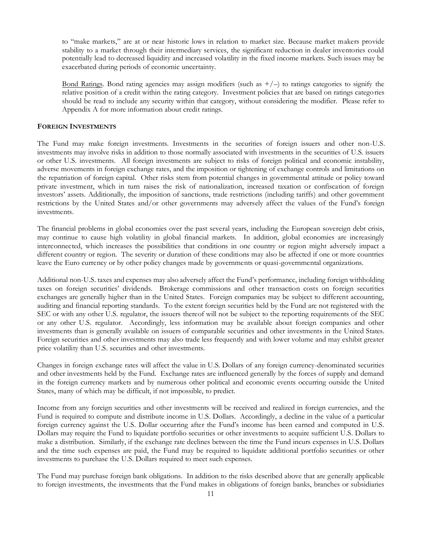to "make markets," are at or near historic lows in relation to market size. Because market makers provide stability to a market through their intermediary services, the significant reduction in dealer inventories could potentially lead to decreased liquidity and increased volatility in the fixed income markets. Such issues may be exacerbated during periods of economic uncertainty.

Bond Ratings. Bond rating agencies may assign modifiers (such as  $+/-$ ) to ratings categories to signify the relative position of a credit within the rating category. Investment policies that are based on ratings categories should be read to include any security within that category, without considering the modifier. Please refer to Appendix A for more information about credit ratings.

### **FOREIGN INVESTMENTS**

The Fund may make foreign investments. Investments in the securities of foreign issuers and other non-U.S. investments may involve risks in addition to those normally associated with investments in the securities of U.S. issuers or other U.S. investments. All foreign investments are subject to risks of foreign political and economic instability, adverse movements in foreign exchange rates, and the imposition or tightening of exchange controls and limitations on the repatriation of foreign capital. Other risks stem from potential changes in governmental attitude or policy toward private investment, which in turn raises the risk of nationalization, increased taxation or confiscation of foreign investors' assets. Additionally, the imposition of sanctions, trade restrictions (including tariffs) and other government restrictions by the United States and/or other governments may adversely affect the values of the Fund's foreign investments.

The financial problems in global economies over the past several years, including the European sovereign debt crisis, may continue to cause high volatility in global financial markets. In addition, global economies are increasingly interconnected, which increases the possibilities that conditions in one country or region might adversely impact a different country or region. The severity or duration of these conditions may also be affected if one or more countries leave the Euro currency or by other policy changes made by governments or quasi-governmental organizations.

Additional non-U.S. taxes and expenses may also adversely affect the Fund's performance, including foreign withholding taxes on foreign securities' dividends. Brokerage commissions and other transaction costs on foreign securities exchanges are generally higher than in the United States. Foreign companies may be subject to different accounting, auditing and financial reporting standards. To the extent foreign securities held by the Fund are not registered with the SEC or with any other U.S. regulator, the issuers thereof will not be subject to the reporting requirements of the SEC or any other U.S. regulator. Accordingly, less information may be available about foreign companies and other investments than is generally available on issuers of comparable securities and other investments in the United States. Foreign securities and other investments may also trade less frequently and with lower volume and may exhibit greater price volatility than U.S. securities and other investments.

Changes in foreign exchange rates will affect the value in U.S. Dollars of any foreign currency-denominated securities and other investments held by the Fund. Exchange rates are influenced generally by the forces of supply and demand in the foreign currency markets and by numerous other political and economic events occurring outside the United States, many of which may be difficult, if not impossible, to predict.

Income from any foreign securities and other investments will be received and realized in foreign currencies, and the Fund is required to compute and distribute income in U.S. Dollars. Accordingly, a decline in the value of a particular foreign currency against the U.S. Dollar occurring after the Fund's income has been earned and computed in U.S. Dollars may require the Fund to liquidate portfolio securities or other investments to acquire sufficient U.S. Dollars to make a distribution. Similarly, if the exchange rate declines between the time the Fund incurs expenses in U.S. Dollars and the time such expenses are paid, the Fund may be required to liquidate additional portfolio securities or other investments to purchase the U.S. Dollars required to meet such expenses.

The Fund may purchase foreign bank obligations. In addition to the risks described above that are generally applicable to foreign investments, the investments that the Fund makes in obligations of foreign banks, branches or subsidiaries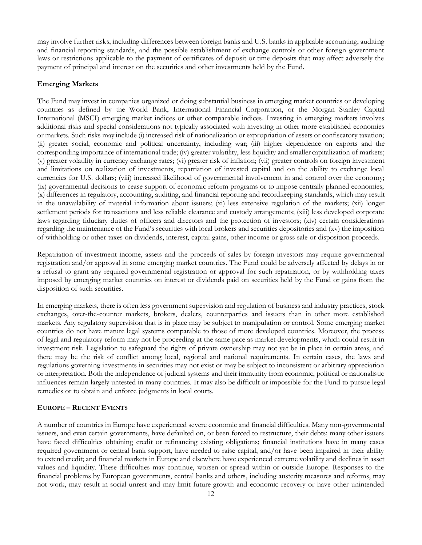may involve further risks, including differences between foreign banks and U.S. banks in applicable accounting, auditing and financial reporting standards, and the possible establishment of exchange controls or other foreign government laws or restrictions applicable to the payment of certificates of deposit or time deposits that may affect adversely the payment of principal and interest on the securities and other investments held by the Fund.

#### **Emerging Markets**

The Fund may invest in companies organized or doing substantial business in emerging market countries or developing countries as defined by the World Bank, International Financial Corporation, or the Morgan Stanley Capital International (MSCI) emerging market indices or other comparable indices. Investing in emerging markets involves additional risks and special considerations not typically associated with investing in other more established economies or markets. Such risks may include (i) increased risk of nationalization or expropriation of assets or confiscatory taxation; (ii) greater social, economic and political uncertainty, including war; (iii) higher dependence on exports and the corresponding importance of international trade; (iv) greater volatility, less liquidity and smaller capitalization of markets; (v) greater volatility in currency exchange rates; (vi) greater risk of inflation; (vii) greater controls on foreign investment and limitations on realization of investments, repatriation of invested capital and on the ability to exchange local currencies for U.S. dollars; (viii) increased likelihood of governmental involvement in and control over the economy; (ix) governmental decisions to cease support of economic reform programs or to impose centrally planned economies; (x) differences in regulatory, accounting, auditing, and financial reporting and recordkeeping standards, which may result in the unavailability of material information about issuers; (xi) less extensive regulation of the markets; (xii) longer settlement periods for transactions and less reliable clearance and custody arrangements; (xiii) less developed corporate laws regarding fiduciary duties of officers and directors and the protection of investors; (xiv) certain considerations regarding the maintenance of the Fund's securities with local brokers and securities depositories and (xv) the imposition of withholding or other taxes on dividends, interest, capital gains, other income or gross sale or disposition proceeds.

Repatriation of investment income, assets and the proceeds of sales by foreign investors may require governmental registration and/or approval in some emerging market countries. The Fund could be adversely affected by delays in or a refusal to grant any required governmental registration or approval for such repatriation, or by withholding taxes imposed by emerging market countries on interest or dividends paid on securities held by the Fund or gains from the disposition of such securities.

In emerging markets, there is often less government supervision and regulation of business and industry practices, stock exchanges, over-the-counter markets, brokers, dealers, counterparties and issuers than in other more established markets. Any regulatory supervision that is in place may be subject to manipulation or control. Some emerging market countries do not have mature legal systems comparable to those of more developed countries. Moreover, the process of legal and regulatory reform may not be proceeding at the same pace as market developments, which could result in investment risk. Legislation to safeguard the rights of private ownership may not yet be in place in certain areas, and there may be the risk of conflict among local, regional and national requirements. In certain cases, the laws and regulations governing investments in securities may not exist or may be subject to inconsistent or arbitrary appreciation or interpretation. Both the independence of judicial systems and their immunity from economic, political or nationalistic influences remain largely untested in many countries. It may also be difficult or impossible for the Fund to pursue legal remedies or to obtain and enforce judgments in local courts.

#### **EUROPE – RECENT EVENTS**

A number of countries in Europe have experienced severe economic and financial difficulties. Many non-governmental issuers, and even certain governments, have defaulted on, or been forced to restructure, their debts; many other issuers have faced difficulties obtaining credit or refinancing existing obligations; financial institutions have in many cases required government or central bank support, have needed to raise capital, and/or have been impaired in their ability to extend credit; and financial markets in Europe and elsewhere have experienced extreme volatility and declines in asset values and liquidity. These difficulties may continue, worsen or spread within or outside Europe. Responses to the financial problems by European governments, central banks and others, including austerity measures and reforms, may not work, may result in social unrest and may limit future growth and economic recovery or have other unintended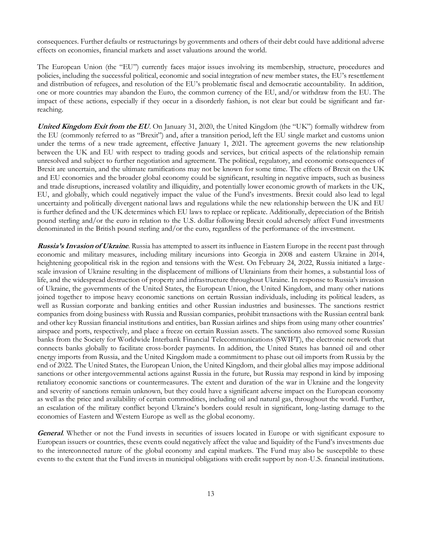consequences. Further defaults or restructurings by governments and others of their debt could have additional adverse effects on economies, financial markets and asset valuations around the world.

The European Union (the "EU") currently faces major issues involving its membership, structure, procedures and policies, including the successful political, economic and social integration of new member states, the EU's resettlement and distribution of refugees, and resolution of the EU's problematic fiscal and democratic accountability. In addition, one or more countries may abandon the Euro, the common currency of the EU, and/or withdraw from the EU. The impact of these actions, especially if they occur in a disorderly fashion, is not clear but could be significant and farreaching.

**United Kingdom Exit from the EU**. On January 31, 2020, the United Kingdom (the "UK") formally withdrew from the EU (commonly referred to as "Brexit") and, after a transition period, left the EU single market and customs union under the terms of a new trade agreement, effective January 1, 2021. The agreement governs the new relationship between the UK and EU with respect to trading goods and services, but critical aspects of the relationship remain unresolved and subject to further negotiation and agreement. The political, regulatory, and economic consequences of Brexit are uncertain, and the ultimate ramifications may not be known for some time. The effects of Brexit on the UK and EU economies and the broader global economy could be significant, resulting in negative impacts, such as business and trade disruptions, increased volatility and illiquidity, and potentially lower economic growth of markets in the UK, EU, and globally, which could negatively impact the value of the Fund's investments. Brexit could also lead to legal uncertainty and politically divergent national laws and regulations while the new relationship between the UK and EU is further defined and the UK determines which EU laws to replace or replicate. Additionally, depreciation of the British pound sterling and/or the euro in relation to the U.S. dollar following Brexit could adversely affect Fund investments denominated in the British pound sterling and/or the euro, regardless of the performance of the investment.

**Russia's Invasion of Ukraine**. Russia has attempted to assert its influence in Eastern Europe in the recent past through economic and military measures, including military incursions into Georgia in 2008 and eastern Ukraine in 2014, heightening geopolitical risk in the region and tensions with the West. On February 24, 2022, Russia initiated a largescale invasion of Ukraine resulting in the displacement of millions of Ukrainians from their homes, a substantial loss of life, and the widespread destruction of property and infrastructure throughout Ukraine. In response to Russia's invasion of Ukraine, the governments of the United States, the European Union, the United Kingdom, and many other nations joined together to impose heavy economic sanctions on certain Russian individuals, including its political leaders, as well as Russian corporate and banking entities and other Russian industries and businesses. The sanctions restrict companies from doing business with Russia and Russian companies, prohibit transactions with the Russian central bank and other key Russian financial institutions and entities, ban Russian airlines and ships from using many other countries' airspace and ports, respectively, and place a freeze on certain Russian assets. The sanctions also removed some Russian banks from the Society for Worldwide Interbank Financial Telecommunications (SWIFT), the electronic network that connects banks globally to facilitate cross-border payments. In addition, the United States has banned oil and other energy imports from Russia, and the United Kingdom made a commitment to phase out oil imports from Russia by the end of 2022. The United States, the European Union, the United Kingdom, and their global allies may impose additional sanctions or other intergovernmental actions against Russia in the future, but Russia may respond in kind by imposing retaliatory economic sanctions or countermeasures. The extent and duration of the war in Ukraine and the longevity and severity of sanctions remain unknown, but they could have a significant adverse impact on the European economy as well as the price and availability of certain commodities, including oil and natural gas, throughout the world. Further, an escalation of the military conflict beyond Ukraine's borders could result in significant, long-lasting damage to the economies of Eastern and Western Europe as well as the global economy.

**General**. Whether or not the Fund invests in securities of issuers located in Europe or with significant exposure to European issuers or countries, these events could negatively affect the value and liquidity of the Fund's investments due to the interconnected nature of the global economy and capital markets. The Fund may also be susceptible to these events to the extent that the Fund invests in municipal obligations with credit support by non-U.S. financial institutions.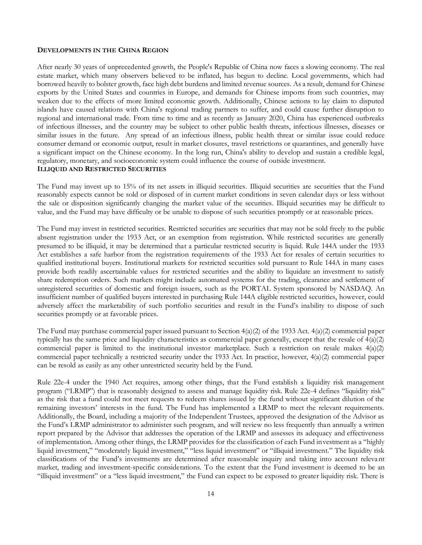## **DEVELOPMENTS IN THE CHINA REGION**

After nearly 30 years of unprecedented growth, the People's Republic of China now faces a slowing economy. The real estate market, which many observers believed to be inflated, has begun to decline. Local governments, which had borrowed heavily to bolster growth, face high debt burdens and limited revenue sources. As a result, demand for Chinese exports by the United States and countries in Europe, and demands for Chinese imports from such countries, may weaken due to the effects of more limited economic growth. Additionally, Chinese actions to lay claim to disputed islands have caused relations with China's regional trading partners to suffer, and could cause further disruption to regional and international trade. From time to time and as recently as January 2020, China has experienced outbreaks of infectious illnesses, and the country may be subject to other public health threats, infectious illnesses, diseases or similar issues in the future. Any spread of an infectious illness, public health threat or similar issue could reduce consumer demand or economic output, result in market closures, travel restrictions or quarantines, and generally have a significant impact on the Chinese economy. In the long run, China's ability to develop and sustain a credible legal, regulatory, monetary, and socioeconomic system could influence the course of outside investment. **ILLIQUID AND RESTRICTED SECURITIES**

# The Fund may invest up to 15% of its net assets in illiquid securities. Illiquid securities are securities that the Fund reasonably expects cannot be sold or disposed of in current market conditions in seven calendar days or less without the sale or disposition significantly changing the market value of the securities. Illiquid securities may be difficult to

The Fund may invest in restricted securities. Restricted securities are securities that may not be sold freely to the public absent registration under the 1933 Act, or an exemption from registration. While restricted securities are generally presumed to be illiquid, it may be determined that a particular restricted security is liquid. Rule 144A under the 1933 Act establishes a safe harbor from the registration requirements of the 1933 Act for resales of certain securities to qualified institutional buyers. Institutional markets for restricted securities sold pursuant to Rule 144A in many cases provide both readily ascertainable values for restricted securities and the ability to liquidate an investment to satisfy share redemption orders. Such markets might include automated systems for the trading, clearance and settlement of unregistered securities of domestic and foreign issuers, such as the PORTAL System sponsored by NASDAQ. An insufficient number of qualified buyers interested in purchasing Rule 144A eligible restricted securities, however, could adversely affect the marketability of such portfolio securities and result in the Fund's inability to dispose of such securities promptly or at favorable prices.

value, and the Fund may have difficulty or be unable to dispose of such securities promptly or at reasonable prices.

The Fund may purchase commercial paper issued pursuant to Section  $4(a)(2)$  of the 1933 Act.  $4(a)(2)$  commercial paper typically has the same price and liquidity characteristics as commercial paper generally, except that the resale of  $4(a)(2)$ commercial paper is limited to the institutional investor marketplace. Such a restriction on resale makes 4(a)(2) commercial paper technically a restricted security under the 1933 Act. In practice, however, 4(a)(2) commercial paper can be resold as easily as any other unrestricted security held by the Fund.

Rule 22e-4 under the 1940 Act requires, among other things, that the Fund establish a liquidity risk management program ("LRMP") that is reasonably designed to assess and manage liquidity risk. Rule 22e-4 defines "liquidity risk" as the risk that a fund could not meet requests to redeem shares issued by the fund without significant dilution of the remaining investors' interests in the fund. The Fund has implemented a LRMP to meet the relevant requirements. Additionally, the Board, including a majority of the Independent Trustees, approved the designation of the Advisor as the Fund's LRMP administrator to administer such program, and will review no less frequently than annually a written report prepared by the Advisor that addresses the operation of the LRMP and assesses its adequacy and effectiveness of implementation. Among other things, the LRMP provides for the classification of each Fund investment as a "highly liquid investment," "moderately liquid investment," "less liquid investment" or "illiquid investment." The liquidity risk classifications of the Fund's investments are determined after reasonable inquiry and taking into account relevant market, trading and investment-specific considerations. To the extent that the Fund investment is deemed to be an "illiquid investment" or a "less liquid investment," the Fund can expect to be exposed to greater liquidity risk. There is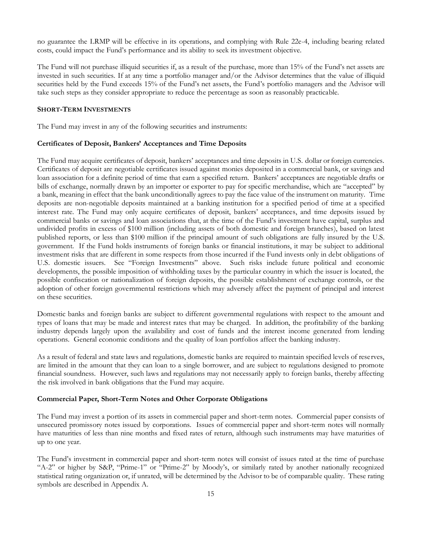no guarantee the LRMP will be effective in its operations, and complying with Rule 22e-4, including bearing related costs, could impact the Fund's performance and its ability to seek its investment objective.

The Fund will not purchase illiquid securities if, as a result of the purchase, more than 15% of the Fund's net assets are invested in such securities. If at any time a portfolio manager and/or the Advisor determines that the value of illiquid securities held by the Fund exceeds 15% of the Fund's net assets, the Fund's portfolio managers and the Advisor will take such steps as they consider appropriate to reduce the percentage as soon as reasonably practicable.

# **SHORT-TERM INVESTMENTS**

The Fund may invest in any of the following securities and instruments:

### **Certificates of Deposit, Bankers' Acceptances and Time Deposits**

The Fund may acquire certificates of deposit, bankers' acceptances and time deposits in U.S. dollar or foreign currencies. Certificates of deposit are negotiable certificates issued against monies deposited in a commercial bank, or savings and loan association for a definite period of time that earn a specified return. Bankers' acceptances are negotiable drafts or bills of exchange, normally drawn by an importer or exporter to pay for specific merchandise, which are "accepted" by a bank, meaning in effect that the bank unconditionally agrees to pay the face value of the instrument on maturity. Time deposits are non-negotiable deposits maintained at a banking institution for a specified period of time at a specified interest rate. The Fund may only acquire certificates of deposit, bankers' acceptances, and time deposits issued by commercial banks or savings and loan associations that, at the time of the Fund's investment have capital, surplus and undivided profits in excess of \$100 million (including assets of both domestic and foreign branches), based on latest published reports, or less than \$100 million if the principal amount of such obligations are fully insured by the U.S. government. If the Fund holds instruments of foreign banks or financial institutions, it may be subject to additional investment risks that are different in some respects from those incurred if the Fund invests only in debt obligations of U.S. domestic issuers. See "Foreign Investments" above. Such risks include future political and economic developments, the possible imposition of withholding taxes by the particular country in which the issuer is located, the possible confiscation or nationalization of foreign deposits, the possible establishment of exchange controls, or the adoption of other foreign governmental restrictions which may adversely affect the payment of principal and interest on these securities.

Domestic banks and foreign banks are subject to different governmental regulations with respect to the amount and types of loans that may be made and interest rates that may be charged. In addition, the profitability of the banking industry depends largely upon the availability and cost of funds and the interest income generated from lending operations. General economic conditions and the quality of loan portfolios affect the banking industry.

As a result of federal and state laws and regulations, domestic banks are required to maintain specified levels of reserves, are limited in the amount that they can loan to a single borrower, and are subject to regulations designed to promote financial soundness. However, such laws and regulations may not necessarily apply to foreign banks, thereby affecting the risk involved in bank obligations that the Fund may acquire.

#### **Commercial Paper, Short-Term Notes and Other Corporate Obligations**

The Fund may invest a portion of its assets in commercial paper and short-term notes. Commercial paper consists of unsecured promissory notes issued by corporations. Issues of commercial paper and short-term notes will normally have maturities of less than nine months and fixed rates of return, although such instruments may have maturities of up to one year.

The Fund's investment in commercial paper and short-term notes will consist of issues rated at the time of purchase "A-2" or higher by S&P, "Prime-1" or "Prime-2" by Moody's, or similarly rated by another nationally recognized statistical rating organization or, if unrated, will be determined by the Advisor to be of comparable quality. These rating symbols are described in Appendix A.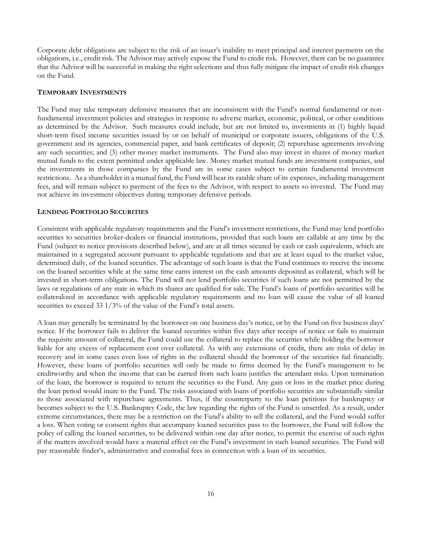Corporate debt obligations are subject to the risk of an issuer's inability to meet principal and interest payments on the obligations, i.e., credit risk. The Advisor may actively expose the Fund to credit risk. However, there can be no guarantee that the Advisor will be successful in making the right selections and thus fully mitigate the impact of credit risk changes on the Fund.

#### **TEMPORARY INVESTMENTS**

The Fund may take temporary defensive measures that are inconsistent with the Fund's normal fundamental or nonfundamental investment policies and strategies in response to adverse market, economic, political, or other conditions as determined by the Advisor. Such measures could include, but are not limited to, investments in (1) highly liquid short-term fixed income securities issued by or on behalf of municipal or corporate issuers, obligations of the U.S. government and its agencies, commercial paper, and bank certificates of deposit; (2) repurchase agreements involving any such securities; and (3) other money market instruments. The Fund also may invest in shares of money market mutual funds to the extent permitted under applicable law. Money market mutual funds are investment companies, and the investments in those companies by the Fund are in some cases subject to certain fundamental investment restrictions. As a shareholder in a mutual fund, the Fund will bear its ratable share of its expenses, including management fees, and will remain subject to payment of the fees to the Advisor, with respect to assets so invested. The Fund may not achieve its investment objectives during temporary defensive periods.

### **LENDING PORTFOLIO SECURITIES**

Consistent with applicable regulatory requirements and the Fund's investment restrictions, the Fund may lend portfolio securities to securities broker-dealers or financial institutions, provided that such loans are callable at any time by the Fund (subject to notice provisions described below), and are at all times secured by cash or cash equivalents, which are maintained in a segregated account pursuant to applicable regulations and that are at least equal to the market value, determined daily, of the loaned securities. The advantage of such loans is that the Fund continues to receive the income on the loaned securities while at the same time earns interest on the cash amounts deposited as collateral, which will be invested in short-term obligations. The Fund will not lend portfolio securities if such loans are not permitted by the laws or regulations of any state in which its shares are qualified for sale. The Fund's loans of portfolio securities will be collateralized in accordance with applicable regulatory requirements and no loan will cause the value of all loaned securities to exceed 33 1/3% of the value of the Fund's total assets.

A loan may generally be terminated by the borrower on one business day's notice, or by the Fund on five business days' notice. If the borrower fails to deliver the loaned securities within five days after receipt of notice or fails to maintain the requisite amount of collateral, the Fund could use the collateral to replace the securities while holding the borrower liable for any excess of replacement cost over collateral. As with any extensions of credit, there are risks of delay in recovery and in some cases even loss of rights in the collateral should the borrower of the securities fail financially. However, these loans of portfolio securities will only be made to firms deemed by the Fund's management to be creditworthy and when the income that can be earned from such loans justifies the attendant risks. Upon termination of the loan, the borrower is required to return the securities to the Fund. Any gain or loss in the market price during the loan period would inure to the Fund. The risks associated with loans of portfolio securities are substantially similar to those associated with repurchase agreements. Thus, if the counterparty to the loan petitions for bankruptcy or becomes subject to the U.S. Bankruptcy Code, the law regarding the rights of the Fund is unsettled. As a result, under extreme circumstances, there may be a restriction on the Fund's ability to sell the collateral, and the Fund would suffer a loss. When voting or consent rights that accompany loaned securities pass to the borrower, the Fund will follow the policy of calling the loaned securities, to be delivered within one day after notice, to permit the exercise of such rights if the matters involved would have a material effect on the Fund's investment in such loaned securities. The Fund will pay reasonable finder's, administrative and custodial fees in connection with a loan of its securities.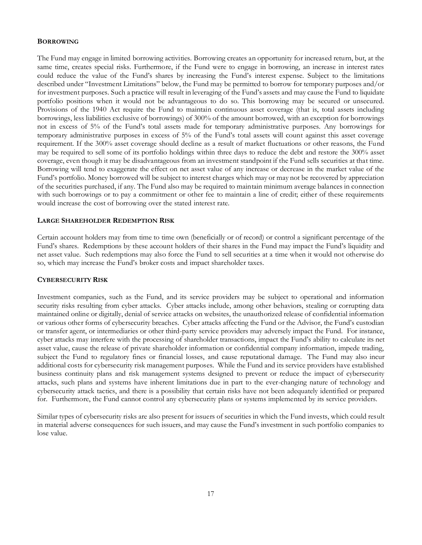### **BORROWING**

The Fund may engage in limited borrowing activities. Borrowing creates an opportunity for increased return, but, at the same time, creates special risks. Furthermore, if the Fund were to engage in borrowing, an increase in interest rates could reduce the value of the Fund's shares by increasing the Fund's interest expense. Subject to the limitations described under "Investment Limitations" below, the Fund may be permitted to borrow for temporary purposes and/or for investment purposes. Such a practice will result in leveraging of the Fund's assets and may cause the Fund to liquidate portfolio positions when it would not be advantageous to do so. This borrowing may be secured or unsecured. Provisions of the 1940 Act require the Fund to maintain continuous asset coverage (that is, total assets including borrowings, less liabilities exclusive of borrowings) of 300% of the amount borrowed, with an exception for borrowings not in excess of 5% of the Fund's total assets made for temporary administrative purposes. Any borrowings for temporary administrative purposes in excess of 5% of the Fund's total assets will count against this asset coverage requirement. If the 300% asset coverage should decline as a result of market fluctuations or other reasons, the Fund may be required to sell some of its portfolio holdings within three days to reduce the debt and restore the 300% asset coverage, even though it may be disadvantageous from an investment standpoint if the Fund sells securities at that time. Borrowing will tend to exaggerate the effect on net asset value of any increase or decrease in the market value of the Fund's portfolio. Money borrowed will be subject to interest charges which may or may not be recovered by appreciation of the securities purchased, if any. The Fund also may be required to maintain minimum average balances in connection with such borrowings or to pay a commitment or other fee to maintain a line of credit; either of these requirements would increase the cost of borrowing over the stated interest rate.

### **LARGE SHAREHOLDER REDEMPTION RISK**

Certain account holders may from time to time own (beneficially or of record) or control a significant percentage of the Fund's shares. Redemptions by these account holders of their shares in the Fund may impact the Fund's liquidity and net asset value. Such redemptions may also force the Fund to sell securities at a time when it would not otherwise do so, which may increase the Fund's broker costs and impact shareholder taxes.

### **CYBERSECURITY RISK**

Investment companies, such as the Fund, and its service providers may be subject to operational and information security risks resulting from cyber attacks. Cyber attacks include, among other behaviors, stealing or corrupting data maintained online or digitally, denial of service attacks on websites, the unauthorized release of confidential information or various other forms of cybersecurity breaches. Cyber attacks affecting the Fund or the Advisor, the Fund's custodian or transfer agent, or intermediaries or other third-party service providers may adversely impact the Fund. For instance, cyber attacks may interfere with the processing of shareholder transactions, impact the Fund's ability to calculate its net asset value, cause the release of private shareholder information or confidential company information, impede trading, subject the Fund to regulatory fines or financial losses, and cause reputational damage. The Fund may also incur additional costs for cybersecurity risk management purposes. While the Fund and its service providers have established business continuity plans and risk management systems designed to prevent or reduce the impact of cybersecurity attacks, such plans and systems have inherent limitations due in part to the ever-changing nature of technology and cybersecurity attack tactics, and there is a possibility that certain risks have not been adequately identified or prepared for. Furthermore, the Fund cannot control any cybersecurity plans or systems implemented by its service providers.

Similar types of cybersecurity risks are also present for issuers of securities in which the Fund invests, which could result in material adverse consequences for such issuers, and may cause the Fund's investment in such portfolio companies to lose value.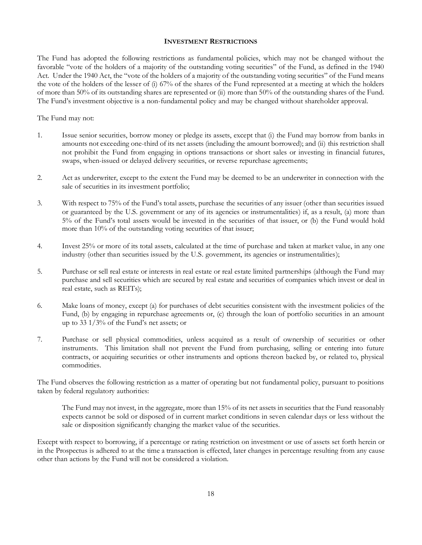### **INVESTMENT RESTRICTIONS**

The Fund has adopted the following restrictions as fundamental policies, which may not be changed without the favorable "vote of the holders of a majority of the outstanding voting securities" of the Fund, as defined in the 1940 Act. Under the 1940 Act, the "vote of the holders of a majority of the outstanding voting securities" of the Fund means the vote of the holders of the lesser of (i) 67% of the shares of the Fund represented at a meeting at which the holders of more than 50% of its outstanding shares are represented or (ii) more than 50% of the outstanding shares of the Fund. The Fund's investment objective is a non-fundamental policy and may be changed without shareholder approval.

The Fund may not:

- 1. Issue senior securities, borrow money or pledge its assets, except that (i) the Fund may borrow from banks in amounts not exceeding one-third of its net assets (including the amount borrowed); and (ii) this restriction shall not prohibit the Fund from engaging in options transactions or short sales or investing in financial futures, swaps, when-issued or delayed delivery securities, or reverse repurchase agreements;
- 2. Act as underwriter, except to the extent the Fund may be deemed to be an underwriter in connection with the sale of securities in its investment portfolio;
- 3. With respect to 75% of the Fund's total assets, purchase the securities of any issuer (other than securities issued or guaranteed by the U.S. government or any of its agencies or instrumentalities) if, as a result, (a) more than 5% of the Fund's total assets would be invested in the securities of that issuer, or (b) the Fund would hold more than 10% of the outstanding voting securities of that issuer;
- 4. Invest 25% or more of its total assets, calculated at the time of purchase and taken at market value, in any one industry (other than securities issued by the U.S. government, its agencies or instrumentalities);
- 5. Purchase or sell real estate or interests in real estate or real estate limited partnerships (although the Fund may purchase and sell securities which are secured by real estate and securities of companies which invest or deal in real estate, such as REITs);
- 6. Make loans of money, except (a) for purchases of debt securities consistent with the investment policies of the Fund, (b) by engaging in repurchase agreements or, (c) through the loan of portfolio securities in an amount up to 33 1/3% of the Fund's net assets; or
- 7. Purchase or sell physical commodities, unless acquired as a result of ownership of securities or other instruments. This limitation shall not prevent the Fund from purchasing, selling or entering into future contracts, or acquiring securities or other instruments and options thereon backed by, or related to, physical commodities.

The Fund observes the following restriction as a matter of operating but not fundamental policy, pursuant to positions taken by federal regulatory authorities:

The Fund may not invest, in the aggregate, more than 15% of its net assets in securities that the Fund reasonably expects cannot be sold or disposed of in current market conditions in seven calendar days or less without the sale or disposition significantly changing the market value of the securities.

Except with respect to borrowing, if a percentage or rating restriction on investment or use of assets set forth herein or in the Prospectus is adhered to at the time a transaction is effected, later changes in percentage resulting from any cause other than actions by the Fund will not be considered a violation.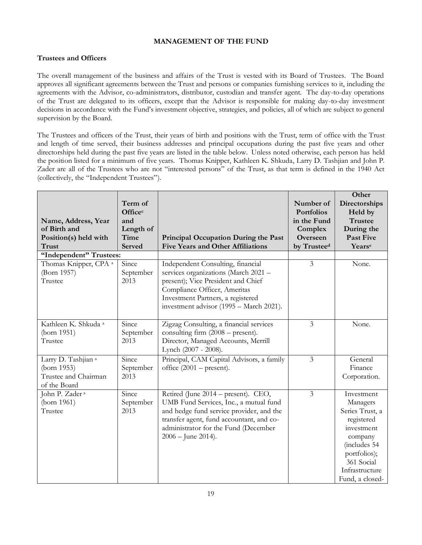# **MANAGEMENT OF THE FUND**

# **Trustees and Officers**

The overall management of the business and affairs of the Trust is vested with its Board of Trustees. The Board approves all significant agreements between the Trust and persons or companies furnishing services to it, including the agreements with the Advisor, co-administrators, distributor, custodian and transfer agent. The day-to-day operations of the Trust are delegated to its officers, except that the Advisor is responsible for making day-to-day investment decisions in accordance with the Fund's investment objective, strategies, and policies, all of which are subject to general supervision by the Board.

The Trustees and officers of the Trust, their years of birth and positions with the Trust, term of office with the Trust and length of time served, their business addresses and principal occupations during the past five years and other directorships held during the past five years are listed in the table below. Unless noted otherwise, each person has held the position listed for a minimum of five years. Thomas Knipper, Kathleen K. Shkuda, Larry D. Tashjian and John P. Zader are all of the Trustees who are not "interested persons" of the Trust, as that term is defined in the 1940 Act (collectively, the "Independent Trustees").

| Name, Address, Year<br>of Birth and<br>Position(s) held with<br><b>Trust</b> | Term of<br>Officec<br>and<br>Length of<br>Time<br><b>Served</b> | Principal Occupation During the Past<br><b>Five Years and Other Affiliations</b>                                                                                                                                                      | Number of<br><b>Portfolios</b><br>in the Fund<br>Complex<br>Overseen<br>by Trusteed | Other<br>Directorships<br>Held by<br><b>Trustee</b><br>During the<br><b>Past Five</b><br>Yearse                                                                     |
|------------------------------------------------------------------------------|-----------------------------------------------------------------|---------------------------------------------------------------------------------------------------------------------------------------------------------------------------------------------------------------------------------------|-------------------------------------------------------------------------------------|---------------------------------------------------------------------------------------------------------------------------------------------------------------------|
| "Independent" Trustees:                                                      |                                                                 |                                                                                                                                                                                                                                       |                                                                                     |                                                                                                                                                                     |
| Thomas Knipper, CPA a<br>(Born 1957)<br>Trustee                              | $\overline{\text{Since}}$<br>September<br>2013                  | Independent Consulting, financial<br>services organizations (March 2021 -<br>present); Vice President and Chief<br>Compliance Officer, Ameritas<br>Investment Partners, a registered<br>investment advisor (1995 - March 2021).       | $\overline{3}$                                                                      | None.                                                                                                                                                               |
| Kathleen K. Shkuda <sup>a</sup><br>(born 1951)<br>Trustee                    | Since<br>September<br>2013                                      | Zigzag Consulting, a financial services<br>consulting firm (2008 – present).<br>Director, Managed Accounts, Merrill<br>Lynch (2007 - 2008).                                                                                           | $\overline{3}$                                                                      | None.                                                                                                                                                               |
| Larry D. Tashjian a<br>(born 1953)<br>Trustee and Chairman<br>of the Board   | Since<br>September<br>2013                                      | Principal, CAM Capital Advisors, a family<br>office $(2001 - present)$ .                                                                                                                                                              | $\mathfrak{Z}$                                                                      | General<br>Finance<br>Corporation.                                                                                                                                  |
| John P. Zader <sup>a</sup><br>(born 1961)<br>Trustee                         | Since<br>September<br>2013                                      | Retired (June 2014 – present). CEO,<br>UMB Fund Services, Inc., a mutual fund<br>and hedge fund service provider, and the<br>transfer agent, fund accountant, and co-<br>administrator for the Fund (December<br>$2006 -$ June 2014). | $\mathfrak{Z}$                                                                      | Investment<br>Managers<br>Series Trust, a<br>registered<br>investment<br>company<br>(includes 54<br>portfolios);<br>361 Social<br>Infrastructure<br>Fund, a closed- |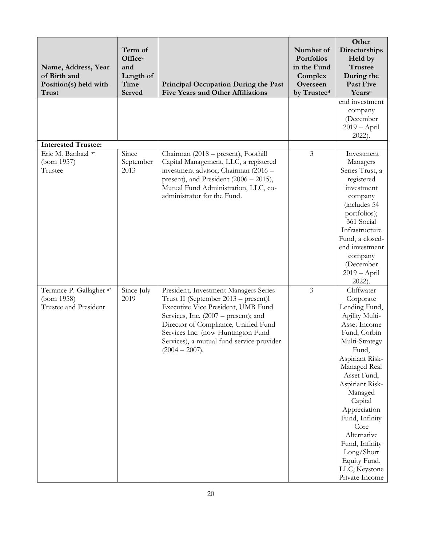| Name, Address, Year<br>of Birth and<br>Position(s) held with<br>Trust       | Term of<br>Officec<br>and<br>Length of<br>Time<br><b>Served</b> | Principal Occupation During the Past<br><b>Five Years and Other Affiliations</b>                                                                                                                                                                                                                           | Number of<br>Portfolios<br>in the Fund<br>Complex<br>Overseen<br>by Trusteed | Other<br>Directorships<br>Held by<br><b>Trustee</b><br>During the<br><b>Past Five</b><br>Yearse<br>end investment                                                                                                                                                                                                                                                                           |
|-----------------------------------------------------------------------------|-----------------------------------------------------------------|------------------------------------------------------------------------------------------------------------------------------------------------------------------------------------------------------------------------------------------------------------------------------------------------------------|------------------------------------------------------------------------------|---------------------------------------------------------------------------------------------------------------------------------------------------------------------------------------------------------------------------------------------------------------------------------------------------------------------------------------------------------------------------------------------|
|                                                                             |                                                                 |                                                                                                                                                                                                                                                                                                            |                                                                              | company<br>(December<br>$2019 - April$<br>$2022$ ).                                                                                                                                                                                                                                                                                                                                         |
| <b>Interested Trustee:</b><br>Eric M. Banhazl bt<br>(born 1957)<br>Trustee  | Since<br>September<br>2013                                      | Chairman (2018 – present), Foothill<br>Capital Management, LLC, a registered<br>investment advisor; Chairman (2016 -<br>present), and President $(2006 – 2015)$ ,<br>Mutual Fund Administration, LLC, co-<br>administrator for the Fund.                                                                   | 3                                                                            | Investment<br>Managers<br>Series Trust, a<br>registered<br>investment<br>company<br>(includes 54<br>portfolios);<br>361 Social<br>Infrastructure<br>Fund, a closed-<br>end investment<br>company<br>(December                                                                                                                                                                               |
| Terrance P. Gallagher <sup>a*</sup><br>(born 1958)<br>Trustee and President | Since July<br>2019                                              | President, Investment Managers Series<br>Trust II (September 2013 – present)l<br>Executive Vice President, UMB Fund<br>Services, Inc. (2007 – present); and<br>Director of Compliance, Unified Fund<br>Services Inc. (now Huntington Fund<br>Services), a mutual fund service provider<br>$(2004 - 2007).$ | 3                                                                            | $2019 - April$<br>$2022$ ).<br>Cliffwater<br>Corporate<br>Lending Fund,<br>Agility Multi-<br>Asset Income<br>Fund, Corbin<br>Multi-Strategy<br>Fund,<br>Aspiriant Risk-<br>Managed Real<br>Asset Fund,<br>Aspiriant Risk-<br>Managed<br>Capital<br>Appreciation<br>Fund, Infinity<br>Core<br>Alternative<br>Fund, Infinity<br>Long/Short<br>Equity Fund,<br>LLC, Keystone<br>Private Income |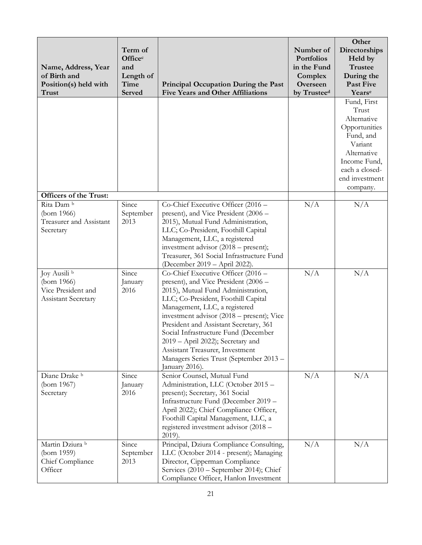| Name, Address, Year<br>of Birth and<br>Position(s) held with<br>Trust                                                                                               | Term of<br>Officec<br>and<br>Length of<br>Time<br><b>Served</b> | Principal Occupation During the Past<br><b>Five Years and Other Affiliations</b>                                                                                                                                                                                                                                                                                                                                                                                                                                                                                                                                                                                                                                  | Number of<br>Portfolios<br>in the Fund<br>Complex<br>Overseen<br>by Trusteed | Other<br>Directorships<br>Held by<br><b>Trustee</b><br>During the<br><b>Past Five</b><br>Yearse                                                             |
|---------------------------------------------------------------------------------------------------------------------------------------------------------------------|-----------------------------------------------------------------|-------------------------------------------------------------------------------------------------------------------------------------------------------------------------------------------------------------------------------------------------------------------------------------------------------------------------------------------------------------------------------------------------------------------------------------------------------------------------------------------------------------------------------------------------------------------------------------------------------------------------------------------------------------------------------------------------------------------|------------------------------------------------------------------------------|-------------------------------------------------------------------------------------------------------------------------------------------------------------|
|                                                                                                                                                                     |                                                                 |                                                                                                                                                                                                                                                                                                                                                                                                                                                                                                                                                                                                                                                                                                                   |                                                                              | Fund, First<br>Trust<br>Alternative<br>Opportunities<br>Fund, and<br>Variant<br>Alternative<br>Income Fund,<br>each a closed-<br>end investment<br>company. |
| <b>Officers of the Trust:</b>                                                                                                                                       |                                                                 |                                                                                                                                                                                                                                                                                                                                                                                                                                                                                                                                                                                                                                                                                                                   |                                                                              |                                                                                                                                                             |
| Rita Dam <sup>b</sup><br>(born 1966)<br>Treasurer and Assistant<br>Secretary<br>Joy Ausili <sup>b</sup><br>(born 1966)<br>Vice President and<br>Assistant Secretary | Since<br>September<br>2013<br>Since<br>January<br>2016          | Co-Chief Executive Officer (2016 -<br>present), and Vice President (2006 -<br>2015), Mutual Fund Administration,<br>LLC; Co-President, Foothill Capital<br>Management, LLC, a registered<br>investment advisor (2018 – present);<br>Treasurer, 361 Social Infrastructure Fund<br>(December 2019 – April 2022).<br>Co-Chief Executive Officer (2016 -<br>present), and Vice President (2006 –<br>2015), Mutual Fund Administration,<br>LLC; Co-President, Foothill Capital<br>Management, LLC, a registered<br>investment advisor (2018 – present); Vice<br>President and Assistant Secretary, 361<br>Social Infrastructure Fund (December<br>2019 - April 2022); Secretary and<br>Assistant Treasurer, Investment | N/A<br>N/A                                                                   | N/A<br>N/A                                                                                                                                                  |
|                                                                                                                                                                     |                                                                 | Managers Series Trust (September 2013 -                                                                                                                                                                                                                                                                                                                                                                                                                                                                                                                                                                                                                                                                           |                                                                              |                                                                                                                                                             |
| Diane Drake b<br>(born 1967)<br>Secretary                                                                                                                           | Since<br>January<br>2016                                        | January 2016).<br>Senior Counsel, Mutual Fund<br>Administration, LLC (October 2015 -<br>present); Secretary, 361 Social<br>Infrastructure Fund (December 2019 -<br>April 2022); Chief Compliance Officer,<br>Foothill Capital Management, LLC, a<br>registered investment advisor (2018 -<br>2019).                                                                                                                                                                                                                                                                                                                                                                                                               | N/A                                                                          | N/A                                                                                                                                                         |
| Martin Dziura b<br>(born 1959)<br>Chief Compliance<br>Officer                                                                                                       | Since<br>September<br>2013                                      | Principal, Dziura Compliance Consulting,<br>LLC (October 2014 - present); Managing<br>Director, Cipperman Compliance<br>Services (2010 – September 2014); Chief<br>Compliance Officer, Hanlon Investment                                                                                                                                                                                                                                                                                                                                                                                                                                                                                                          | N/A                                                                          | N/A                                                                                                                                                         |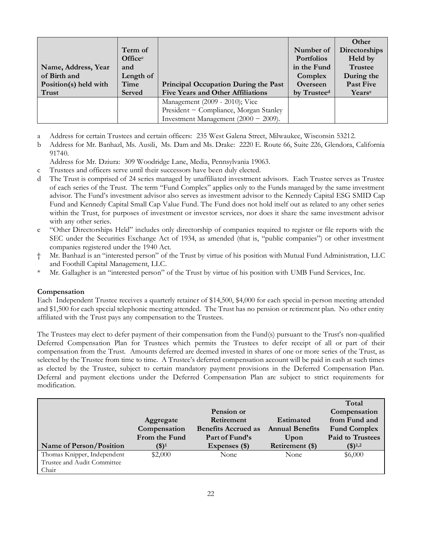|                       |           |                                          |                   | Other            |
|-----------------------|-----------|------------------------------------------|-------------------|------------------|
|                       | Term of   |                                          | Number of         | Directorships    |
|                       | Officec   |                                          | <b>Portfolios</b> | Held by          |
| Name, Address, Year   | and       |                                          | in the Fund       | <b>Trustee</b>   |
| of Birth and          | Length of |                                          | Complex           | During the       |
| Position(s) held with | Time      | Principal Occupation During the Past     | Overseen          | <b>Past Five</b> |
| Trust                 | Served    | <b>Five Years and Other Affiliations</b> | by Trusteed       | Yearse           |
|                       |           | Management (2009 - 2010); Vice           |                   |                  |
|                       |           | President - Compliance, Morgan Stanley   |                   |                  |
|                       |           | Investment Management $(2000 - 2009)$ .  |                   |                  |

- a Address for certain Trustees and certain officers: 235 West Galena Street, Milwaukee, Wisconsin 53212.
- b Address for Mr. Banhazl, Ms. Ausili, Ms. Dam and Ms. Drake: 2220 E. Route 66, Suite 226, Glendora, California 91740.

Address for Mr. Dziura: 309 Woodridge Lane, Media, Pennsylvania 19063.

- c Trustees and officers serve until their successors have been duly elected.
- d The Trust is comprised of 24 series managed by unaffiliated investment advisors. Each Trustee serves as Trustee of each series of the Trust. The term "Fund Complex" applies only to the Funds managed by the same investment advisor. The Fund's investment advisor also serves as investment advisor to the Kennedy Capital ESG SMID Cap Fund and Kennedy Capital Small Cap Value Fund. The Fund does not hold itself out as related to any other series within the Trust, for purposes of investment or investor services, nor does it share the same investment advisor with any other series.
- e "Other Directorships Held" includes only directorship of companies required to register or file reports with the SEC under the Securities Exchange Act of 1934, as amended (that is, "public companies") or other investment companies registered under the 1940 Act.
- † Mr. Banhazl is an "interested person" of the Trust by virtue of his position with Mutual Fund Administration, LLC and Foothill Capital Management, LLC.
- Mr. Gallagher is an "interested person" of the Trust by virtue of his position with UMB Fund Services, Inc.

# **Compensation**

Each Independent Trustee receives a quarterly retainer of \$14,500, \$4,000 for each special in-person meeting attended and \$1,500 for each special telephonic meeting attended. The Trust has no pension or retirement plan. No other entity affiliated with the Trust pays any compensation to the Trustees.

The Trustees may elect to defer payment of their compensation from the Fund(s) pursuant to the Trust's non-qualified Deferred Compensation Plan for Trustees which permits the Trustees to defer receipt of all or part of their compensation from the Trust. Amounts deferred are deemed invested in shares of one or more series of the Trust, as selected by the Trustee from time to time. A Trustee's deferred compensation account will be paid in cash at such times as elected by the Trustee, subject to certain mandatory payment provisions in the Deferred Compensation Plan. Deferral and payment elections under the Deferred Compensation Plan are subject to strict requirements for modification.

|                             |                |                            |                        | Total                   |
|-----------------------------|----------------|----------------------------|------------------------|-------------------------|
|                             |                | Pension or                 |                        | Compensation            |
|                             | Aggregate      | Retirement                 | <b>Estimated</b>       | from Fund and           |
|                             | Compensation   | <b>Benefits Accrued as</b> | <b>Annual Benefits</b> | <b>Fund Complex</b>     |
|                             | From the Fund  | Part of Fund's             | Upon                   | <b>Paid to Trustees</b> |
| Name of Person/Position     | $($ \$) $^{1}$ | Expenses (\$)              | Retirement (\$)        | $(\$)^{1,2}$            |
| Thomas Knipper, Independent | \$2,000        | None                       | None                   | \$6,000                 |
| Trustee and Audit Committee |                |                            |                        |                         |
| Chair                       |                |                            |                        |                         |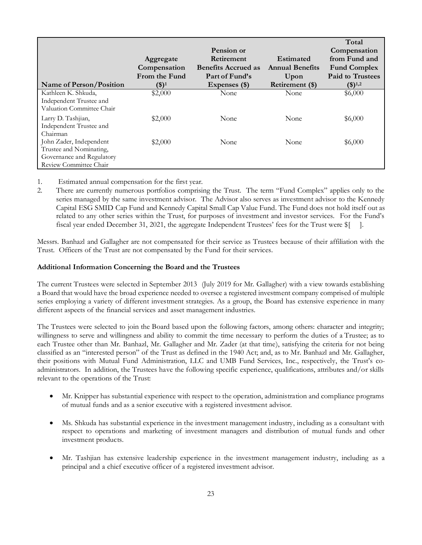|                                                                                                           |               |                            |                        | Total                   |
|-----------------------------------------------------------------------------------------------------------|---------------|----------------------------|------------------------|-------------------------|
|                                                                                                           |               | Pension or                 |                        | Compensation            |
|                                                                                                           | Aggregate     | <b>Retirement</b>          | Estimated              | from Fund and           |
|                                                                                                           | Compensation  | <b>Benefits Accrued as</b> | <b>Annual Benefits</b> | <b>Fund Complex</b>     |
|                                                                                                           | From the Fund | Part of Fund's             | Upon                   | <b>Paid to Trustees</b> |
| Name of Person/Position                                                                                   | $$)^1$        | Expenses (\$)              | Retirement (\$)        | $({\$})^{1,2}$          |
| Kathleen K. Shkuda,<br>Independent Trustee and<br>Valuation Committee Chair                               | \$2,000       | None                       | None                   | \$6,000                 |
| Larry D. Tashjian,<br>Independent Trustee and<br>Chairman                                                 | \$2,000       | None                       | None                   | \$6,000                 |
| John Zader, Independent<br>Trustee and Nominating,<br>Governance and Regulatory<br>Review Committee Chair | \$2,000       | None                       | None                   | \$6,000                 |

- 1. Estimated annual compensation for the first year.
- 2. There are currently numerous portfolios comprising the Trust. The term "Fund Complex" applies only to the series managed by the same investment advisor. The Advisor also serves as investment advisor to the Kennedy Capital ESG SMID Cap Fund and Kennedy Capital Small Cap Value Fund. The Fund does not hold itself out as related to any other series within the Trust, for purposes of investment and investor services. For the Fund's fiscal year ended December 31, 2021, the aggregate Independent Trustees' fees for the Trust were \$[ ].

Messrs. Banhazl and Gallagher are not compensated for their service as Trustees because of their affiliation with the Trust. Officers of the Trust are not compensated by the Fund for their services.

# **Additional Information Concerning the Board and the Trustees**

The current Trustees were selected in September 2013 (July 2019 for Mr. Gallagher) with a view towards establishing a Board that would have the broad experience needed to oversee a registered investment company comprised of multiple series employing a variety of different investment strategies. As a group, the Board has extensive experience in many different aspects of the financial services and asset management industries.

The Trustees were selected to join the Board based upon the following factors, among others: character and integrity; willingness to serve and willingness and ability to commit the time necessary to perform the duties of a Trustee; as to each Trustee other than Mr. Banhazl, Mr. Gallagher and Mr. Zader (at that time), satisfying the criteria for not being classified as an "interested person" of the Trust as defined in the 1940 Act; and, as to Mr. Banhazl and Mr. Gallagher, their positions with Mutual Fund Administration, LLC and UMB Fund Services, Inc., respectively, the Trust's coadministrators. In addition, the Trustees have the following specific experience, qualifications, attributes and/or skills relevant to the operations of the Trust:

- Mr. Knipper has substantial experience with respect to the operation, administration and compliance programs of mutual funds and as a senior executive with a registered investment advisor.
- Ms. Shkuda has substantial experience in the investment management industry, including as a consultant with respect to operations and marketing of investment managers and distribution of mutual funds and other investment products.
- Mr. Tashjian has extensive leadership experience in the investment management industry, including as a principal and a chief executive officer of a registered investment advisor.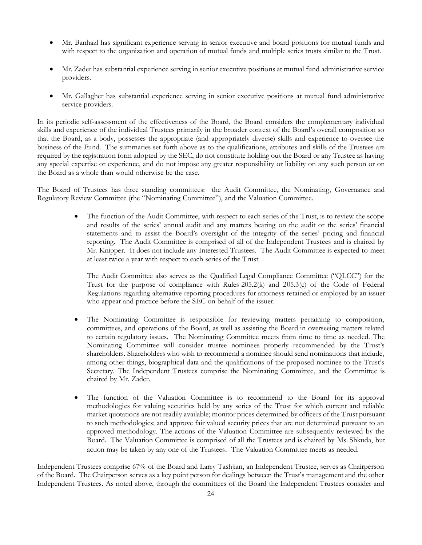- Mr. Banhazl has significant experience serving in senior executive and board positions for mutual funds and with respect to the organization and operation of mutual funds and multiple series trusts similar to the Trust.
- Mr. Zader has substantial experience serving in senior executive positions at mutual fund administrative service providers.
- Mr. Gallagher has substantial experience serving in senior executive positions at mutual fund administrative service providers.

In its periodic self-assessment of the effectiveness of the Board, the Board considers the complementary individual skills and experience of the individual Trustees primarily in the broader context of the Board's overall composition so that the Board, as a body, possesses the appropriate (and appropriately diverse) skills and experience to oversee the business of the Fund. The summaries set forth above as to the qualifications, attributes and skills of the Trustees are required by the registration form adopted by the SEC, do not constitute holding out the Board or any Trustee as having any special expertise or experience, and do not impose any greater responsibility or liability on any such person or on the Board as a whole than would otherwise be the case.

The Board of Trustees has three standing committees: the Audit Committee, the Nominating, Governance and Regulatory Review Committee (the "Nominating Committee"), and the Valuation Committee.

> • The function of the Audit Committee, with respect to each series of the Trust, is to review the scope and results of the series' annual audit and any matters bearing on the audit or the series' financial statements and to assist the Board's oversight of the integrity of the series' pricing and financial reporting. The Audit Committee is comprised of all of the Independent Trustees and is chaired by Mr. Knipper. It does not include any Interested Trustees. The Audit Committee is expected to meet at least twice a year with respect to each series of the Trust.

The Audit Committee also serves as the Qualified Legal Compliance Committee ("QLCC") for the Trust for the purpose of compliance with Rules 205.2(k) and 205.3(c) of the Code of Federal Regulations regarding alternative reporting procedures for attorneys retained or employed by an issuer who appear and practice before the SEC on behalf of the issuer.

- The Nominating Committee is responsible for reviewing matters pertaining to composition, committees, and operations of the Board, as well as assisting the Board in overseeing matters related to certain regulatory issues. The Nominating Committee meets from time to time as needed. The Nominating Committee will consider trustee nominees properly recommended by the Trust's shareholders. Shareholders who wish to recommend a nominee should send nominations that include, among other things, biographical data and the qualifications of the proposed nominee to the Trust's Secretary. The Independent Trustees comprise the Nominating Committee, and the Committee is chaired by Mr. Zader.
- The function of the Valuation Committee is to recommend to the Board for its approval methodologies for valuing securities held by any series of the Trust for which current and reliable market quotations are not readily available; monitor prices determined by officers of the Trust pursuant to such methodologies; and approve fair valued security prices that are not determined pursuant to an approved methodology. The actions of the Valuation Committee are subsequently reviewed by the Board. The Valuation Committee is comprised of all the Trustees and is chaired by Ms. Shkuda, but action may be taken by any one of the Trustees. The Valuation Committee meets as needed.

Independent Trustees comprise 67% of the Board and Larry Tashjian, an Independent Trustee, serves as Chairperson of the Board. The Chairperson serves as a key point person for dealings between the Trust's management and the other Independent Trustees. As noted above, through the committees of the Board the Independent Trustees consider and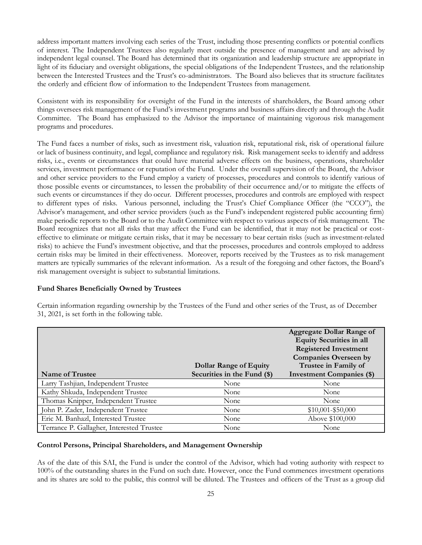address important matters involving each series of the Trust, including those presenting conflicts or potential conflicts of interest. The Independent Trustees also regularly meet outside the presence of management and are advised by independent legal counsel. The Board has determined that its organization and leadership structure are appropriate in light of its fiduciary and oversight obligations, the special obligations of the Independent Trustees, and the relationship between the Interested Trustees and the Trust's co-administrators. The Board also believes that its structure facilitates the orderly and efficient flow of information to the Independent Trustees from management.

Consistent with its responsibility for oversight of the Fund in the interests of shareholders, the Board among other things oversees risk management of the Fund's investment programs and business affairs directly and through the Audit Committee. The Board has emphasized to the Advisor the importance of maintaining vigorous risk management programs and procedures.

The Fund faces a number of risks, such as investment risk, valuation risk, reputational risk, risk of operational failure or lack of business continuity, and legal, compliance and regulatory risk. Risk management seeks to identify and address risks, i.e., events or circumstances that could have material adverse effects on the business, operations, shareholder services, investment performance or reputation of the Fund. Under the overall supervision of the Board, the Advisor and other service providers to the Fund employ a variety of processes, procedures and controls to identify various of those possible events or circumstances, to lessen the probability of their occurrence and/or to mitigate the effects of such events or circumstances if they do occur. Different processes, procedures and controls are employed with respect to different types of risks. Various personnel, including the Trust's Chief Compliance Officer (the "CCO"), the Advisor's management, and other service providers (such as the Fund's independent registered public accounting firm) make periodic reports to the Board or to the Audit Committee with respect to various aspects of risk management. The Board recognizes that not all risks that may affect the Fund can be identified, that it may not be practical or costeffective to eliminate or mitigate certain risks, that it may be necessary to bear certain risks (such as investment-related risks) to achieve the Fund's investment objective, and that the processes, procedures and controls employed to address certain risks may be limited in their effectiveness. Moreover, reports received by the Trustees as to risk management matters are typically summaries of the relevant information. As a result of the foregoing and other factors, the Board's risk management oversight is subject to substantial limitations.

#### **Fund Shares Beneficially Owned by Trustees**

Certain information regarding ownership by the Trustees of the Fund and other series of the Trust, as of December 31, 2021, is set forth in the following table.

|                                           |                               | <b>Aggregate Dollar Range of</b><br><b>Equity Securities in all</b><br><b>Registered Investment</b><br><b>Companies Overseen by</b> |  |
|-------------------------------------------|-------------------------------|-------------------------------------------------------------------------------------------------------------------------------------|--|
|                                           | <b>Dollar Range of Equity</b> | Trustee in Family of                                                                                                                |  |
| <b>Name of Trustee</b>                    | Securities in the Fund (\$)   | <b>Investment Companies (\$)</b>                                                                                                    |  |
| Larry Tashjian, Independent Trustee       | None                          | None                                                                                                                                |  |
| Kathy Shkuda, Independent Trustee         | None                          | None                                                                                                                                |  |
| Thomas Knipper, Independent Trustee       | None                          | None                                                                                                                                |  |
| John P. Zader, Independent Trustee        | None                          | $$10,001 - $50,000$                                                                                                                 |  |
| Eric M. Banhazl, Interested Trustee       | None                          | Above \$100,000                                                                                                                     |  |
| Terrance P. Gallagher, Interested Trustee | None                          | None                                                                                                                                |  |

#### **Control Persons, Principal Shareholders, and Management Ownership**

As of the date of this SAI, the Fund is under the control of the Advisor, which had voting authority with respect to 100% of the outstanding shares in the Fund on such date. However, once the Fund commences investment operations and its shares are sold to the public, this control will be diluted. The Trustees and officers of the Trust as a group did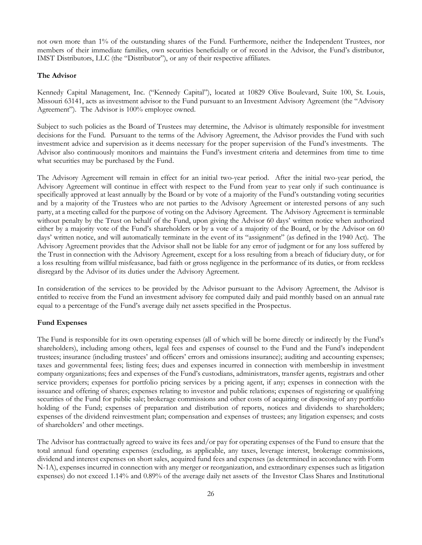not own more than 1% of the outstanding shares of the Fund. Furthermore, neither the Independent Trustees, nor members of their immediate families, own securities beneficially or of record in the Advisor, the Fund's distributor, IMST Distributors, LLC (the "Distributor"), or any of their respective affiliates.

### **The Advisor**

Kennedy Capital Management, Inc. ("Kennedy Capital"), located at 10829 Olive Boulevard, Suite 100, St. Louis, Missouri 63141, acts as investment advisor to the Fund pursuant to an Investment Advisory Agreement (the "Advisory Agreement"). The Advisor is 100% employee owned.

Subject to such policies as the Board of Trustees may determine, the Advisor is ultimately responsible for investment decisions for the Fund. Pursuant to the terms of the Advisory Agreement, the Advisor provides the Fund with such investment advice and supervision as it deems necessary for the proper supervision of the Fund's investments. The Advisor also continuously monitors and maintains the Fund's investment criteria and determines from time to time what securities may be purchased by the Fund.

The Advisory Agreement will remain in effect for an initial two-year period. After the initial two-year period, the Advisory Agreement will continue in effect with respect to the Fund from year to year only if such continuance is specifically approved at least annually by the Board or by vote of a majority of the Fund's outstanding voting securities and by a majority of the Trustees who are not parties to the Advisory Agreement or interested persons of any such party, at a meeting called for the purpose of voting on the Advisory Agreement. The Advisory Agreement is terminable without penalty by the Trust on behalf of the Fund, upon giving the Advisor 60 days' written notice when authorized either by a majority vote of the Fund's shareholders or by a vote of a majority of the Board, or by the Advisor on 60 days' written notice, and will automatically terminate in the event of its "assignment" (as defined in the 1940 Act). The Advisory Agreement provides that the Advisor shall not be liable for any error of judgment or for any loss suffered by the Trust in connection with the Advisory Agreement, except for a loss resulting from a breach of fiduciary duty, or for a loss resulting from willful misfeasance, bad faith or gross negligence in the performance of its duties, or from reckless disregard by the Advisor of its duties under the Advisory Agreement.

In consideration of the services to be provided by the Advisor pursuant to the Advisory Agreement, the Advisor is entitled to receive from the Fund an investment advisory fee computed daily and paid monthly based on an annual rate equal to a percentage of the Fund's average daily net assets specified in the Prospectus.

#### **Fund Expenses**

The Fund is responsible for its own operating expenses (all of which will be borne directly or indirectly by the Fund's shareholders), including among others, legal fees and expenses of counsel to the Fund and the Fund's independent trustees; insurance (including trustees' and officers' errors and omissions insurance); auditing and accounting expenses; taxes and governmental fees; listing fees; dues and expenses incurred in connection with membership in investment company organizations; fees and expenses of the Fund's custodians, administrators, transfer agents, registrars and other service providers; expenses for portfolio pricing services by a pricing agent, if any; expenses in connection with the issuance and offering of shares; expenses relating to investor and public relations; expenses of registering or qualifying securities of the Fund for public sale; brokerage commissions and other costs of acquiring or disposing of any portfolio holding of the Fund; expenses of preparation and distribution of reports, notices and dividends to shareholders; expenses of the dividend reinvestment plan; compensation and expenses of trustees; any litigation expenses; and costs of shareholders' and other meetings.

The Advisor has contractually agreed to waive its fees and/or pay for operating expenses of the Fund to ensure that the total annual fund operating expenses (excluding, as applicable, any taxes, leverage interest, brokerage commissions, dividend and interest expenses on short sales, acquired fund fees and expenses (as determined in accordance with Form N-1A), expenses incurred in connection with any merger or reorganization, and extraordinary expenses such as litigation expenses) do not exceed 1.14% and 0.89% of the average daily net assets of the Investor Class Shares and Institutional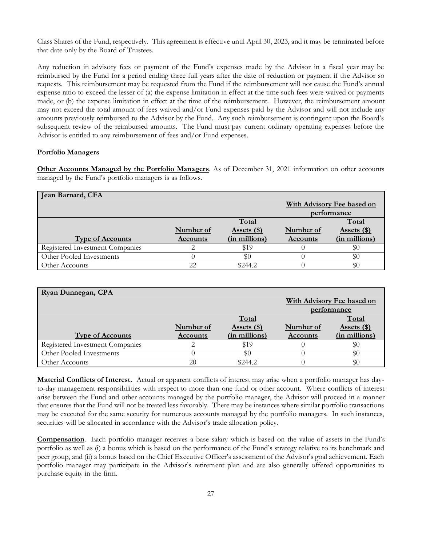Class Shares of the Fund, respectively. This agreement is effective until April 30, 2023, and it may be terminated before that date only by the Board of Trustees.

Any reduction in advisory fees or payment of the Fund's expenses made by the Advisor in a fiscal year may be reimbursed by the Fund for a period ending three full years after the date of reduction or payment if the Advisor so requests. This reimbursement may be requested from the Fund if the reimbursement will not cause the Fund's annual expense ratio to exceed the lesser of (a) the expense limitation in effect at the time such fees were waived or payments made, or (b) the expense limitation in effect at the time of the reimbursement. However, the reimbursement amount may not exceed the total amount of fees waived and/or Fund expenses paid by the Advisor and will not include any amounts previously reimbursed to the Advisor by the Fund. Any such reimbursement is contingent upon the Board's subsequent review of the reimbursed amounts. The Fund must pay current ordinary operating expenses before the Advisor is entitled to any reimbursement of fees and/or Fund expenses.

#### **Portfolio Managers**

**Other Accounts Managed by the Portfolio Managers**. As of December 31, 2021 information on other accounts managed by the Fund's portfolio managers is as follows.

| Iean Barnard, CFA               |           |               |                 |                            |
|---------------------------------|-----------|---------------|-----------------|----------------------------|
|                                 |           |               |                 | With Advisory Fee based on |
|                                 |           |               |                 | performance                |
|                                 |           | Total         |                 | Total                      |
|                                 | Number of | $Assets (\$)$ | Number of       | $Assets ($\)$              |
| <b>Type of Accounts</b>         | Accounts  | (in millions) | <b>Accounts</b> | (in millions)              |
| Registered Investment Companies |           | \$19          |                 | \$0                        |
| Other Pooled Investments        |           | \$0           |                 | \$0                        |
| Other Accounts                  | າາ        | \$244.2       |                 | \$(                        |

| Ryan Dunnegan, CPA              |           |               |                 |                            |
|---------------------------------|-----------|---------------|-----------------|----------------------------|
|                                 |           |               |                 | With Advisory Fee based on |
|                                 |           |               |                 | performance                |
|                                 |           | Total         |                 | Total                      |
|                                 | Number of | $Assets ($\)$ | Number of       | $Assets (\$)$              |
| <b>Type of Accounts</b>         | Accounts  | (in millions) | <b>Accounts</b> | (in millions)              |
| Registered Investment Companies |           | \$19          |                 | \$0                        |
| Other Pooled Investments        |           | \$0           |                 | $\$0$                      |
| Other Accounts                  | 20        | \$244.2       |                 | $\$0$                      |

**Material Conflicts of Interest.** Actual or apparent conflicts of interest may arise when a portfolio manager has dayto-day management responsibilities with respect to more than one fund or other account. Where conflicts of interest arise between the Fund and other accounts managed by the portfolio manager, the Advisor will proceed in a manner that ensures that the Fund will not be treated less favorably. There may be instances where similar portfolio transactions may be executed for the same security for numerous accounts managed by the portfolio managers. In such instances, securities will be allocated in accordance with the Advisor's trade allocation policy.

**Compensation**. Each portfolio manager receives a base salary which is based on the value of assets in the Fund's portfolio as well as (i) a bonus which is based on the performance of the Fund's strategy relative to its benchmark and peer group, and (ii) a bonus based on the Chief Executive Officer's assessment of the Advisor's goal achievement. Each portfolio manager may participate in the Advisor's retirement plan and are also generally offered opportunities to purchase equity in the firm.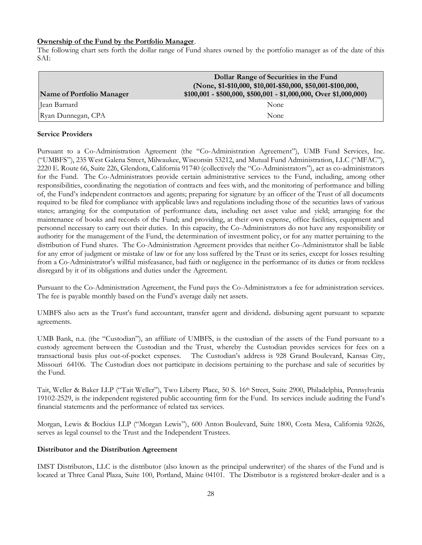# **Ownership of the Fund by the Portfolio Manager**.

The following chart sets forth the dollar range of Fund shares owned by the portfolio manager as of the date of this SAI:

|                           | Dollar Range of Securities in the Fund                         |  |  |
|---------------------------|----------------------------------------------------------------|--|--|
|                           | (None, \$1-\$10,000, \$10,001-\$50,000, \$50,001-\$100,000,    |  |  |
| Name of Portfolio Manager | $$100,001 - $500,000, $500,001 - $1,000,000, Over $1,000,000)$ |  |  |
| Jean Barnard              | None                                                           |  |  |
| Ryan Dunnegan, CPA        | None.                                                          |  |  |

## **Service Providers**

Pursuant to a Co-Administration Agreement (the "Co-Administration Agreement"), UMB Fund Services, Inc. ("UMBFS"), 235 West Galena Street, Milwaukee, Wisconsin 53212, and Mutual Fund Administration, LLC ("MFAC"), 2220 E. Route 66, Suite 226, Glendora, California 91740 (collectively the "Co-Administrators"), act as co-administrators for the Fund. The Co-Administrators provide certain administrative services to the Fund, including, among other responsibilities, coordinating the negotiation of contracts and fees with, and the monitoring of performance and billing of, the Fund's independent contractors and agents; preparing for signature by an officer of the Trust of all documents required to be filed for compliance with applicable laws and regulations including those of the securities laws of various states; arranging for the computation of performance data, including net asset value and yield; arranging for the maintenance of books and records of the Fund; and providing, at their own expense, office facilities, equipment and personnel necessary to carry out their duties. In this capacity, the Co-Administrators do not have any responsibility or authority for the management of the Fund, the determination of investment policy, or for any matter pertaining to the distribution of Fund shares. The Co-Administration Agreement provides that neither Co-Administrator shall be liable for any error of judgment or mistake of law or for any loss suffered by the Trust or its series, except for losses resulting from a Co-Administrator's willful misfeasance, bad faith or negligence in the performance of its duties or from reckless disregard by it of its obligations and duties under the Agreement.

Pursuant to the Co-Administration Agreement, the Fund pays the Co-Administrators a fee for administration services. The fee is payable monthly based on the Fund's average daily net assets.

UMBFS also acts as the Trust's fund accountant, transfer agent and dividend**.** disbursing agent pursuant to separate agreements.

UMB Bank, n.a. (the "Custodian"), an affiliate of UMBFS, is the custodian of the assets of the Fund pursuant to a custody agreement between the Custodian and the Trust, whereby the Custodian provides services for fees on a transactional basis plus out-of-pocket expenses. The Custodian's address is 928 Grand Boulevard, Kansas City, Missouri 64106. The Custodian does not participate in decisions pertaining to the purchase and sale of securities by the Fund.

Tait, Weller & Baker LLP ("Tait Weller"), Two Liberty Place, 50 S. 16th Street, Suite 2900, Philadelphia, Pennsylvania 19102-2529, is the independent registered public accounting firm for the Fund. Its services include auditing the Fund's financial statements and the performance of related tax services.

Morgan, Lewis & Bockius LLP ("Morgan Lewis"), 600 Anton Boulevard, Suite 1800, Costa Mesa, California 92626, serves as legal counsel to the Trust and the Independent Trustees.

# **Distributor and the Distribution Agreement**

IMST Distributors, LLC is the distributor (also known as the principal underwriter) of the shares of the Fund and is located at Three Canal Plaza, Suite 100, Portland, Maine 04101. The Distributor is a registered broker-dealer and is a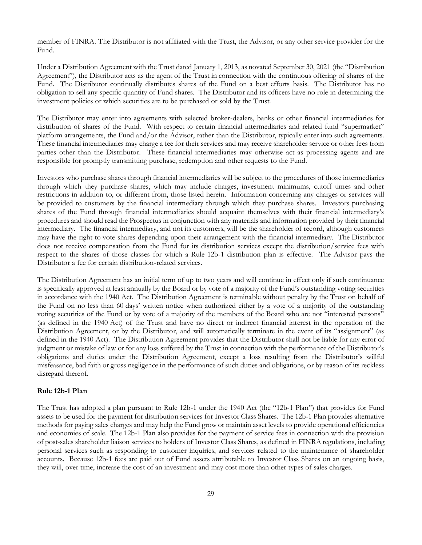member of FINRA. The Distributor is not affiliated with the Trust, the Advisor, or any other service provider for the Fund.

Under a Distribution Agreement with the Trust dated January 1, 2013, as novated September 30, 2021 (the "Distribution Agreement"), the Distributor acts as the agent of the Trust in connection with the continuous offering of shares of the Fund. The Distributor continually distributes shares of the Fund on a best efforts basis. The Distributor has no obligation to sell any specific quantity of Fund shares. The Distributor and its officers have no role in determining the investment policies or which securities are to be purchased or sold by the Trust.

The Distributor may enter into agreements with selected broker-dealers, banks or other financial intermediaries for distribution of shares of the Fund. With respect to certain financial intermediaries and related fund "supermarket" platform arrangements, the Fund and/or the Advisor, rather than the Distributor, typically enter into such agreements. These financial intermediaries may charge a fee for their services and may receive shareholder service or other fees from parties other than the Distributor. These financial intermediaries may otherwise act as processing agents and are responsible for promptly transmitting purchase, redemption and other requests to the Fund.

Investors who purchase shares through financial intermediaries will be subject to the procedures of those intermediaries through which they purchase shares, which may include charges, investment minimums, cutoff times and other restrictions in addition to, or different from, those listed herein. Information concerning any charges or services will be provided to customers by the financial intermediary through which they purchase shares. Investors purchasing shares of the Fund through financial intermediaries should acquaint themselves with their financial intermediary's procedures and should read the Prospectus in conjunction with any materials and information provided by their financial intermediary. The financial intermediary, and not its customers, will be the shareholder of record, although customers may have the right to vote shares depending upon their arrangement with the financial intermediary. The Distributor does not receive compensation from the Fund for its distribution services except the distribution/service fees with respect to the shares of those classes for which a Rule 12b-1 distribution plan is effective. The Advisor pays the Distributor a fee for certain distribution-related services.

The Distribution Agreement has an initial term of up to two years and will continue in effect only if such continuance is specifically approved at least annually by the Board or by vote of a majority of the Fund's outstanding voting securities in accordance with the 1940 Act. The Distribution Agreement is terminable without penalty by the Trust on behalf of the Fund on no less than 60 days' written notice when authorized either by a vote of a majority of the outstanding voting securities of the Fund or by vote of a majority of the members of the Board who are not "interested persons" (as defined in the 1940 Act) of the Trust and have no direct or indirect financial interest in the operation of the Distribution Agreement, or by the Distributor, and will automatically terminate in the event of its "assignment" (as defined in the 1940 Act). The Distribution Agreement provides that the Distributor shall not be liable for any error of judgment or mistake of law or for any loss suffered by the Trust in connection with the performance of the Distributor's obligations and duties under the Distribution Agreement, except a loss resulting from the Distributor's willful misfeasance, bad faith or gross negligence in the performance of such duties and obligations, or by reason of its reckless disregard thereof.

### **Rule 12b-1 Plan**

The Trust has adopted a plan pursuant to Rule 12b-1 under the 1940 Act (the "12b-1 Plan") that provides for Fund assets to be used for the payment for distribution services for Investor Class Shares. The 12b-1 Plan provides alternative methods for paying sales charges and may help the Fund grow or maintain asset levels to provide operational efficiencies and economies of scale. The 12b-1 Plan also provides for the payment of service fees in connection with the provision of post-sales shareholder liaison services to holders of Investor Class Shares, as defined in FINRA regulations, including personal services such as responding to customer inquiries, and services related to the maintenance of shareholder accounts. Because 12b-1 fees are paid out of Fund assets attributable to Investor Class Shares on an ongoing basis, they will, over time, increase the cost of an investment and may cost more than other types of sales charges.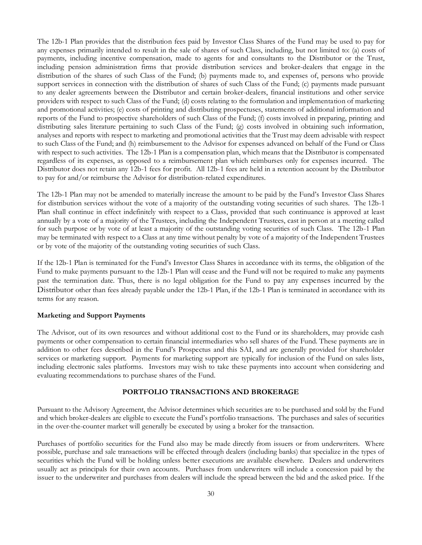The 12b-1 Plan provides that the distribution fees paid by Investor Class Shares of the Fund may be used to pay for any expenses primarily intended to result in the sale of shares of such Class, including, but not limited to: (a) costs of payments, including incentive compensation, made to agents for and consultants to the Distributor or the Trust, including pension administration firms that provide distribution services and broker-dealers that engage in the distribution of the shares of such Class of the Fund; (b) payments made to, and expenses of, persons who provide support services in connection with the distribution of shares of such Class of the Fund; (c) payments made pursuant to any dealer agreements between the Distributor and certain broker-dealers, financial institutions and other service providers with respect to such Class of the Fund; (d) costs relating to the formulation and implementation of marketing and promotional activities; (e) costs of printing and distributing prospectuses, statements of additional information and reports of the Fund to prospective shareholders of such Class of the Fund; (f) costs involved in preparing, printing and distributing sales literature pertaining to such Class of the Fund; (g) costs involved in obtaining such information, analyses and reports with respect to marketing and promotional activities that the Trust may deem advisable with respect to such Class of the Fund; and (h) reimbursement to the Advisor for expenses advanced on behalf of the Fund or Class with respect to such activities. The 12b-1 Plan is a compensation plan, which means that the Distributor is compensated regardless of its expenses, as opposed to a reimbursement plan which reimburses only for expenses incurred. The Distributor does not retain any 12b-1 fees for profit. All 12b-1 fees are held in a retention account by the Distributor to pay for and/or reimburse the Advisor for distribution-related expenditures.

The 12b-1 Plan may not be amended to materially increase the amount to be paid by the Fund's Investor Class Shares for distribution services without the vote of a majority of the outstanding voting securities of such shares. The 12b-1 Plan shall continue in effect indefinitely with respect to a Class, provided that such continuance is approved at least annually by a vote of a majority of the Trustees, including the Independent Trustees, cast in person at a meeting called for such purpose or by vote of at least a majority of the outstanding voting securities of such Class. The 12b-1 Plan may be terminated with respect to a Class at any time without penalty by vote of a majority of the Independent Trustees or by vote of the majority of the outstanding voting securities of such Class.

If the 12b-1 Plan is terminated for the Fund's Investor Class Shares in accordance with its terms, the obligation of the Fund to make payments pursuant to the 12b-1 Plan will cease and the Fund will not be required to make any payments past the termination date. Thus, there is no legal obligation for the Fund to pay any expenses incurred by the Distributor other than fees already payable under the 12b-1 Plan, if the 12b-1 Plan is terminated in accordance with its terms for any reason.

#### **Marketing and Support Payments**

The Advisor, out of its own resources and without additional cost to the Fund or its shareholders, may provide cash payments or other compensation to certain financial intermediaries who sell shares of the Fund. These payments are in addition to other fees described in the Fund's Prospectus and this SAI, and are generally provided for shareholder services or marketing support. Payments for marketing support are typically for inclusion of the Fund on sales lists, including electronic sales platforms. Investors may wish to take these payments into account when considering and evaluating recommendations to purchase shares of the Fund.

### **PORTFOLIO TRANSACTIONS AND BROKERAGE**

Pursuant to the Advisory Agreement, the Advisor determines which securities are to be purchased and sold by the Fund and which broker-dealers are eligible to execute the Fund's portfolio transactions. The purchases and sales of securities in the over-the-counter market will generally be executed by using a broker for the transaction.

Purchases of portfolio securities for the Fund also may be made directly from issuers or from underwriters. Where possible, purchase and sale transactions will be effected through dealers (including banks) that specialize in the types of securities which the Fund will be holding unless better executions are available elsewhere. Dealers and underwriters usually act as principals for their own accounts. Purchases from underwriters will include a concession paid by the issuer to the underwriter and purchases from dealers will include the spread between the bid and the asked price. If the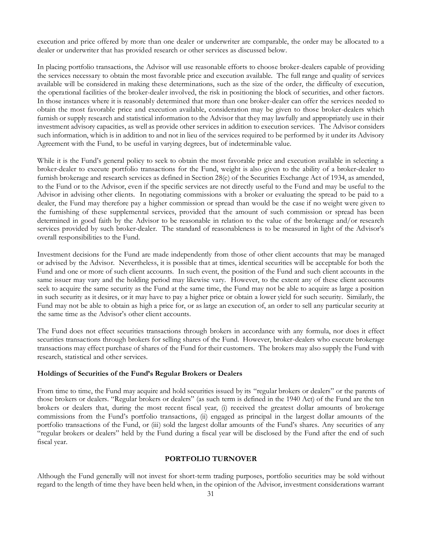execution and price offered by more than one dealer or underwriter are comparable, the order may be allocated to a dealer or underwriter that has provided research or other services as discussed below.

In placing portfolio transactions, the Advisor will use reasonable efforts to choose broker-dealers capable of providing the services necessary to obtain the most favorable price and execution available. The full range and quality of services available will be considered in making these determinations, such as the size of the order, the difficulty of execution, the operational facilities of the broker-dealer involved, the risk in positioning the block of securities, and other factors. In those instances where it is reasonably determined that more than one broker-dealer can offer the services needed to obtain the most favorable price and execution available, consideration may be given to those broker-dealers which furnish or supply research and statistical information to the Advisor that they may lawfully and appropriately use in their investment advisory capacities, as well as provide other services in addition to execution services. The Advisor considers such information, which is in addition to and not in lieu of the services required to be performed by it under its Advisory Agreement with the Fund, to be useful in varying degrees, but of indeterminable value.

While it is the Fund's general policy to seek to obtain the most favorable price and execution available in selecting a broker-dealer to execute portfolio transactions for the Fund, weight is also given to the ability of a broker-dealer to furnish brokerage and research services as defined in Section 28(e) of the Securities Exchange Act of 1934, as amended, to the Fund or to the Advisor, even if the specific services are not directly useful to the Fund and may be useful to the Advisor in advising other clients. In negotiating commissions with a broker or evaluating the spread to be paid to a dealer, the Fund may therefore pay a higher commission or spread than would be the case if no weight were given to the furnishing of these supplemental services, provided that the amount of such commission or spread has been determined in good faith by the Advisor to be reasonable in relation to the value of the brokerage and/or research services provided by such broker-dealer. The standard of reasonableness is to be measured in light of the Advisor's overall responsibilities to the Fund.

Investment decisions for the Fund are made independently from those of other client accounts that may be managed or advised by the Advisor. Nevertheless, it is possible that at times, identical securities will be acceptable for both the Fund and one or more of such client accounts. In such event, the position of the Fund and such client accounts in the same issuer may vary and the holding period may likewise vary. However, to the extent any of these client accounts seek to acquire the same security as the Fund at the same time, the Fund may not be able to acquire as large a position in such security as it desires, or it may have to pay a higher price or obtain a lower yield for such security. Similarly, the Fund may not be able to obtain as high a price for, or as large an execution of, an order to sell any particular security at the same time as the Advisor's other client accounts.

The Fund does not effect securities transactions through brokers in accordance with any formula, nor does it effect securities transactions through brokers for selling shares of the Fund. However, broker-dealers who execute brokerage transactions may effect purchase of shares of the Fund for their customers. The brokers may also supply the Fund with research, statistical and other services.

### **Holdings of Securities of the Fund's Regular Brokers or Dealers**

From time to time, the Fund may acquire and hold securities issued by its "regular brokers or dealers" or the parents of those brokers or dealers. "Regular brokers or dealers" (as such term is defined in the 1940 Act) of the Fund are the ten brokers or dealers that, during the most recent fiscal year, (i) received the greatest dollar amounts of brokerage commissions from the Fund's portfolio transactions, (ii) engaged as principal in the largest dollar amounts of the portfolio transactions of the Fund, or (iii) sold the largest dollar amounts of the Fund's shares. Any securities of any "regular brokers or dealers" held by the Fund during a fiscal year will be disclosed by the Fund after the end of such fiscal year.

#### **PORTFOLIO TURNOVER**

Although the Fund generally will not invest for short-term trading purposes, portfolio securities may be sold without regard to the length of time they have been held when, in the opinion of the Advisor, investment considerations warrant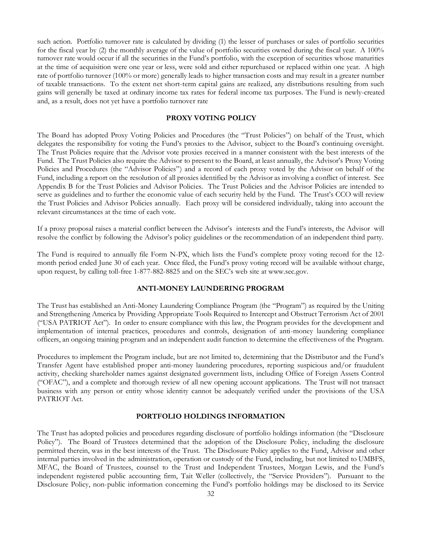such action. Portfolio turnover rate is calculated by dividing (1) the lesser of purchases or sales of portfolio securities for the fiscal year by (2) the monthly average of the value of portfolio securities owned during the fiscal year. A 100% turnover rate would occur if all the securities in the Fund's portfolio, with the exception of securities whose maturities at the time of acquisition were one year or less, were sold and either repurchased or replaced within one year. A high rate of portfolio turnover (100% or more) generally leads to higher transaction costs and may result in a greater number of taxable transactions. To the extent net short-term capital gains are realized, any distributions resulting from such gains will generally be taxed at ordinary income tax rates for federal income tax purposes. The Fund is newly-created and, as a result, does not yet have a portfolio turnover rate

### **PROXY VOTING POLICY**

The Board has adopted Proxy Voting Policies and Procedures (the "Trust Policies") on behalf of the Trust, which delegates the responsibility for voting the Fund's proxies to the Advisor, subject to the Board's continuing oversight. The Trust Policies require that the Advisor vote proxies received in a manner consistent with the best interests of the Fund. The Trust Policies also require the Advisor to present to the Board, at least annually, the Advisor's Proxy Voting Policies and Procedures (the "Advisor Policies") and a record of each proxy voted by the Advisor on behalf of the Fund, including a report on the resolution of all proxies identified by the Advisor as involving a conflict of interest. See Appendix B for the Trust Policies and Advisor Policies. The Trust Policies and the Advisor Policies are intended to serve as guidelines and to further the economic value of each security held by the Fund. The Trust's CCO will review the Trust Policies and Advisor Policies annually. Each proxy will be considered individually, taking into account the relevant circumstances at the time of each vote.

If a proxy proposal raises a material conflict between the Advisor's interests and the Fund's interests, the Advisor will resolve the conflict by following the Advisor's policy guidelines or the recommendation of an independent third party.

The Fund is required to annually file Form N-PX, which lists the Fund's complete proxy voting record for the 12 month period ended June 30 of each year. Once filed, the Fund's proxy voting record will be available without charge, upon request, by calling toll-free 1-877-882-8825 and on the SEC's web site at www.sec.gov.

#### **ANTI-MONEY LAUNDERING PROGRAM**

The Trust has established an Anti-Money Laundering Compliance Program (the "Program") as required by the Uniting and Strengthening America by Providing Appropriate Tools Required to Intercept and Obstruct Terrorism Act of 2001 ("USA PATRIOT Act"). In order to ensure compliance with this law, the Program provides for the development and implementation of internal practices, procedures and controls, designation of anti-money laundering compliance officers, an ongoing training program and an independent audit function to determine the effectiveness of the Program.

Procedures to implement the Program include, but are not limited to, determining that the Distributor and the Fund's Transfer Agent have established proper anti-money laundering procedures, reporting suspicious and/or fraudulent activity, checking shareholder names against designated government lists, including Office of Foreign Assets Control ("OFAC"), and a complete and thorough review of all new opening account applications. The Trust will not transact business with any person or entity whose identity cannot be adequately verified under the provisions of the USA PATRIOT Act.

#### **PORTFOLIO HOLDINGS INFORMATION**

The Trust has adopted policies and procedures regarding disclosure of portfolio holdings information (the "Disclosure Policy"). The Board of Trustees determined that the adoption of the Disclosure Policy, including the disclosure permitted therein, was in the best interests of the Trust. The Disclosure Policy applies to the Fund, Advisor and other internal parties involved in the administration, operation or custody of the Fund, including, but not limited to UMBFS, MFAC, the Board of Trustees, counsel to the Trust and Independent Trustees, Morgan Lewis, and the Fund's independent registered public accounting firm, Tait Weller (collectively, the "Service Providers"). Pursuant to the Disclosure Policy, non-public information concerning the Fund's portfolio holdings may be disclosed to its Service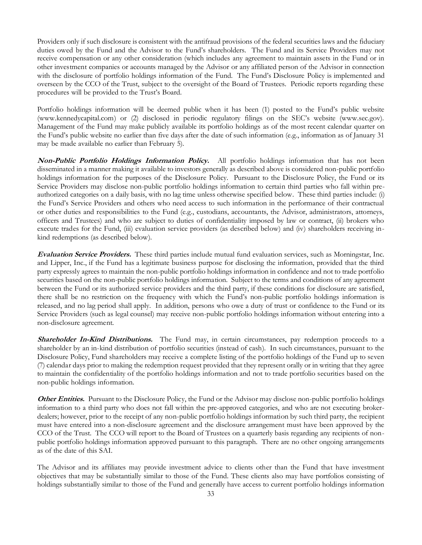Providers only if such disclosure is consistent with the antifraud provisions of the federal securities laws and the fiduciary duties owed by the Fund and the Advisor to the Fund's shareholders. The Fund and its Service Providers may not receive compensation or any other consideration (which includes any agreement to maintain assets in the Fund or in other investment companies or accounts managed by the Advisor or any affiliated person of the Advisor in connection with the disclosure of portfolio holdings information of the Fund. The Fund's Disclosure Policy is implemented and overseen by the CCO of the Trust, subject to the oversight of the Board of Trustees. Periodic reports regarding these procedures will be provided to the Trust's Board.

Portfolio holdings information will be deemed public when it has been (1) posted to the Fund's public website (www.kennedycapital.com) or (2) disclosed in periodic regulatory filings on the SEC's website (www.sec.gov). Management of the Fund may make publicly available its portfolio holdings as of the most recent calendar quarter on the Fund's public website no earlier than five days after the date of such information (e.g., information as of January 31 may be made available no earlier than February 5).

**Non-Public Portfolio Holdings Information Policy.**All portfolio holdings information that has not been disseminated in a manner making it available to investors generally as described above is considered non-public portfolio holdings information for the purposes of the Disclosure Policy. Pursuant to the Disclosure Policy, the Fund or its Service Providers may disclose non-public portfolio holdings information to certain third parties who fall within preauthorized categories on a daily basis, with no lag time unless otherwise specified below. These third parties include: (i) the Fund's Service Providers and others who need access to such information in the performance of their contractual or other duties and responsibilities to the Fund (e.g., custodians, accountants, the Advisor, administrators, attorneys, officers and Trustees) and who are subject to duties of confidentiality imposed by law or contract, (ii) brokers who execute trades for the Fund, (iii) evaluation service providers (as described below) and (iv) shareholders receiving inkind redemptions (as described below).

**Evaluation Service Providers.**These third parties include mutual fund evaluation services, such as Morningstar, Inc. and Lipper, Inc., if the Fund has a legitimate business purpose for disclosing the information, provided that the third party expressly agrees to maintain the non-public portfolio holdings information in confidence and not to trade portfolio securities based on the non-public portfolio holdings information. Subject to the terms and conditions of any agreement between the Fund or its authorized service providers and the third party, if these conditions for disclosure are satisfied, there shall be no restriction on the frequency with which the Fund's non-public portfolio holdings information is released, and no lag period shall apply. In addition, persons who owe a duty of trust or confidence to the Fund or its Service Providers (such as legal counsel) may receive non-public portfolio holdings information without entering into a non-disclosure agreement.

**Shareholder In-Kind Distributions.** The Fund may, in certain circumstances, pay redemption proceeds to a shareholder by an in-kind distribution of portfolio securities (instead of cash). In such circumstances, pursuant to the Disclosure Policy, Fund shareholders may receive a complete listing of the portfolio holdings of the Fund up to seven (7) calendar days prior to making the redemption request provided that they represent orally or in writing that they agree to maintain the confidentiality of the portfolio holdings information and not to trade portfolio securities based on the non-public holdings information.

**Other Entities.** Pursuant to the Disclosure Policy, the Fund or the Advisor may disclose non-public portfolio holdings information to a third party who does not fall within the pre-approved categories, and who are not executing brokerdealers; however, prior to the receipt of any non-public portfolio holdings information by such third party, the recipient must have entered into a non-disclosure agreement and the disclosure arrangement must have been approved by the CCO of the Trust. The CCO will report to the Board of Trustees on a quarterly basis regarding any recipients of nonpublic portfolio holdings information approved pursuant to this paragraph. There are no other ongoing arrangements as of the date of this SAI.

The Advisor and its affiliates may provide investment advice to clients other than the Fund that have investment objectives that may be substantially similar to those of the Fund. These clients also may have portfolios consisting of holdings substantially similar to those of the Fund and generally have access to current portfolio holdings information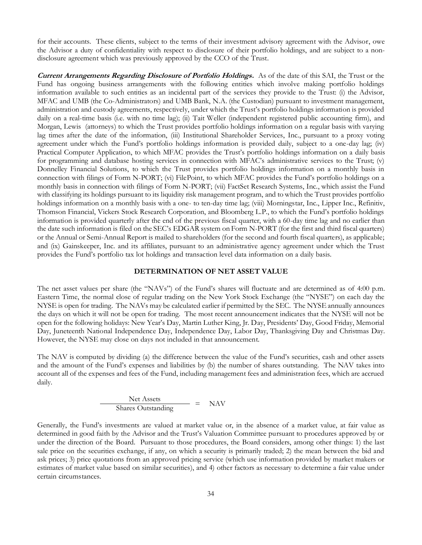for their accounts. These clients, subject to the terms of their investment advisory agreement with the Advisor, owe the Advisor a duty of confidentiality with respect to disclosure of their portfolio holdings, and are subject to a nondisclosure agreement which was previously approved by the CCO of the Trust.

**Current Arrangements Regarding Disclosure of Portfolio Holdings.** As of the date of this SAI, the Trust or the Fund has ongoing business arrangements with the following entities which involve making portfolio holdings information available to such entities as an incidental part of the services they provide to the Trust: (i) the Advisor, MFAC and UMB (the Co-Administrators) and UMB Bank, N.A. (the Custodian) pursuant to investment management, administration and custody agreements, respectively, under which the Trust's portfolio holdings information is provided daily on a real-time basis (i.e. with no time lag); (ii) Tait Weller (independent registered public accounting firm), and Morgan, Lewis (attorneys) to which the Trust provides portfolio holdings information on a regular basis with varying lag times after the date of the information, (iii) Institutional Shareholder Services, Inc., pursuant to a proxy voting agreement under which the Fund's portfolio holdings information is provided daily, subject to a one-day lag; (iv) Practical Computer Application, to which MFAC provides the Trust's portfolio holdings information on a daily basis for programming and database hosting services in connection with MFAC's administrative services to the Trust; (v) Donnelley Financial Solutions, to which the Trust provides portfolio holdings information on a monthly basis in connection with filings of Form N-PORT; (vi) FilePoint, to which MFAC provides the Fund's portfolio holdings on a monthly basis in connection with filings of Form N-PORT; (vii) FactSet Research Systems, Inc., which assist the Fund with classifying its holdings pursuant to its liquidity risk management program, and to which the Trust provides portfolio holdings information on a monthly basis with a one- to ten-day time lag; (viii) Morningstar, Inc., Lipper Inc., Refinitiv, Thomson Financial, Vickers Stock Research Corporation, and Bloomberg L.P., to which the Fund's portfolio holdings information is provided quarterly after the end of the previous fiscal quarter, with a 60-day time lag and no earlier than the date such information is filed on the SEC's EDGAR system on Form N-PORT (for the first and third fiscal quarters) or the Annual or Semi-Annual Report is mailed to shareholders (for the second and fourth fiscal quarters), as applicable; and (ix) Gainskeeper, Inc. and its affiliates, pursuant to an administrative agency agreement under which the Trust provides the Fund's portfolio tax lot holdings and transaction level data information on a daily basis.

### **DETERMINATION OF NET ASSET VALUE**

The net asset values per share (the "NAVs") of the Fund's shares will fluctuate and are determined as of 4:00 p.m. Eastern Time, the normal close of regular trading on the New York Stock Exchange (the "NYSE") on each day the NYSE is open for trading. The NAVs may be calculated earlier if permitted by the SEC. The NYSE annually announces the days on which it will not be open for trading. The most recent announcement indicates that the NYSE will not be open for the following holidays: New Year's Day, Martin Luther King, Jr. Day, Presidents' Day, Good Friday, Memorial Day, Juneteenth National Independence Day, Independence Day, Labor Day, Thanksgiving Day and Christmas Day. However, the NYSE may close on days not included in that announcement.

The NAV is computed by dividing (a) the difference between the value of the Fund's securities, cash and other assets and the amount of the Fund's expenses and liabilities by (b) the number of shares outstanding. The NAV takes into account all of the expenses and fees of the Fund, including management fees and administration fees, which are accrued daily.

| Net Assets         | $NAV$ |     |
|--------------------|-------|-----|
| Shares Outstanding | =     | NAV |

Generally, the Fund's investments are valued at market value or, in the absence of a market value, at fair value as determined in good faith by the Advisor and the Trust's Valuation Committee pursuant to procedures approved by or under the direction of the Board. Pursuant to those procedures, the Board considers, among other things: 1) the last sale price on the securities exchange, if any, on which a security is primarily traded; 2) the mean between the bid and ask prices; 3) price quotations from an approved pricing service (which use information provided by market makers or estimates of market value based on similar securities), and 4) other factors as necessary to determine a fair value under certain circumstances.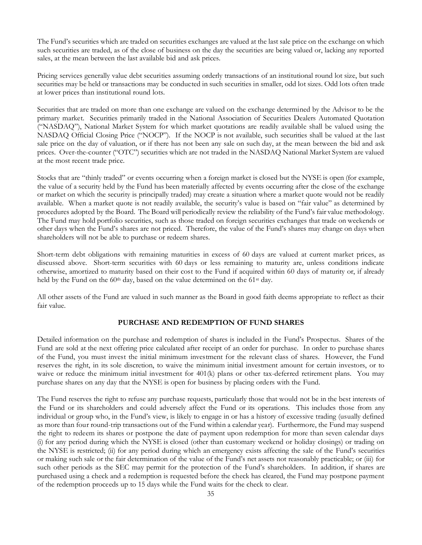The Fund's securities which are traded on securities exchanges are valued at the last sale price on the exchange on which such securities are traded, as of the close of business on the day the securities are being valued or, lacking any reported sales, at the mean between the last available bid and ask prices.

Pricing services generally value debt securities assuming orderly transactions of an institutional round lot size, but such securities may be held or transactions may be conducted in such securities in smaller, odd lot sizes. Odd lots often trade at lower prices than institutional round lots.

Securities that are traded on more than one exchange are valued on the exchange determined by the Advisor to be the primary market. Securities primarily traded in the National Association of Securities Dealers Automated Quotation ("NASDAQ"), National Market System for which market quotations are readily available shall be valued using the NASDAQ Official Closing Price ("NOCP"). If the NOCP is not available, such securities shall be valued at the last sale price on the day of valuation, or if there has not been any sale on such day, at the mean between the bid and ask prices. Over-the-counter ("OTC") securities which are not traded in the NASDAQ National Market System are valued at the most recent trade price.

Stocks that are "thinly traded" or events occurring when a foreign market is closed but the NYSE is open (for example, the value of a security held by the Fund has been materially affected by events occurring after the close of the exchange or market on which the security is principally traded) may create a situation where a market quote would not be readily available. When a market quote is not readily available, the security's value is based on "fair value" as determined by procedures adopted by the Board. The Board will periodically review the reliability of the Fund's fair value methodology. The Fund may hold portfolio securities, such as those traded on foreign securities exchanges that trade on weekends or other days when the Fund's shares are not priced. Therefore, the value of the Fund's shares may change on days when shareholders will not be able to purchase or redeem shares.

Short-term debt obligations with remaining maturities in excess of 60 days are valued at current market prices, as discussed above. Short-term securities with 60 days or less remaining to maturity are, unless conditions indicate otherwise, amortized to maturity based on their cost to the Fund if acquired within 60 days of maturity or, if already held by the Fund on the 60<sup>th</sup> day, based on the value determined on the 61<sup>st</sup> day.

All other assets of the Fund are valued in such manner as the Board in good faith deems appropriate to reflect as their fair value.

# **PURCHASE AND REDEMPTION OF FUND SHARES**

Detailed information on the purchase and redemption of shares is included in the Fund's Prospectus. Shares of the Fund are sold at the next offering price calculated after receipt of an order for purchase. In order to purchase shares of the Fund, you must invest the initial minimum investment for the relevant class of shares. However, the Fund reserves the right, in its sole discretion, to waive the minimum initial investment amount for certain investors, or to waive or reduce the minimum initial investment for 401(k) plans or other tax-deferred retirement plans. You may purchase shares on any day that the NYSE is open for business by placing orders with the Fund.

The Fund reserves the right to refuse any purchase requests, particularly those that would not be in the best interests of the Fund or its shareholders and could adversely affect the Fund or its operations. This includes those from any individual or group who, in the Fund's view, is likely to engage in or has a history of excessive trading (usually defined as more than four round-trip transactions out of the Fund within a calendar year). Furthermore, the Fund may suspend the right to redeem its shares or postpone the date of payment upon redemption for more than seven calendar days (i) for any period during which the NYSE is closed (other than customary weekend or holiday closings) or trading on the NYSE is restricted; (ii) for any period during which an emergency exists affecting the sale of the Fund's securities or making such sale or the fair determination of the value of the Fund's net assets not reasonably practicable; or (iii) for such other periods as the SEC may permit for the protection of the Fund's shareholders. In addition, if shares are purchased using a check and a redemption is requested before the check has cleared, the Fund may postpone payment of the redemption proceeds up to 15 days while the Fund waits for the check to clear.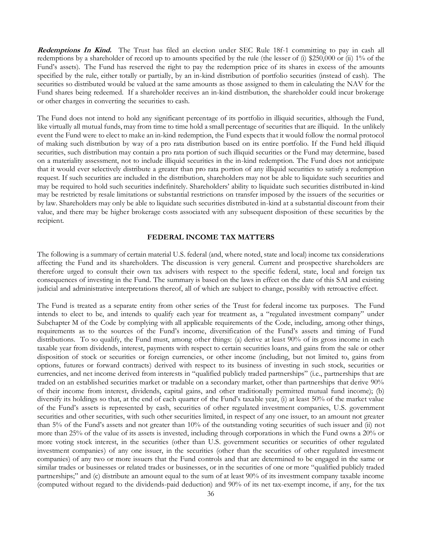**Redemptions In Kind.** The Trust has filed an election under SEC Rule 18f-1 committing to pay in cash all redemptions by a shareholder of record up to amounts specified by the rule (the lesser of (i) \$250,000 or (ii) 1% of the Fund's assets). The Fund has reserved the right to pay the redemption price of its shares in excess of the amounts specified by the rule, either totally or partially, by an in-kind distribution of portfolio securities (instead of cash). The securities so distributed would be valued at the same amounts as those assigned to them in calculating the NAV for the Fund shares being redeemed. If a shareholder receives an in-kind distribution, the shareholder could incur brokerage or other charges in converting the securities to cash.

The Fund does not intend to hold any significant percentage of its portfolio in illiquid securities, although the Fund, like virtually all mutual funds, may from time to time hold a small percentage of securities that are illiquid. In the unlikely event the Fund were to elect to make an in-kind redemption, the Fund expects that it would follow the normal protocol of making such distribution by way of a pro rata distribution based on its entire portfolio. If the Fund held illiquid securities, such distribution may contain a pro rata portion of such illiquid securities or the Fund may determine, based on a materiality assessment, not to include illiquid securities in the in-kind redemption. The Fund does not anticipate that it would ever selectively distribute a greater than pro rata portion of any illiquid securities to satisfy a redemption request. If such securities are included in the distribution, shareholders may not be able to liquidate such securities and may be required to hold such securities indefinitely. Shareholders' ability to liquidate such securities distributed in-kind may be restricted by resale limitations or substantial restrictions on transfer imposed by the issuers of the securities or by law. Shareholders may only be able to liquidate such securities distributed in-kind at a substantial discount from their value, and there may be higher brokerage costs associated with any subsequent disposition of these securities by the recipient.

### **FEDERAL INCOME TAX MATTERS**

The following is a summary of certain material U.S. federal (and, where noted, state and local) income tax considerations affecting the Fund and its shareholders. The discussion is very general. Current and prospective shareholders are therefore urged to consult their own tax advisers with respect to the specific federal, state, local and foreign tax consequences of investing in the Fund. The summary is based on the laws in effect on the date of this SAI and existing judicial and administrative interpretations thereof, all of which are subject to change, possibly with retroactive effect.

The Fund is treated as a separate entity from other series of the Trust for federal income tax purposes. The Fund intends to elect to be, and intends to qualify each year for treatment as, a "regulated investment company" under Subchapter M of the Code by complying with all applicable requirements of the Code, including, among other things, requirements as to the sources of the Fund's income, diversification of the Fund's assets and timing of Fund distributions. To so qualify, the Fund must, among other things: (a) derive at least 90% of its gross income in each taxable year from dividends, interest, payments with respect to certain securities loans, and gains from the sale or other disposition of stock or securities or foreign currencies, or other income (including, but not limited to, gains from options, futures or forward contracts) derived with respect to its business of investing in such stock, securities or currencies, and net income derived from interests in "qualified publicly traded partnerships" (i.e., partnerships that are traded on an established securities market or tradable on a secondary market, other than partnerships that derive 90% of their income from interest, dividends, capital gains, and other traditionally permitted mutual fund income); (b) diversify its holdings so that, at the end of each quarter of the Fund's taxable year, (i) at least 50% of the market value of the Fund's assets is represented by cash, securities of other regulated investment companies, U.S. government securities and other securities, with such other securities limited, in respect of any one issuer, to an amount not greater than 5% of the Fund's assets and not greater than 10% of the outstanding voting securities of such issuer and (ii) not more than 25% of the value of its assets is invested, including through corporations in which the Fund owns a 20% or more voting stock interest, in the securities (other than U.S. government securities or securities of other regulated investment companies) of any one issuer, in the securities (other than the securities of other regulated investment companies) of any two or more issuers that the Fund controls and that are determined to be engaged in the same or similar trades or businesses or related trades or businesses, or in the securities of one or more "qualified publicly traded partnerships;" and (c) distribute an amount equal to the sum of at least 90% of its investment company taxable income (computed without regard to the dividends-paid deduction) and 90% of its net tax-exempt income, if any, for the tax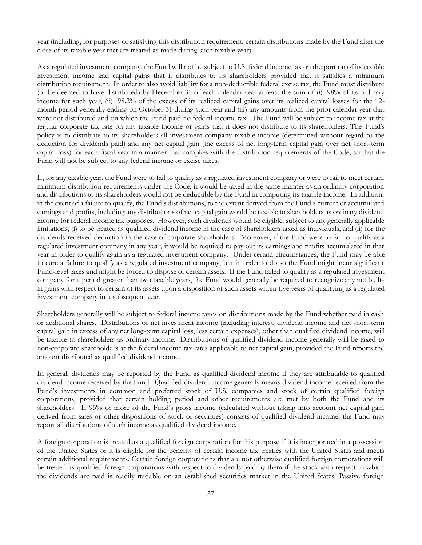year (including, for purposes of satisfying this distribution requirement, certain distributions made by the Fund after the close of its taxable year that are treated as made during such taxable year).

As a regulated investment company, the Fund will not be subject to U.S. federal income tax on the portion of its taxable investment income and capital gains that it distributes to its shareholders provided that it satisfies a minimum distribution requirement. In order to also avoid liability for a non-deductible federal excise tax, the Fund must distribute (or be deemed to have distributed) by December 31 of each calendar year at least the sum of (i) 98% of its ordinary income for such year, (ii) 98.2% of the excess of its realized capital gains over its realized capital losses for the 12 month period generally ending on October 31 during such year and (iii) any amounts from the prior calendar year that were not distributed and on which the Fund paid no federal income tax. The Fund will be subject to income tax at the regular corporate tax rate on any taxable income or gains that it does not distribute to its shareholders. The Fund's policy is to distribute to its shareholders all investment company taxable income (determined without regard to the deduction for dividends paid) and any net capital gain (the excess of net long-term capital gain over net short-term capital loss) for each fiscal year in a manner that complies with the distribution requirements of the Code, so that the Fund will not be subject to any federal income or excise taxes.

If, for any taxable year, the Fund were to fail to qualify as a regulated investment company or were to fail to meet certain minimum distribution requirements under the Code, it would be taxed in the same manner as an ordinary corporation and distributions to its shareholders would not be deductible by the Fund in computing its taxable income. In addition, in the event of a failure to qualify, the Fund's distributions, to the extent derived from the Fund's current or accumulated earnings and profits, including any distributions of net capital gain would be taxable to shareholders as ordinary dividend income for federal income tax purposes. However, such dividends would be eligible, subject to any generally applicable limitations, (i) to be treated as qualified dividend income in the case of shareholders taxed as individuals, and (ii) for the dividends-received deduction in the case of corporate shareholders. Moreover, if the Fund were to fail to qualify as a regulated investment company in any year, it would be required to pay out its earnings and profits accumulated in that year in order to qualify again as a regulated investment company. Under certain circumstances, the Fund may be able to cure a failure to qualify as a regulated investment company, but in order to do so the Fund might incur significant Fund-level taxes and might be forced to dispose of certain assets. If the Fund failed to qualify as a regulated investment company for a period greater than two taxable years, the Fund would generally be required to recognize any net builtin gains with respect to certain of its assets upon a disposition of such assets within five years of qualifying as a regulated investment company in a subsequent year.

Shareholders generally will be subject to federal income taxes on distributions made by the Fund whether paid in cash or additional shares. Distributions of net investment income (including interest, dividend income and net short-term capital gain in excess of any net long-term capital loss, less certain expenses), other than qualified dividend income, will be taxable to shareholders as ordinary income. Distributions of qualified dividend income generally will be taxed to non-corporate shareholders at the federal income tax rates applicable to net capital gain, provided the Fund reports the amount distributed as qualified dividend income.

In general, dividends may be reported by the Fund as qualified dividend income if they are attributable to qualified dividend income received by the Fund. Qualified dividend income generally means dividend income received from the Fund's investments in common and preferred stock of U.S. companies and stock of certain qualified foreign corporations, provided that certain holding period and other requirements are met by both the Fund and its shareholders. If 95% or more of the Fund's gross income (calculated without taking into account net capital gain derived from sales or other dispositions of stock or securities) consists of qualified dividend income, the Fund may report all distributions of such income as qualified dividend income.

A foreign corporation is treated as a qualified foreign corporation for this purpose if it is incorporated in a possession of the United States or it is eligible for the benefits of certain income tax treaties with the United States and meets certain additional requirements. Certain foreign corporations that are not otherwise qualified foreign corporations will be treated as qualified foreign corporations with respect to dividends paid by them if the stock with respect to which the dividends are paid is readily tradable on an established securities market in the United States. Passive foreign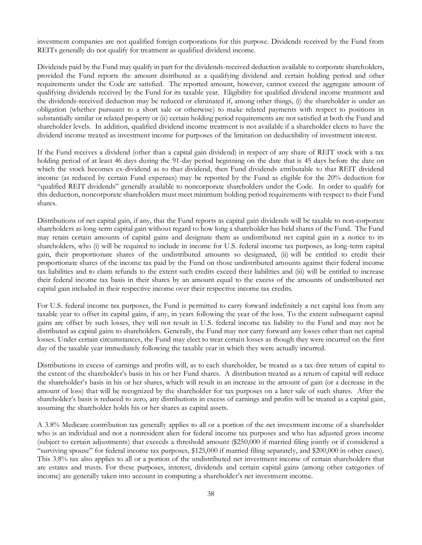investment companies are not qualified foreign corporations for this purpose. Dividends received by the Fund from REITs generally do not qualify for treatment as qualified dividend income.

Dividends paid by the Fund may qualify in part for the dividends-received deduction available to corporate shareholders, provided the Fund reports the amount distributed as a qualifying dividend and certain holding period and other requirements under the Code are satisfied. The reported amount, however, cannot exceed the aggregate amount of qualifying dividends received by the Fund for its taxable year. Eligibility for qualified dividend income treatment and the dividends-received deduction may be reduced or eliminated if, among other things, (i) the shareholder is under an obligation (whether pursuant to a short sale or otherwise) to make related payments with respect to positions in substantially similar or related property or (ii) certain holding period requirements are not satisfied at both the Fund and shareholder levels. In addition, qualified dividend income treatment is not available if a shareholder elects to have the dividend income treated as investment income for purposes of the limitation on deductibility of investment interest.

If the Fund receives a dividend (other than a capital gain dividend) in respect of any share of REIT stock with a tax holding period of at least 46 days during the 91-day period beginning on the date that is 45 days before the date on which the stock becomes ex-dividend as to that dividend, then Fund dividends attributable to that REIT dividend income (as reduced by certain Fund expenses) may be reported by the Fund as eligible for the 20% deduction for "qualified REIT dividends" generally available to noncorporate shareholders under the Code. In order to qualify for this deduction, noncorporate shareholders must meet minimum holding period requirements with respect to their Fund shares.

Distributions of net capital gain, if any, that the Fund reports as capital gain dividends will be taxable to non-corporate shareholders as long-term capital gain without regard to how long a shareholder has held shares of the Fund. The Fund may retain certain amounts of capital gains and designate them as undistributed net capital gain in a notice to its shareholders, who (i) will be required to include in income for U.S. federal income tax purposes, as long-term capital gain, their proportionate shares of the undistributed amounts so designated, (ii) will be entitled to credit their proportionate shares of the income tax paid by the Fund on those undistributed amounts against their federal income tax liabilities and to claim refunds to the extent such credits exceed their liabilities and (iii) will be entitled to increase their federal income tax basis in their shares by an amount equal to the excess of the amounts of undistributed net capital gain included in their respective income over their respective income tax credits.

For U.S. federal income tax purposes, the Fund is permitted to carry forward indefinitely a net capital loss from any taxable year to offset its capital gains, if any, in years following the year of the loss. To the extent subsequent capital gains are offset by such losses, they will not result in U.S. federal income tax liability to the Fund and may not be distributed as capital gains to shareholders. Generally, the Fund may not carry forward any losses other than net capital losses. Under certain circumstances, the Fund may elect to treat certain losses as though they were incurred on the first day of the taxable year immediately following the taxable year in which they were actually incurred.

Distributions in excess of earnings and profits will, as to each shareholder, be treated as a tax-free return of capital to the extent of the shareholder's basis in his or her Fund shares. A distribution treated as a return of capital will reduce the shareholder's basis in his or her shares, which will result in an increase in the amount of gain (or a decrease in the amount of loss) that will be recognized by the shareholder for tax purposes on a later sale of such shares. After the shareholder's basis is reduced to zero, any distributions in excess of earnings and profits will be treated as a capital gain, assuming the shareholder holds his or her shares as capital assets.

A 3.8% Medicare contribution tax generally applies to all or a portion of the net investment income of a shareholder who is an individual and not a nonresident alien for federal income tax purposes and who has adjusted gross income (subject to certain adjustments) that exceeds a threshold amount (\$250,000 if married filing jointly or if considered a "surviving spouse" for federal income tax purposes, \$125,000 if married filing separately, and \$200,000 in other cases). This 3.8% tax also applies to all or a portion of the undistributed net investment income of certain shareholders that are estates and trusts. For these purposes, interest, dividends and certain capital gains (among other categories of income) are generally taken into account in computing a shareholder's net investment income.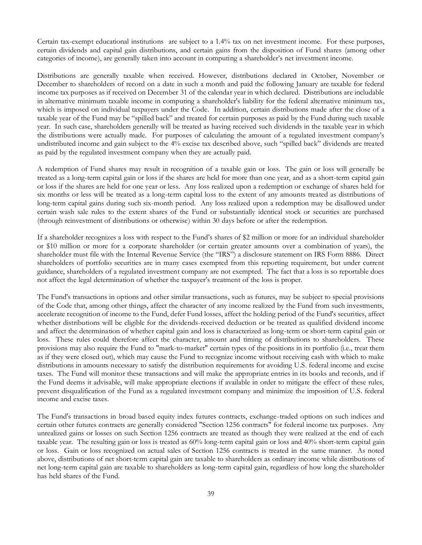Certain tax-exempt educational institutions are subject to a 1.4% tax on net investment income. For these purposes, certain dividends and capital gain distributions, and certain gains from the disposition of Fund shares (among other categories of income), are generally taken into account in computing a shareholder's net investment income.

Distributions are generally taxable when received. However, distributions declared in October, November or December to shareholders of record on a date in such a month and paid the following January are taxable for federal income tax purposes as if received on December 31 of the calendar year in which declared. Distributions are includable in alternative minimum taxable income in computing a shareholder's liability for the federal alternative minimum tax, which is imposed on individual taxpayers under the Code. In addition, certain distributions made after the close of a taxable year of the Fund may be "spilled back" and treated for certain purposes as paid by the Fund during such taxable year. In such case, shareholders generally will be treated as having received such dividends in the taxable year in which the distributions were actually made. For purposes of calculating the amount of a regulated investment company's undistributed income and gain subject to the 4% excise tax described above, such "spilled back" dividends are treated as paid by the regulated investment company when they are actually paid.

A redemption of Fund shares may result in recognition of a taxable gain or loss. The gain or loss will generally be treated as a long-term capital gain or loss if the shares are held for more than one year, and as a short-term capital gain or loss if the shares are held for one year or less. Any loss realized upon a redemption or exchange of shares held for six months or less will be treated as a long-term capital loss to the extent of any amounts treated as distributions of long-term capital gains during such six-month period. Any loss realized upon a redemption may be disallowed under certain wash sale rules to the extent shares of the Fund or substantially identical stock or securities are purchased (through reinvestment of distributions or otherwise) within 30 days before or after the redemption.

If a shareholder recognizes a loss with respect to the Fund's shares of \$2 million or more for an individual shareholder or \$10 million or more for a corporate shareholder (or certain greater amounts over a combination of years), the shareholder must file with the Internal Revenue Service (the "IRS") a disclosure statement on IRS Form 8886. Direct shareholders of portfolio securities are in many cases exempted from this reporting requirement, but under current guidance, shareholders of a regulated investment company are not exempted. The fact that a loss is so reportable does not affect the legal determination of whether the taxpayer's treatment of the loss is proper.

The Fund's transactions in options and other similar transactions, such as futures, may be subject to special provisions of the Code that, among other things, affect the character of any income realized by the Fund from such investments, accelerate recognition of income to the Fund, defer Fund losses, affect the holding period of the Fund's securities, affect whether distributions will be eligible for the dividends-received deduction or be treated as qualified dividend income and affect the determination of whether capital gain and loss is characterized as long-term or short-term capital gain or loss. These rules could therefore affect the character, amount and timing of distributions to shareholders. These provisions may also require the Fund to "mark-to-market" certain types of the positions in its portfolio (i.e., treat them as if they were closed out), which may cause the Fund to recognize income without receiving cash with which to make distributions in amounts necessary to satisfy the distribution requirements for avoiding U.S. federal income and excise taxes. The Fund will monitor these transactions and will make the appropriate entries in its books and records, and if the Fund deems it advisable, will make appropriate elections if available in order to mitigate the effect of these rules, prevent disqualification of the Fund as a regulated investment company and minimize the imposition of U.S. federal income and excise taxes.

The Fund's transactions in broad based equity index futures contracts, exchange-traded options on such indices and certain other futures contracts are generally considered "Section 1256 contracts" for federal income tax purposes. Any unrealized gains or losses on such Section 1256 contracts are treated as though they were realized at the end of each taxable year. The resulting gain or loss is treated as 60% long-term capital gain or loss and 40% short-term capital gain or loss. Gain or loss recognized on actual sales of Section 1256 contracts is treated in the same manner. As noted above, distributions of net short-term capital gain are taxable to shareholders as ordinary income while distributions of net long-term capital gain are taxable to shareholders as long-term capital gain, regardless of how long the shareholder has held shares of the Fund.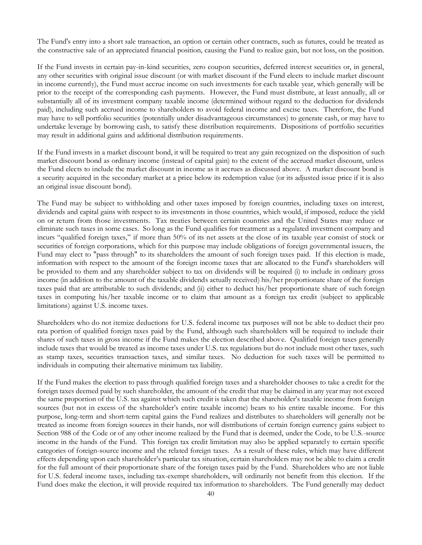The Fund's entry into a short sale transaction, an option or certain other contracts, such as futures, could be treated as the constructive sale of an appreciated financial position, causing the Fund to realize gain, but not loss, on the position.

If the Fund invests in certain pay-in-kind securities, zero coupon securities, deferred interest securities or, in general, any other securities with original issue discount (or with market discount if the Fund elects to include market discount in income currently), the Fund must accrue income on such investments for each taxable year, which generally will be prior to the receipt of the corresponding cash payments. However, the Fund must distribute, at least annually, all or substantially all of its investment company taxable income (determined without regard to the deduction for dividends paid), including such accrued income to shareholders to avoid federal income and excise taxes. Therefore, the Fund may have to sell portfolio securities (potentially under disadvantageous circumstances) to generate cash, or may have to undertake leverage by borrowing cash, to satisfy these distribution requirements. Dispositions of portfolio securities may result in additional gains and additional distribution requirements.

If the Fund invests in a market discount bond, it will be required to treat any gain recognized on the disposition of such market discount bond as ordinary income (instead of capital gain) to the extent of the accrued market discount, unless the Fund elects to include the market discount in income as it accrues as discussed above. A market discount bond is a security acquired in the secondary market at a price below its redemption value (or its adjusted issue price if it is also an original issue discount bond).

The Fund may be subject to withholding and other taxes imposed by foreign countries, including taxes on interest, dividends and capital gains with respect to its investments in those countries, which would, if imposed, reduce the yield on or return from those investments. Tax treaties between certain countries and the United States may reduce or eliminate such taxes in some cases. So long as the Fund qualifies for treatment as a regulated investment company and incurs "qualified foreign taxes," if more than 50% of its net assets at the close of its taxable year consist of stock or securities of foreign corporations, which for this purpose may include obligations of foreign governmental issuers, the Fund may elect to "pass through" to its shareholders the amount of such foreign taxes paid. If this election is made, information with respect to the amount of the foreign income taxes that are allocated to the Fund's shareholders will be provided to them and any shareholder subject to tax on dividends will be required (i) to include in ordinary gross income (in addition to the amount of the taxable dividends actually received) his/her proportionate share of the foreign taxes paid that are attributable to such dividends; and (ii) either to deduct his/her proportionate share of such foreign taxes in computing his/her taxable income or to claim that amount as a foreign tax credit (subject to applicable limitations) against U.S. income taxes.

Shareholders who do not itemize deductions for U.S. federal income tax purposes will not be able to deduct their pro rata portion of qualified foreign taxes paid by the Fund, although such shareholders will be required to include their shares of such taxes in gross income if the Fund makes the election described above. Qualified foreign taxes generally include taxes that would be treated as income taxes under U.S. tax regulations but do not include most other taxes, such as stamp taxes, securities transaction taxes, and similar taxes. No deduction for such taxes will be permitted to individuals in computing their alternative minimum tax liability.

If the Fund makes the election to pass through qualified foreign taxes and a shareholder chooses to take a credit for the foreign taxes deemed paid by such shareholder, the amount of the credit that may be claimed in any year may not exceed the same proportion of the U.S. tax against which such credit is taken that the shareholder's taxable income from foreign sources (but not in excess of the shareholder's entire taxable income) bears to his entire taxable income. For this purpose, long-term and short-term capital gains the Fund realizes and distributes to shareholders will generally not be treated as income from foreign sources in their hands, nor will distributions of certain foreign currency gains subject to Section 988 of the Code or of any other income realized by the Fund that is deemed, under the Code, to be U.S.-source income in the hands of the Fund. This foreign tax credit limitation may also be applied separately to certain specific categories of foreign-source income and the related foreign taxes. As a result of these rules, which may have different effects depending upon each shareholder's particular tax situation, certain shareholders may not be able to claim a credit for the full amount of their proportionate share of the foreign taxes paid by the Fund. Shareholders who are not liable for U.S. federal income taxes, including tax-exempt shareholders, will ordinarily not benefit from this election. If the Fund does make the election, it will provide required tax information to shareholders. The Fund generally may deduct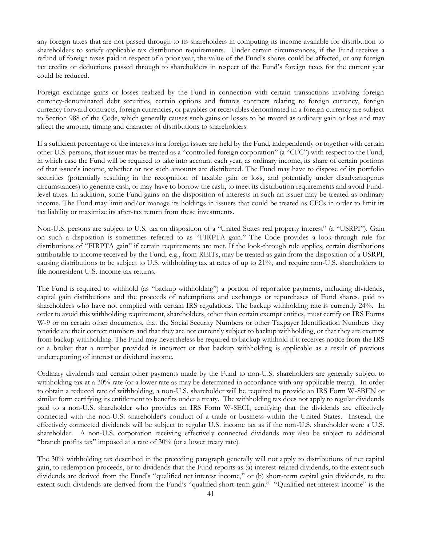any foreign taxes that are not passed through to its shareholders in computing its income available for distribution to shareholders to satisfy applicable tax distribution requirements. Under certain circumstances, if the Fund receives a refund of foreign taxes paid in respect of a prior year, the value of the Fund's shares could be affected, or any foreign tax credits or deductions passed through to shareholders in respect of the Fund's foreign taxes for the current year could be reduced.

Foreign exchange gains or losses realized by the Fund in connection with certain transactions involving foreign currency-denominated debt securities, certain options and futures contracts relating to foreign currency, foreign currency forward contracts, foreign currencies, or payables or receivables denominated in a foreign currency are subject to Section 988 of the Code, which generally causes such gains or losses to be treated as ordinary gain or loss and may affect the amount, timing and character of distributions to shareholders.

If a sufficient percentage of the interests in a foreign issuer are held by the Fund, independently or together with certain other U.S. persons, that issuer may be treated as a "controlled foreign corporation" (a "CFC") with respect to the Fund, in which case the Fund will be required to take into account each year, as ordinary income, its share of certain portions of that issuer's income, whether or not such amounts are distributed. The Fund may have to dispose of its portfolio securities (potentially resulting in the recognition of taxable gain or loss, and potentially under disadvantageous circumstances) to generate cash, or may have to borrow the cash, to meet its distribution requirements and avoid Fundlevel taxes. In addition, some Fund gains on the disposition of interests in such an issuer may be treated as ordinary income. The Fund may limit and/or manage its holdings in issuers that could be treated as CFCs in order to limit its tax liability or maximize its after-tax return from these investments.

Non-U.S. persons are subject to U.S. tax on disposition of a "United States real property interest" (a "USRPI"). Gain on such a disposition is sometimes referred to as "FIRPTA gain." The Code provides a look-through rule for distributions of "FIRPTA gain" if certain requirements are met. If the look-through rule applies, certain distributions attributable to income received by the Fund, e.g., from REITs, may be treated as gain from the disposition of a USRPI, causing distributions to be subject to U.S. withholding tax at rates of up to 21%, and require non-U.S. shareholders to file nonresident U.S. income tax returns.

The Fund is required to withhold (as "backup withholding") a portion of reportable payments, including dividends, capital gain distributions and the proceeds of redemptions and exchanges or repurchases of Fund shares, paid to shareholders who have not complied with certain IRS regulations. The backup withholding rate is currently 24%. In order to avoid this withholding requirement, shareholders, other than certain exempt entities, must certify on IRS Forms W-9 or on certain other documents, that the Social Security Numbers or other Taxpayer Identification Numbers they provide are their correct numbers and that they are not currently subject to backup withholding, or that they are exempt from backup withholding. The Fund may nevertheless be required to backup withhold if it receives notice from the IRS or a broker that a number provided is incorrect or that backup withholding is applicable as a result of previous underreporting of interest or dividend income.

Ordinary dividends and certain other payments made by the Fund to non-U.S. shareholders are generally subject to withholding tax at a 30% rate (or a lower rate as may be determined in accordance with any applicable treaty). In order to obtain a reduced rate of withholding, a non-U.S. shareholder will be required to provide an IRS Form W-8BEN or similar form certifying its entitlement to benefits under a treaty. The withholding tax does not apply to regular dividends paid to a non-U.S. shareholder who provides an IRS Form W-8ECI, certifying that the dividends are effectively connected with the non-U.S. shareholder's conduct of a trade or business within the United States. Instead, the effectively connected dividends will be subject to regular U.S. income tax as if the non-U.S. shareholder were a U.S. shareholder. A non-U.S. corporation receiving effectively connected dividends may also be subject to additional "branch profits tax" imposed at a rate of 30% (or a lower treaty rate).

The 30% withholding tax described in the preceding paragraph generally will not apply to distributions of net capital gain, to redemption proceeds, or to dividends that the Fund reports as (a) interest-related dividends, to the extent such dividends are derived from the Fund's "qualified net interest income," or (b) short-term capital gain dividends, to the extent such dividends are derived from the Fund's "qualified short-term gain." "Qualified net interest income" is the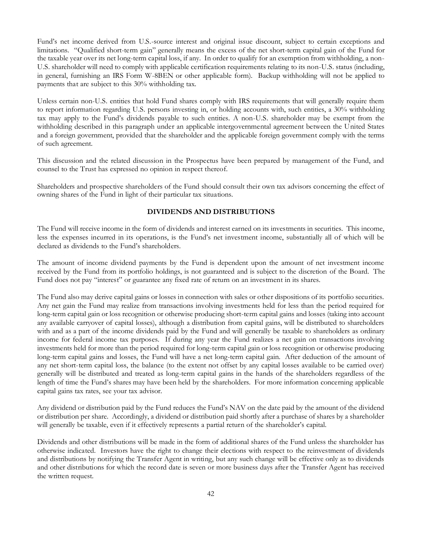Fund's net income derived from U.S.-source interest and original issue discount, subject to certain exceptions and limitations. "Qualified short-term gain" generally means the excess of the net short-term capital gain of the Fund for the taxable year over its net long-term capital loss, if any. In order to qualify for an exemption from withholding, a non-U.S. shareholder will need to comply with applicable certification requirements relating to its non-U.S. status (including, in general, furnishing an IRS Form W-8BEN or other applicable form). Backup withholding will not be applied to payments that are subject to this 30% withholding tax.

Unless certain non-U.S. entities that hold Fund shares comply with IRS requirements that will generally require them to report information regarding U.S. persons investing in, or holding accounts with, such entities, a 30% withholding tax may apply to the Fund's dividends payable to such entities. A non-U.S. shareholder may be exempt from the withholding described in this paragraph under an applicable intergovernmental agreement between the United States and a foreign government, provided that the shareholder and the applicable foreign government comply with the terms of such agreement.

This discussion and the related discussion in the Prospectus have been prepared by management of the Fund, and counsel to the Trust has expressed no opinion in respect thereof.

Shareholders and prospective shareholders of the Fund should consult their own tax advisors concerning the effect of owning shares of the Fund in light of their particular tax situations.

# **DIVIDENDS AND DISTRIBUTIONS**

The Fund will receive income in the form of dividends and interest earned on its investments in securities. This income, less the expenses incurred in its operations, is the Fund's net investment income, substantially all of which will be declared as dividends to the Fund's shareholders.

The amount of income dividend payments by the Fund is dependent upon the amount of net investment income received by the Fund from its portfolio holdings, is not guaranteed and is subject to the discretion of the Board. The Fund does not pay "interest" or guarantee any fixed rate of return on an investment in its shares.

The Fund also may derive capital gains or losses in connection with sales or other dispositions of its portfolio securities. Any net gain the Fund may realize from transactions involving investments held for less than the period required for long-term capital gain or loss recognition or otherwise producing short-term capital gains and losses (taking into account any available carryover of capital losses), although a distribution from capital gains, will be distributed to shareholders with and as a part of the income dividends paid by the Fund and will generally be taxable to shareholders as ordinary income for federal income tax purposes. If during any year the Fund realizes a net gain on transactions involving investments held for more than the period required for long-term capital gain or loss recognition or otherwise producing long-term capital gains and losses, the Fund will have a net long-term capital gain. After deduction of the amount of any net short-term capital loss, the balance (to the extent not offset by any capital losses available to be carried over) generally will be distributed and treated as long-term capital gains in the hands of the shareholders regardless of the length of time the Fund's shares may have been held by the shareholders. For more information concerning applicable capital gains tax rates, see your tax advisor.

Any dividend or distribution paid by the Fund reduces the Fund's NAV on the date paid by the amount of the dividend or distribution per share. Accordingly, a dividend or distribution paid shortly after a purchase of shares by a shareholder will generally be taxable, even if it effectively represents a partial return of the shareholder's capital.

Dividends and other distributions will be made in the form of additional shares of the Fund unless the shareholder has otherwise indicated. Investors have the right to change their elections with respect to the reinvestment of dividends and distributions by notifying the Transfer Agent in writing, but any such change will be effective only as to dividends and other distributions for which the record date is seven or more business days after the Transfer Agent has received the written request.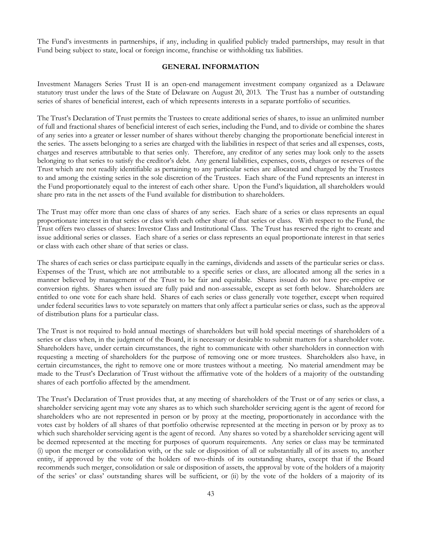The Fund's investments in partnerships, if any, including in qualified publicly traded partnerships, may result in that Fund being subject to state, local or foreign income, franchise or withholding tax liabilities.

# **GENERAL INFORMATION**

Investment Managers Series Trust II is an open-end management investment company organized as a Delaware statutory trust under the laws of the State of Delaware on August 20, 2013. The Trust has a number of outstanding series of shares of beneficial interest, each of which represents interests in a separate portfolio of securities.

The Trust's Declaration of Trust permits the Trustees to create additional series of shares, to issue an unlimited number of full and fractional shares of beneficial interest of each series, including the Fund, and to divide or combine the shares of any series into a greater or lesser number of shares without thereby changing the proportionate beneficial interest in the series. The assets belonging to a series are charged with the liabilities in respect of that series and all expenses, costs, charges and reserves attributable to that series only. Therefore, any creditor of any series may look only to the assets belonging to that series to satisfy the creditor's debt. Any general liabilities, expenses, costs, charges or reserves of the Trust which are not readily identifiable as pertaining to any particular series are allocated and charged by the Trustees to and among the existing series in the sole discretion of the Trustees. Each share of the Fund represents an interest in the Fund proportionately equal to the interest of each other share. Upon the Fund's liquidation, all shareholders would share pro rata in the net assets of the Fund available for distribution to shareholders.

The Trust may offer more than one class of shares of any series. Each share of a series or class represents an equal proportionate interest in that series or class with each other share of that series or class. With respect to the Fund, the Trust offers two classes of shares: Investor Class and Institutional Class. The Trust has reserved the right to create and issue additional series or classes. Each share of a series or class represents an equal proportionate interest in that series or class with each other share of that series or class.

The shares of each series or class participate equally in the earnings, dividends and assets of the particular series or class. Expenses of the Trust, which are not attributable to a specific series or class, are allocated among all the series in a manner believed by management of the Trust to be fair and equitable. Shares issued do not have pre-emptive or conversion rights. Shares when issued are fully paid and non-assessable, except as set forth below. Shareholders are entitled to one vote for each share held. Shares of each series or class generally vote together, except when required under federal securities laws to vote separately on matters that only affect a particular series or class, such as the approval of distribution plans for a particular class.

The Trust is not required to hold annual meetings of shareholders but will hold special meetings of shareholders of a series or class when, in the judgment of the Board, it is necessary or desirable to submit matters for a shareholder vote. Shareholders have, under certain circumstances, the right to communicate with other shareholders in connection with requesting a meeting of shareholders for the purpose of removing one or more trustees. Shareholders also have, in certain circumstances, the right to remove one or more trustees without a meeting. No material amendment may be made to the Trust's Declaration of Trust without the affirmative vote of the holders of a majority of the outstanding shares of each portfolio affected by the amendment.

The Trust's Declaration of Trust provides that, at any meeting of shareholders of the Trust or of any series or class, a shareholder servicing agent may vote any shares as to which such shareholder servicing agent is the agent of record for shareholders who are not represented in person or by proxy at the meeting, proportionately in accordance with the votes cast by holders of all shares of that portfolio otherwise represented at the meeting in person or by proxy as to which such shareholder servicing agent is the agent of record. Any shares so voted by a shareholder servicing agent will be deemed represented at the meeting for purposes of quorum requirements. Any series or class may be terminated (i) upon the merger or consolidation with, or the sale or disposition of all or substantially all of its assets to, another entity, if approved by the vote of the holders of two-thirds of its outstanding shares, except that if the Board recommends such merger, consolidation or sale or disposition of assets, the approval by vote of the holders of a majority of the series' or class' outstanding shares will be sufficient, or (ii) by the vote of the holders of a majority of its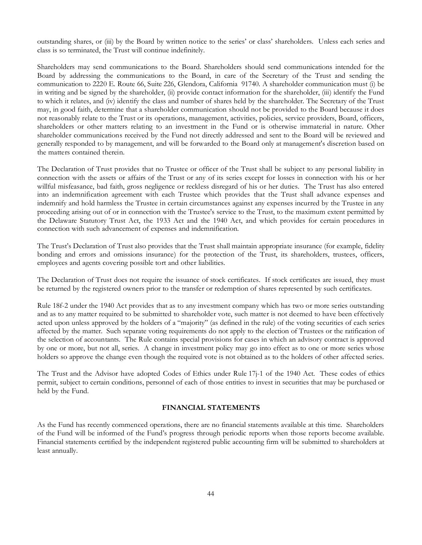outstanding shares, or (iii) by the Board by written notice to the series' or class' shareholders. Unless each series and class is so terminated, the Trust will continue indefinitely.

Shareholders may send communications to the Board. Shareholders should send communications intended for the Board by addressing the communications to the Board, in care of the Secretary of the Trust and sending the communication to 2220 E. Route 66, Suite 226, Glendora, California 91740. A shareholder communication must (i) be in writing and be signed by the shareholder, (ii) provide contact information for the shareholder, (iii) identify the Fund to which it relates, and (iv) identify the class and number of shares held by the shareholder. The Secretary of the Trust may, in good faith, determine that a shareholder communication should not be provided to the Board because it does not reasonably relate to the Trust or its operations, management, activities, policies, service providers, Board, officers, shareholders or other matters relating to an investment in the Fund or is otherwise immaterial in nature. Other shareholder communications received by the Fund not directly addressed and sent to the Board will be reviewed and generally responded to by management, and will be forwarded to the Board only at management's discretion based on the matters contained therein.

The Declaration of Trust provides that no Trustee or officer of the Trust shall be subject to any personal liability in connection with the assets or affairs of the Trust or any of its series except for losses in connection with his or her willful misfeasance, bad faith, gross negligence or reckless disregard of his or her duties. The Trust has also entered into an indemnification agreement with each Trustee which provides that the Trust shall advance expenses and indemnify and hold harmless the Trustee in certain circumstances against any expenses incurred by the Trustee in any proceeding arising out of or in connection with the Trustee's service to the Trust, to the maximum extent permitted by the Delaware Statutory Trust Act, the 1933 Act and the 1940 Act, and which provides for certain procedures in connection with such advancement of expenses and indemnification.

The Trust's Declaration of Trust also provides that the Trust shall maintain appropriate insurance (for example, fidelity bonding and errors and omissions insurance) for the protection of the Trust, its shareholders, trustees, officers, employees and agents covering possible tort and other liabilities.

The Declaration of Trust does not require the issuance of stock certificates. If stock certificates are issued, they must be returned by the registered owners prior to the transfer or redemption of shares represented by such certificates.

Rule 18f-2 under the 1940 Act provides that as to any investment company which has two or more series outstanding and as to any matter required to be submitted to shareholder vote, such matter is not deemed to have been effectively acted upon unless approved by the holders of a "majority" (as defined in the rule) of the voting securities of each series affected by the matter. Such separate voting requirements do not apply to the election of Trustees or the ratification of the selection of accountants. The Rule contains special provisions for cases in which an advisory contract is approved by one or more, but not all, series. A change in investment policy may go into effect as to one or more series whose holders so approve the change even though the required vote is not obtained as to the holders of other affected series.

The Trust and the Advisor have adopted Codes of Ethics under Rule 17j-1 of the 1940 Act. These codes of ethics permit, subject to certain conditions, personnel of each of those entities to invest in securities that may be purchased or held by the Fund.

# **FINANCIAL STATEMENTS**

As the Fund has recently commenced operations, there are no financial statements available at this time. Shareholders of the Fund will be informed of the Fund's progress through periodic reports when those reports become available. Financial statements certified by the independent registered public accounting firm will be submitted to shareholders at least annually.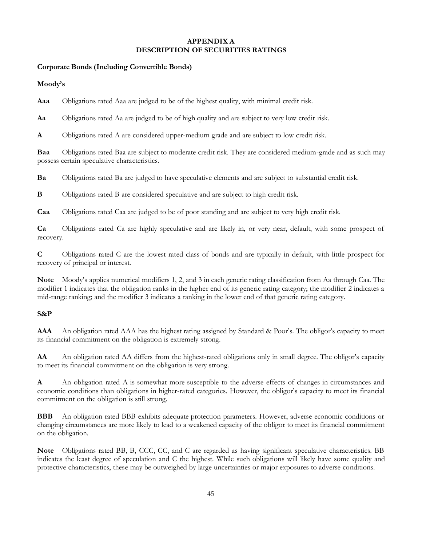# **APPENDIX A DESCRIPTION OF SECURITIES RATINGS**

# **Corporate Bonds (Including Convertible Bonds)**

**Moody's** 

**Aaa** Obligations rated Aaa are judged to be of the highest quality, with minimal credit risk.

**Aa** Obligations rated Aa are judged to be of high quality and are subject to very low credit risk.

**A** Obligations rated A are considered upper-medium grade and are subject to low credit risk.

**Baa** Obligations rated Baa are subject to moderate credit risk. They are considered medium-grade and as such may possess certain speculative characteristics.

**Ba** Obligations rated Ba are judged to have speculative elements and are subject to substantial credit risk.

**B** Obligations rated B are considered speculative and are subject to high credit risk.

**Caa** Obligations rated Caa are judged to be of poor standing and are subject to very high credit risk.

**Ca** Obligations rated Ca are highly speculative and are likely in, or very near, default, with some prospect of recovery.

**C** Obligations rated C are the lowest rated class of bonds and are typically in default, with little prospect for recovery of principal or interest.

**Note** Moody's applies numerical modifiers 1, 2, and 3 in each generic rating classification from Aa through Caa. The modifier 1 indicates that the obligation ranks in the higher end of its generic rating category; the modifier 2 indicates a mid-range ranking; and the modifier 3 indicates a ranking in the lower end of that generic rating category.

# **S&P**

**AAA** An obligation rated AAA has the highest rating assigned by Standard & Poor's. The obligor's capacity to meet its financial commitment on the obligation is extremely strong.

**AA** An obligation rated AA differs from the highest-rated obligations only in small degree. The obligor's capacity to meet its financial commitment on the obligation is very strong.

**A** An obligation rated A is somewhat more susceptible to the adverse effects of changes in circumstances and economic conditions than obligations in higher-rated categories. However, the obligor's capacity to meet its financial commitment on the obligation is still strong.

**BBB** An obligation rated BBB exhibits adequate protection parameters. However, adverse economic conditions or changing circumstances are more likely to lead to a weakened capacity of the obligor to meet its financial commitment on the obligation.

**Note** Obligations rated BB, B, CCC, CC, and C are regarded as having significant speculative characteristics. BB indicates the least degree of speculation and C the highest. While such obligations will likely have some quality and protective characteristics, these may be outweighed by large uncertainties or major exposures to adverse conditions.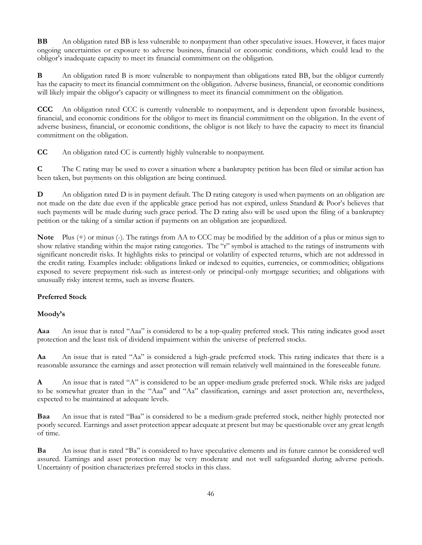**BB** An obligation rated BB is less vulnerable to nonpayment than other speculative issues. However, it faces major ongoing uncertainties or exposure to adverse business, financial or economic conditions, which could lead to the obligor's inadequate capacity to meet its financial commitment on the obligation.

**B** An obligation rated B is more vulnerable to nonpayment than obligations rated BB, but the obligor currently has the capacity to meet its financial commitment on the obligation. Adverse business, financial, or economic conditions will likely impair the obligor's capacity or willingness to meet its financial commitment on the obligation.

**CCC** An obligation rated CCC is currently vulnerable to nonpayment, and is dependent upon favorable business, financial, and economic conditions for the obligor to meet its financial commitment on the obligation. In the event of adverse business, financial, or economic conditions, the obligor is not likely to have the capacity to meet its financial commitment on the obligation.

**CC** An obligation rated CC is currently highly vulnerable to nonpayment.

**C** The C rating may be used to cover a situation where a bankruptcy petition has been filed or similar action has been taken, but payments on this obligation are being continued.

**D** An obligation rated D is in payment default. The D rating category is used when payments on an obligation are not made on the date due even if the applicable grace period has not expired, unless Standard & Poor's believes that such payments will be made during such grace period. The D rating also will be used upon the filing of a bankruptcy petition or the taking of a similar action if payments on an obligation are jeopardized.

**Note** Plus (+) or minus (-). The ratings from AA to CCC may be modified by the addition of a plus or minus sign to show relative standing within the major rating categories. The "r" symbol is attached to the ratings of instruments with significant noncredit risks. It highlights risks to principal or volatility of expected returns, which are not addressed in the credit rating. Examples include: obligations linked or indexed to equities, currencies, or commodities; obligations exposed to severe prepayment risk-such as interest-only or principal-only mortgage securities; and obligations with unusually risky interest terms, such as inverse floaters.

# **Preferred Stock**

# **Moody's**

**Aaa** An issue that is rated "Aaa" is considered to be a top-quality preferred stock. This rating indicates good asset protection and the least risk of dividend impairment within the universe of preferred stocks.

**Aa** An issue that is rated "Aa" is considered a high-grade preferred stock. This rating indicates that there is a reasonable assurance the earnings and asset protection will remain relatively well maintained in the foreseeable future.

**A** An issue that is rated "A" is considered to be an upper-medium grade preferred stock. While risks are judged to be somewhat greater than in the "Aaa" and "Aa" classification, earnings and asset protection are, nevertheless, expected to be maintained at adequate levels.

**Baa** An issue that is rated "Baa" is considered to be a medium-grade preferred stock, neither highly protected nor poorly secured. Earnings and asset protection appear adequate at present but may be questionable over any great length of time.

**Ba** An issue that is rated "Ba" is considered to have speculative elements and its future cannot be considered well assured. Earnings and asset protection may be very moderate and not well safeguarded during adverse periods. Uncertainty of position characterizes preferred stocks in this class.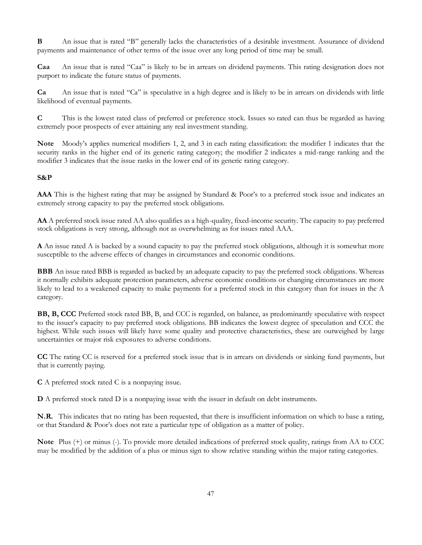**B** An issue that is rated "B" generally lacks the characteristics of a desirable investment. Assurance of dividend payments and maintenance of other terms of the issue over any long period of time may be small.

**Caa** An issue that is rated "Caa" is likely to be in arrears on dividend payments. This rating designation does not purport to indicate the future status of payments.

**Ca** An issue that is rated "Ca" is speculative in a high degree and is likely to be in arrears on dividends with little likelihood of eventual payments.

**C** This is the lowest rated class of preferred or preference stock. Issues so rated can thus be regarded as having extremely poor prospects of ever attaining any real investment standing.

**Note** Moody's applies numerical modifiers 1, 2, and 3 in each rating classification: the modifier 1 indicates that the security ranks in the higher end of its generic rating category; the modifier 2 indicates a mid-range ranking and the modifier 3 indicates that the issue ranks in the lower end of its generic rating category.

# **S&P**

AAA This is the highest rating that may be assigned by Standard & Poor's to a preferred stock issue and indicates an extremely strong capacity to pay the preferred stock obligations.

**AA** A preferred stock issue rated AA also qualifies as a high-quality, fixed-income security. The capacity to pay preferred stock obligations is very strong, although not as overwhelming as for issues rated AAA.

**A** An issue rated A is backed by a sound capacity to pay the preferred stock obligations, although it is somewhat more susceptible to the adverse effects of changes in circumstances and economic conditions.

**BBB** An issue rated BBB is regarded as backed by an adequate capacity to pay the preferred stock obligations. Whereas it normally exhibits adequate protection parameters, adverse economic conditions or changing circumstances are more likely to lead to a weakened capacity to make payments for a preferred stock in this category than for issues in the A category.

**BB, B, CCC** Preferred stock rated BB, B, and CCC is regarded, on balance, as predominantly speculative with respect to the issuer's capacity to pay preferred stock obligations. BB indicates the lowest degree of speculation and CCC the highest. While such issues will likely have some quality and protective characteristics, these are outweighed by large uncertainties or major risk exposures to adverse conditions.

**CC** The rating CC is reserved for a preferred stock issue that is in arrears on dividends or sinking fund payments, but that is currently paying.

**C** A preferred stock rated C is a nonpaying issue.

**D** A preferred stock rated D is a nonpaying issue with the issuer in default on debt instruments.

**N.R.** This indicates that no rating has been requested, that there is insufficient information on which to base a rating, or that Standard & Poor's does not rate a particular type of obligation as a matter of policy.

**Note** Plus (+) or minus (-). To provide more detailed indications of preferred stock quality, ratings from AA to CCC may be modified by the addition of a plus or minus sign to show relative standing within the major rating categories.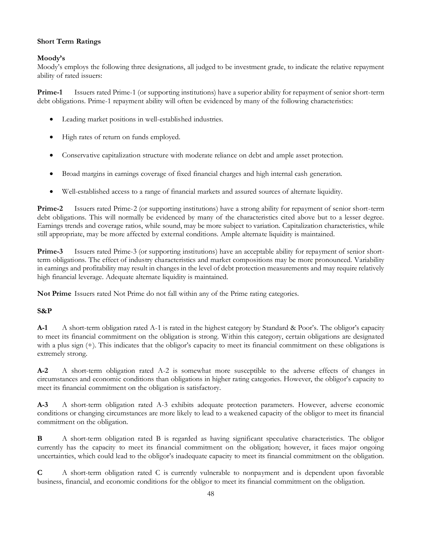# **Short Term Ratings**

# **Moody's**

Moody's employs the following three designations, all judged to be investment grade, to indicate the relative repayment ability of rated issuers:

**Prime-1** Issuers rated Prime-1 (or supporting institutions) have a superior ability for repayment of senior short-term debt obligations. Prime-1 repayment ability will often be evidenced by many of the following characteristics:

- Leading market positions in well-established industries.
- High rates of return on funds employed.
- Conservative capitalization structure with moderate reliance on debt and ample asset protection.
- Broad margins in earnings coverage of fixed financial charges and high internal cash generation.
- Well-established access to a range of financial markets and assured sources of alternate liquidity.

**Prime-2** Issuers rated Prime-2 (or supporting institutions) have a strong ability for repayment of senior short-term debt obligations. This will normally be evidenced by many of the characteristics cited above but to a lesser degree. Earnings trends and coverage ratios, while sound, may be more subject to variation. Capitalization characteristics, while still appropriate, may be more affected by external conditions. Ample alternate liquidity is maintained.

**Prime-3** Issuers rated Prime-3 (or supporting institutions) have an acceptable ability for repayment of senior shortterm obligations. The effect of industry characteristics and market compositions may be more pronounced. Variability in earnings and profitability may result in changes in the level of debt protection measurements and may require relatively high financial leverage. Adequate alternate liquidity is maintained.

**Not Prime** Issuers rated Not Prime do not fall within any of the Prime rating categories.

# **S&P**

**A-1** A short-term obligation rated A-1 is rated in the highest category by Standard & Poor's. The obligor's capacity to meet its financial commitment on the obligation is strong. Within this category, certain obligations are designated with a plus sign (+). This indicates that the obligor's capacity to meet its financial commitment on these obligations is extremely strong.

**A-2** A short-term obligation rated A-2 is somewhat more susceptible to the adverse effects of changes in circumstances and economic conditions than obligations in higher rating categories. However, the obligor's capacity to meet its financial commitment on the obligation is satisfactory.

**A-3** A short-term obligation rated A-3 exhibits adequate protection parameters. However, adverse economic conditions or changing circumstances are more likely to lead to a weakened capacity of the obligor to meet its financial commitment on the obligation.

**B** A short-term obligation rated B is regarded as having significant speculative characteristics. The obligor currently has the capacity to meet its financial commitment on the obligation; however, it faces major ongoing uncertainties, which could lead to the obligor's inadequate capacity to meet its financial commitment on the obligation.

**C** A short-term obligation rated C is currently vulnerable to nonpayment and is dependent upon favorable business, financial, and economic conditions for the obligor to meet its financial commitment on the obligation.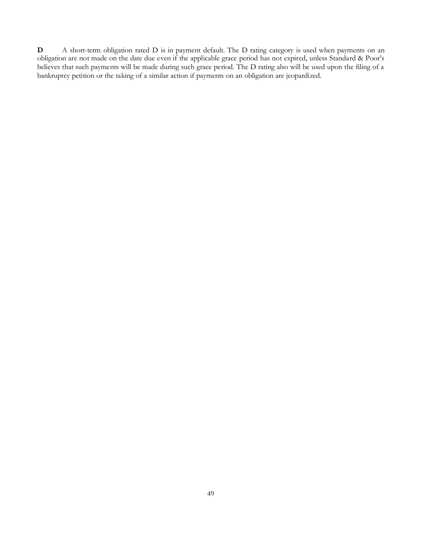**D** A short-term obligation rated D is in payment default. The D rating category is used when payments on an obligation are not made on the date due even if the applicable grace period has not expired, unless Standard & Poor's believes that such payments will be made during such grace period. The D rating also will be used upon the filing of a bankruptcy petition or the taking of a similar action if payments on an obligation are jeopardized.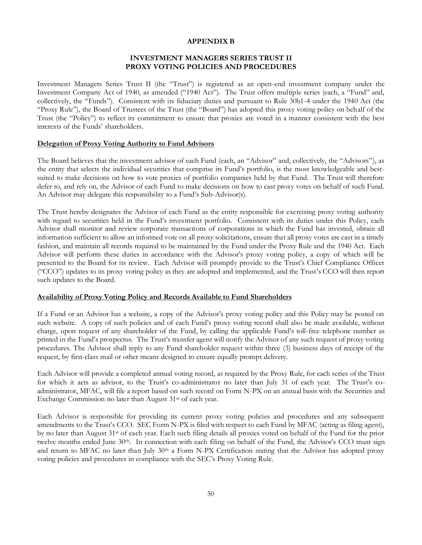# **APPENDIX B**

# **INVESTMENT MANAGERS SERIES TRUST II PROXY VOTING POLICIES AND PROCEDURES**

Investment Managers Series Trust II (the "Trust") is registered as an open-end investment company under the Investment Company Act of 1940, as amended ("1940 Act"). The Trust offers multiple series (each, a "Fund" and, collectively, the "Funds"). Consistent with its fiduciary duties and pursuant to Rule 30b1-4 under the 1940 Act (the "Proxy Rule"), the Board of Trustees of the Trust (the "Board") has adopted this proxy voting policy on behalf of the Trust (the "Policy") to reflect its commitment to ensure that proxies are voted in a manner consistent with the best interests of the Funds' shareholders.

# **Delegation of Proxy Voting Authority to Fund Advisors**

The Board believes that the investment advisor of each Fund (each, an "Advisor" and, collectively, the "Advisors"), as the entity that selects the individual securities that comprise its Fund's portfolio, is the most knowledgeable and bestsuited to make decisions on how to vote proxies of portfolio companies held by that Fund. The Trust will therefore defer to, and rely on, the Advisor of each Fund to make decisions on how to cast proxy votes on behalf of such Fund. An Advisor may delegate this responsibility to a Fund's Sub-Advisor(s).

The Trust hereby designates the Advisor of each Fund as the entity responsible for exercising proxy voting authority with regard to securities held in the Fund's investment portfolio. Consistent with its duties under this Policy, each Advisor shall monitor and review corporate transactions of corporations in which the Fund has invested, obtain all information sufficient to allow an informed vote on all proxy solicitations, ensure that all proxy votes are cast in a timely fashion, and maintain all records required to be maintained by the Fund under the Proxy Rule and the 1940 Act. Each Advisor will perform these duties in accordance with the Advisor's proxy voting policy, a copy of which will be presented to the Board for its review. Each Advisor will promptly provide to the Trust's Chief Compliance Officer ("CCO") updates to its proxy voting policy as they are adopted and implemented, and the Trust's CCO will then report such updates to the Board.

# **Availability of Proxy Voting Policy and Records Available to Fund Shareholders**

If a Fund or an Advisor has a website, a copy of the Advisor's proxy voting policy and this Policy may be posted on such website. A copy of such policies and of each Fund's proxy voting record shall also be made available, without charge, upon request of any shareholder of the Fund, by calling the applicable Fund's toll-free telephone number as printed in the Fund's prospectus. The Trust's transfer agent will notify the Advisor of any such request of proxy voting procedures. The Advisor shall reply to any Fund shareholder request within three (3) business days of receipt of the request, by first-class mail or other means designed to ensure equally prompt delivery.

Each Advisor will provide a completed annual voting record, as required by the Proxy Rule, for each series of the Trust for which it acts as advisor, to the Trust's co-administrator no later than July 31 of each year. The Trust's coadministrator, MFAC, will file a report based on such record on Form N-PX on an annual basis with the Securities and Exchange Commission no later than August 31st of each year.

Each Advisor is responsible for providing its current proxy voting policies and procedures and any subsequent amendments to the Trust's CCO. SEC Form N-PX is filed with respect to each Fund by MFAC (acting as filing agent), by no later than August 31st of each year. Each such filing details all proxies voted on behalf of the Fund for the prior twelve months ended June 30th. In connection with each filing on behalf of the Fund, the Advisor's CCO must sign and return to MFAC no later than July 30<sup>th</sup> a Form N-PX Certification stating that the Advisor has adopted proxy voting policies and procedures in compliance with the SEC's Proxy Voting Rule.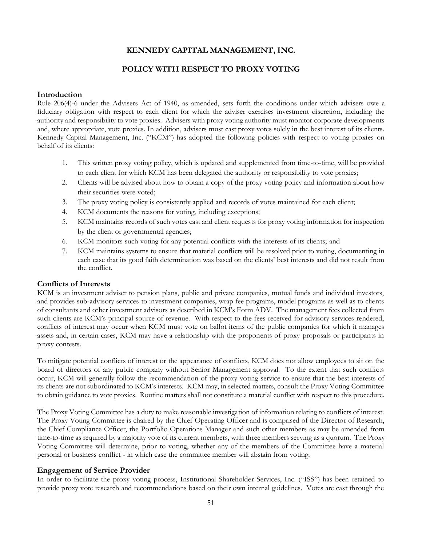# **KENNEDY CAPITAL MANAGEMENT, INC.**

# **POLICY WITH RESPECT TO PROXY VOTING**

# **Introduction**

Rule 206(4)-6 under the Advisers Act of 1940, as amended, sets forth the conditions under which advisers owe a fiduciary obligation with respect to each client for which the adviser exercises investment discretion, including the authority and responsibility to vote proxies. Advisers with proxy voting authority must monitor corporate developments and, where appropriate, vote proxies. In addition, advisers must cast proxy votes solely in the best interest of its clients. Kennedy Capital Management, Inc. ("KCM") has adopted the following policies with respect to voting proxies on behalf of its clients:

- 1. This written proxy voting policy, which is updated and supplemented from time-to-time, will be provided to each client for which KCM has been delegated the authority or responsibility to vote proxies;
- 2. Clients will be advised about how to obtain a copy of the proxy voting policy and information about how their securities were voted;
- 3. The proxy voting policy is consistently applied and records of votes maintained for each client;
- 4. KCM documents the reasons for voting, including exceptions;
- 5. KCM maintains records of such votes cast and client requests for proxy voting information for inspection by the client or governmental agencies;
- 6. KCM monitors such voting for any potential conflicts with the interests of its clients; and
- 7. KCM maintains systems to ensure that material conflicts will be resolved prior to voting, documenting in each case that its good faith determination was based on the clients' best interests and did not result from the conflict.

# **Conflicts of Interests**

KCM is an investment adviser to pension plans, public and private companies, mutual funds and individual investors, and provides sub-advisory services to investment companies, wrap fee programs, model programs as well as to clients of consultants and other investment advisors as described in KCM's Form ADV. The management fees collected from such clients are KCM's principal source of revenue. With respect to the fees received for advisory services rendered, conflicts of interest may occur when KCM must vote on ballot items of the public companies for which it manages assets and, in certain cases, KCM may have a relationship with the proponents of proxy proposals or participants in proxy contests.

To mitigate potential conflicts of interest or the appearance of conflicts, KCM does not allow employees to sit on the board of directors of any public company without Senior Management approval. To the extent that such conflicts occur, KCM will generally follow the recommendation of the proxy voting service to ensure that the best interests of its clients are not subordinated to KCM's interests. KCM may, in selected matters, consult the Proxy Voting Committee to obtain guidance to vote proxies. Routine matters shall not constitute a material conflict with respect to this procedure.

The Proxy Voting Committee has a duty to make reasonable investigation of information relating to conflicts of interest. The Proxy Voting Committee is chaired by the Chief Operating Officer and is comprised of the Director of Research, the Chief Compliance Officer, the Portfolio Operations Manager and such other members as may be amended from time-to-time as required by a majority vote of its current members, with three members serving as a quorum. The Proxy Voting Committee will determine, prior to voting, whether any of the members of the Committee have a material personal or business conflict - in which case the committee member will abstain from voting.

# **Engagement of Service Provider**

In order to facilitate the proxy voting process, Institutional Shareholder Services, Inc. ("ISS") has been retained to provide proxy vote research and recommendations based on their own internal guidelines. Votes are cast through the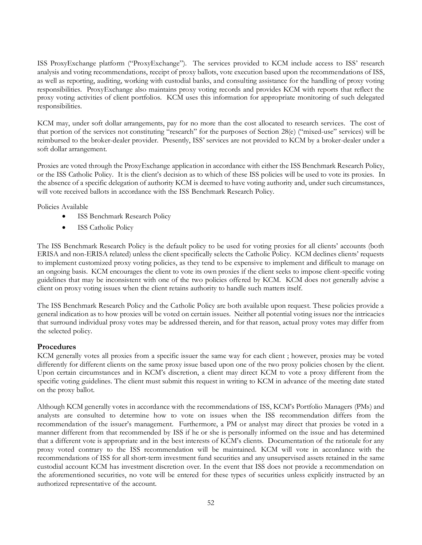ISS ProxyExchange platform ("ProxyExchange"). The services provided to KCM include access to ISS' research analysis and voting recommendations, receipt of proxy ballots, vote execution based upon the recommendations of ISS, as well as reporting, auditing, working with custodial banks, and consulting assistance for the handling of proxy voting responsibilities. ProxyExchange also maintains proxy voting records and provides KCM with reports that reflect the proxy voting activities of client portfolios. KCM uses this information for appropriate monitoring of such delegated responsibilities.

KCM may, under soft dollar arrangements, pay for no more than the cost allocated to research services. The cost of that portion of the services not constituting "research" for the purposes of Section 28(e) ("mixed-use" services) will be reimbursed to the broker-dealer provider. Presently, ISS' services are not provided to KCM by a broker-dealer under a soft dollar arrangement.

Proxies are voted through the ProxyExchange application in accordance with either the ISS Benchmark Research Policy, or the ISS Catholic Policy. It is the client's decision as to which of these ISS policies will be used to vote its proxies. In the absence of a specific delegation of authority KCM is deemed to have voting authority and, under such circumstances, will vote received ballots in accordance with the ISS Benchmark Research Policy.

Policies Available

- ISS Benchmark Research Policy
- ISS Catholic Policy

The ISS Benchmark Research Policy is the default policy to be used for voting proxies for all clients' accounts (both ERISA and non-ERISA related) unless the client specifically selects the Catholic Policy. KCM declines clients' requests to implement customized proxy voting policies, as they tend to be expensive to implement and difficult to manage on an ongoing basis. KCM encourages the client to vote its own proxies if the client seeks to impose client-specific voting guidelines that may be inconsistent with one of the two policies offered by KCM. KCM does not generally advise a client on proxy voting issues when the client retains authority to handle such matters itself.

The ISS Benchmark Research Policy and the Catholic Policy are both available upon request. These policies provide a general indication as to how proxies will be voted on certain issues. Neither all potential voting issues nor the intricacies that surround individual proxy votes may be addressed therein, and for that reason, actual proxy votes may differ from the selected policy.

# **Procedures**

KCM generally votes all proxies from a specific issuer the same way for each client ; however, proxies may be voted differently for different clients on the same proxy issue based upon one of the two proxy policies chosen by the client. Upon certain circumstances and in KCM's discretion, a client may direct KCM to vote a proxy different from the specific voting guidelines. The client must submit this request in writing to KCM in advance of the meeting date stated on the proxy ballot.

Although KCM generally votes in accordance with the recommendations of ISS, KCM's Portfolio Managers (PMs) and analysts are consulted to determine how to vote on issues when the ISS recommendation differs from the recommendation of the issuer's management. Furthermore, a PM or analyst may direct that proxies be voted in a manner different from that recommended by ISS if he or she is personally informed on the issue and has determined that a different vote is appropriate and in the best interests of KCM's clients. Documentation of the rationale for any proxy voted contrary to the ISS recommendation will be maintained. KCM will vote in accordance with the recommendations of ISS for all short-term investment fund securities and any unsupervised assets retained in the same custodial account KCM has investment discretion over. In the event that ISS does not provide a recommendation on the aforementioned securities, no vote will be entered for these types of securities unless explicitly instructed by an authorized representative of the account.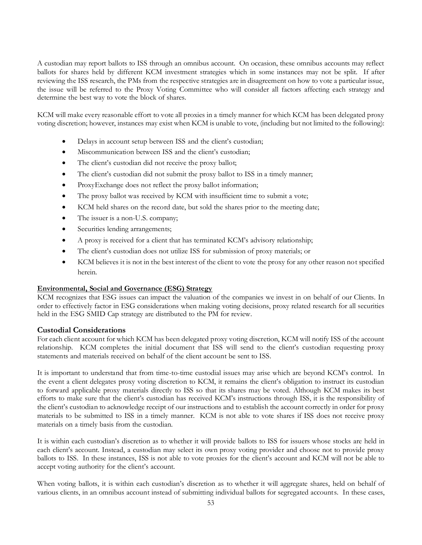A custodian may report ballots to ISS through an omnibus account. On occasion, these omnibus accounts may reflect ballots for shares held by different KCM investment strategies which in some instances may not be split. If after reviewing the ISS research, the PMs from the respective strategies are in disagreement on how to vote a particular issue, the issue will be referred to the Proxy Voting Committee who will consider all factors affecting each strategy and determine the best way to vote the block of shares.

KCM will make every reasonable effort to vote all proxies in a timely manner for which KCM has been delegated proxy voting discretion; however, instances may exist when KCM is unable to vote, (including but not limited to the following):

- Delays in account setup between ISS and the client's custodian;
- Miscommunication between ISS and the client's custodian;
- The client's custodian did not receive the proxy ballot;
- The client's custodian did not submit the proxy ballot to ISS in a timely manner;
- ProxyExchange does not reflect the proxy ballot information;
- The proxy ballot was received by KCM with insufficient time to submit a vote;
- KCM held shares on the record date, but sold the shares prior to the meeting date;
- The issuer is a non-U.S. company;
- Securities lending arrangements;
- A proxy is received for a client that has terminated KCM's advisory relationship;
- The client's custodian does not utilize ISS for submission of proxy materials; or
- KCM believes it is not in the best interest of the client to vote the proxy for any other reason not specified herein.

# **Environmental, Social and Governance (ESG) Strategy**

KCM recognizes that ESG issues can impact the valuation of the companies we invest in on behalf of our Clients. In order to effectively factor in ESG considerations when making voting decisions, proxy related research for all securities held in the ESG SMID Cap strategy are distributed to the PM for review.

# **Custodial Considerations**

For each client account for which KCM has been delegated proxy voting discretion, KCM will notify ISS of the account relationship. KCM completes the initial document that ISS will send to the client's custodian requesting proxy statements and materials received on behalf of the client account be sent to ISS.

It is important to understand that from time-to-time custodial issues may arise which are beyond KCM's control. In the event a client delegates proxy voting discretion to KCM, it remains the client's obligation to instruct its custodian to forward applicable proxy materials directly to ISS so that its shares may be voted. Although KCM makes its best efforts to make sure that the client's custodian has received KCM's instructions through ISS, it is the responsibility of the client's custodian to acknowledge receipt of our instructions and to establish the account correctly in order for proxy materials to be submitted to ISS in a timely manner. KCM is not able to vote shares if ISS does not receive proxy materials on a timely basis from the custodian.

It is within each custodian's discretion as to whether it will provide ballots to ISS for issuers whose stocks are held in each client's account. Instead, a custodian may select its own proxy voting provider and choose not to provide proxy ballots to ISS. In these instances, ISS is not able to vote proxies for the client's account and KCM will not be able to accept voting authority for the client's account.

When voting ballots, it is within each custodian's discretion as to whether it will aggregate shares, held on behalf of various clients, in an omnibus account instead of submitting individual ballots for segregated accounts. In these cases,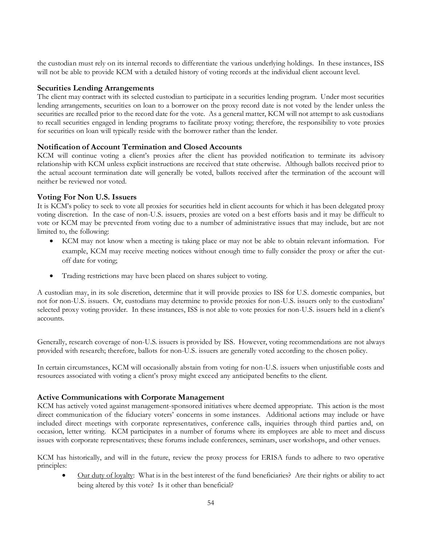the custodian must rely on its internal records to differentiate the various underlying holdings. In these instances, ISS will not be able to provide KCM with a detailed history of voting records at the individual client account level.

# **Securities Lending Arrangements**

The client may contract with its selected custodian to participate in a securities lending program. Under most securities lending arrangements, securities on loan to a borrower on the proxy record date is not voted by the lender unless the securities are recalled prior to the record date for the vote. As a general matter, KCM will not attempt to ask custodians to recall securities engaged in lending programs to facilitate proxy voting; therefore, the responsibility to vote proxies for securities on loan will typically reside with the borrower rather than the lender.

# **Notification of Account Termination and Closed Accounts**

KCM will continue voting a client's proxies after the client has provided notification to terminate its advisory relationship with KCM unless explicit instructions are received that state otherwise. Although ballots received prior to the actual account termination date will generally be voted, ballots received after the termination of the account will neither be reviewed nor voted.

# **Voting For Non U.S. Issuers**

It is KCM's policy to seek to vote all proxies for securities held in client accounts for which it has been delegated proxy voting discretion. In the case of non-U.S. issuers, proxies are voted on a best efforts basis and it may be difficult to vote or KCM may be prevented from voting due to a number of administrative issues that may include, but are not limited to, the following:

- KCM may not know when a meeting is taking place or may not be able to obtain relevant information. For example, KCM may receive meeting notices without enough time to fully consider the proxy or after the cutoff date for voting;
- Trading restrictions may have been placed on shares subject to voting.

A custodian may, in its sole discretion, determine that it will provide proxies to ISS for U.S. domestic companies, but not for non-U.S. issuers. Or, custodians may determine to provide proxies for non-U.S. issuers only to the custodians' selected proxy voting provider. In these instances, ISS is not able to vote proxies for non-U.S. issuers held in a client's accounts.

Generally, research coverage of non-U.S. issuers is provided by ISS. However, voting recommendations are not always provided with research; therefore, ballots for non-U.S. issuers are generally voted according to the chosen policy.

In certain circumstances, KCM will occasionally abstain from voting for non-U.S. issuers when unjustifiable costs and resources associated with voting a client's proxy might exceed any anticipated benefits to the client.

# **Active Communications with Corporate Management**

KCM has actively voted against management-sponsored initiatives where deemed appropriate. This action is the most direct communication of the fiduciary voters' concerns in some instances. Additional actions may include or have included direct meetings with corporate representatives, conference calls, inquiries through third parties and, on occasion, letter writing. KCM participates in a number of forums where its employees are able to meet and discuss issues with corporate representatives; these forums include conferences, seminars, user workshops, and other venues.

KCM has historically, and will in the future, review the proxy process for ERISA funds to adhere to two operative principles:

• Our duty of loyalty: What is in the best interest of the fund beneficiaries? Are their rights or ability to act being altered by this vote? Is it other than beneficial?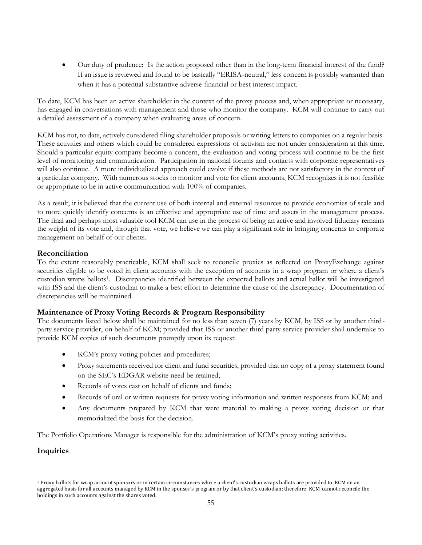• Our duty of prudence: Is the action proposed other than in the long-term financial interest of the fund? If an issue is reviewed and found to be basically "ERISA-neutral," less concern is possibly warranted than when it has a potential substantive adverse financial or best interest impact.

To date, KCM has been an active shareholder in the context of the proxy process and, when appropriate or necessary, has engaged in conversations with management and those who monitor the company. KCM will continue to carry out a detailed assessment of a company when evaluating areas of concern.

KCM has not, to date, actively considered filing shareholder proposals or writing letters to companies on a regular basis. These activities and others which could be considered expressions of activism are not under consideration at this time. Should a particular equity company become a concern, the evaluation and voting process will continue to be the first level of monitoring and communication. Participation in national forums and contacts with corporate representatives will also continue. A more individualized approach could evolve if these methods are not satisfactory in the context of a particular company. With numerous stocks to monitor and vote for client accounts, KCM recognizes it is not feasible or appropriate to be in active communication with 100% of companies.

As a result, it is believed that the current use of both internal and external resources to provide economies of scale and to more quickly identify concerns is an effective and appropriate use of time and assets in the management process. The final and perhaps most valuable tool KCM can use in the process of being an active and involved fiduciary remains the weight of its vote and, through that vote, we believe we can play a significant role in bringing concerns to corporate management on behalf of our clients.

# **Reconciliation**

To the extent reasonably practicable, KCM shall seek to reconcile proxies as reflected on ProxyExchange against securities eligible to be voted in client accounts with the exception of accounts in a wrap program or where a client's custodian wraps ballots<sup>1</sup> . Discrepancies identified between the expected ballots and actual ballot will be investigated with ISS and the client's custodian to make a best effort to determine the cause of the discrepancy. Documentation of discrepancies will be maintained.

# **Maintenance of Proxy Voting Records & Program Responsibility**

The documents listed below shall be maintained for no less than seven (7) years by KCM, by ISS or by another thirdparty service provider, on behalf of KCM; provided that ISS or another third party service provider shall undertake to provide KCM copies of such documents promptly upon its request:

- KCM's proxy voting policies and procedures;
- Proxy statements received for client and fund securities, provided that no copy of a proxy statement found on the SEC's EDGAR website need be retained;
- Records of votes cast on behalf of clients and funds;
- Records of oral or written requests for proxy voting information and written responses from KCM; and
- Any documents prepared by KCM that were material to making a proxy voting decision or that memorialized the basis for the decision.

The Portfolio Operations Manager is responsible for the administration of KCM's proxy voting activities.

# **Inquiries**

<sup>1</sup> Proxy ballots for wrap account sponsors or in certain circumstances where a client's custodian wraps ballots are provided to KCM on an aggregated basis for all accounts managed by KCM in the sponsor's program or by that client's custodian; therefore, KCM cannot reconcile the holdings in such accounts against the shares voted.